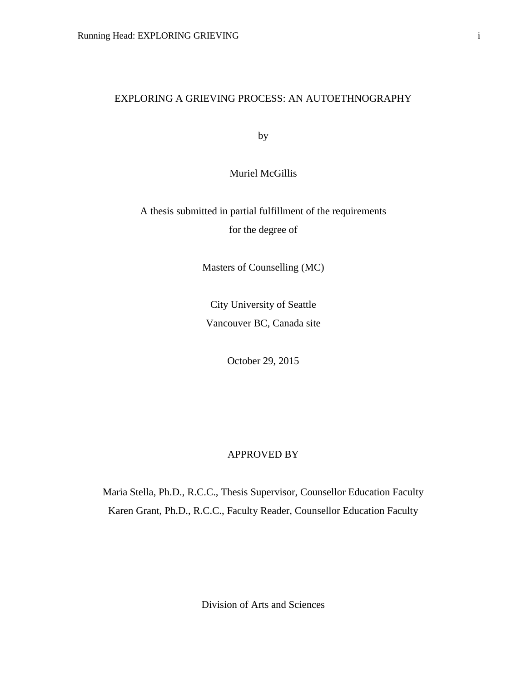# EXPLORING A GRIEVING PROCESS: AN AUTOETHNOGRAPHY

by

Muriel McGillis

A thesis submitted in partial fulfillment of the requirements for the degree of

Masters of Counselling (MC)

City University of Seattle Vancouver BC, Canada site

October 29, 2015

# APPROVED BY

Maria Stella, Ph.D., R.C.C., Thesis Supervisor, Counsellor Education Faculty Karen Grant, Ph.D., R.C.C., Faculty Reader, Counsellor Education Faculty

Division of Arts and Sciences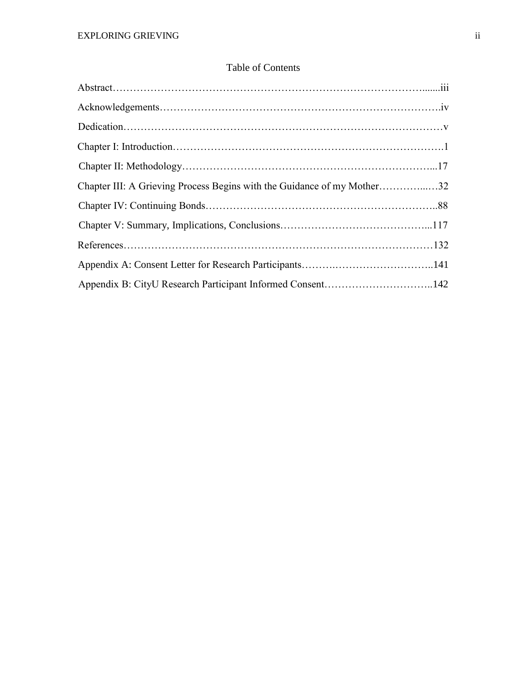# Table of Contents

| Chapter III: A Grieving Process Begins with the Guidance of my Mother32 |  |
|-------------------------------------------------------------------------|--|
|                                                                         |  |
|                                                                         |  |
|                                                                         |  |
|                                                                         |  |
| Appendix B: CityU Research Participant Informed Consent142              |  |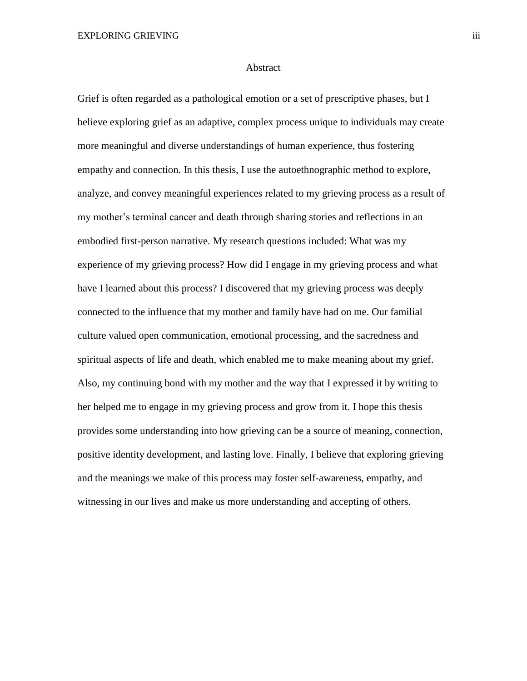#### Abstract

Grief is often regarded as a pathological emotion or a set of prescriptive phases, but I believe exploring grief as an adaptive, complex process unique to individuals may create more meaningful and diverse understandings of human experience, thus fostering empathy and connection. In this thesis, I use the autoethnographic method to explore, analyze, and convey meaningful experiences related to my grieving process as a result of my mother's terminal cancer and death through sharing stories and reflections in an embodied first-person narrative. My research questions included: What was my experience of my grieving process? How did I engage in my grieving process and what have I learned about this process? I discovered that my grieving process was deeply connected to the influence that my mother and family have had on me. Our familial culture valued open communication, emotional processing, and the sacredness and spiritual aspects of life and death, which enabled me to make meaning about my grief. Also, my continuing bond with my mother and the way that I expressed it by writing to her helped me to engage in my grieving process and grow from it. I hope this thesis provides some understanding into how grieving can be a source of meaning, connection, positive identity development, and lasting love. Finally, I believe that exploring grieving and the meanings we make of this process may foster self-awareness, empathy, and witnessing in our lives and make us more understanding and accepting of others.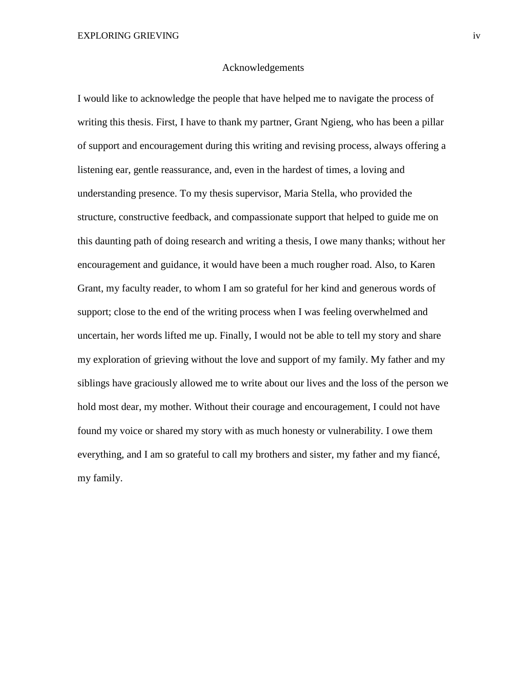#### Acknowledgements

I would like to acknowledge the people that have helped me to navigate the process of writing this thesis. First, I have to thank my partner, Grant Ngieng, who has been a pillar of support and encouragement during this writing and revising process, always offering a listening ear, gentle reassurance, and, even in the hardest of times, a loving and understanding presence. To my thesis supervisor, Maria Stella, who provided the structure, constructive feedback, and compassionate support that helped to guide me on this daunting path of doing research and writing a thesis, I owe many thanks; without her encouragement and guidance, it would have been a much rougher road. Also, to Karen Grant, my faculty reader, to whom I am so grateful for her kind and generous words of support; close to the end of the writing process when I was feeling overwhelmed and uncertain, her words lifted me up. Finally, I would not be able to tell my story and share my exploration of grieving without the love and support of my family. My father and my siblings have graciously allowed me to write about our lives and the loss of the person we hold most dear, my mother. Without their courage and encouragement, I could not have found my voice or shared my story with as much honesty or vulnerability. I owe them everything, and I am so grateful to call my brothers and sister, my father and my fiancé, my family.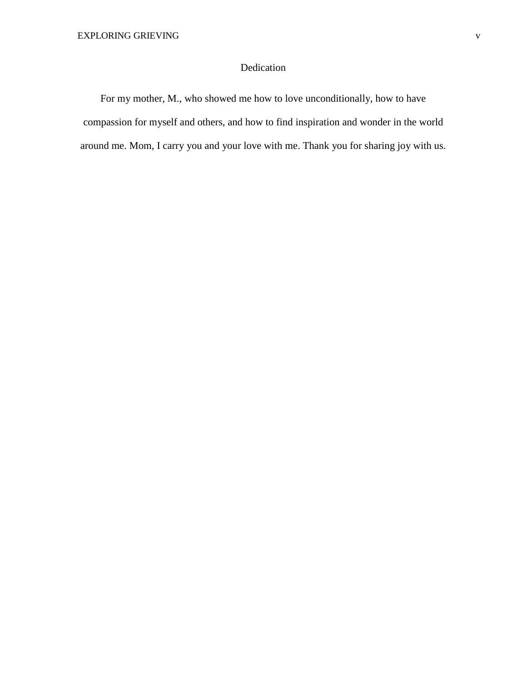# Dedication

For my mother, M., who showed me how to love unconditionally, how to have compassion for myself and others, and how to find inspiration and wonder in the world around me. Mom, I carry you and your love with me. Thank you for sharing joy with us.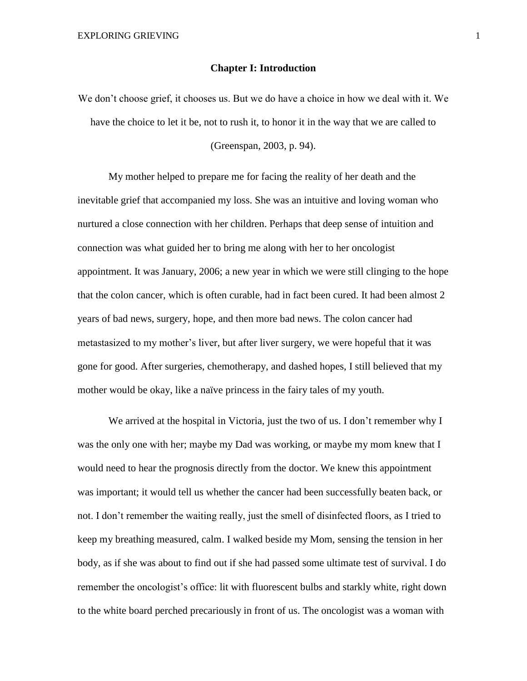#### **Chapter I: Introduction**

We don't choose grief, it chooses us. But we do have a choice in how we deal with it. We have the choice to let it be, not to rush it, to honor it in the way that we are called to

(Greenspan, 2003, p. 94).

My mother helped to prepare me for facing the reality of her death and the inevitable grief that accompanied my loss. She was an intuitive and loving woman who nurtured a close connection with her children. Perhaps that deep sense of intuition and connection was what guided her to bring me along with her to her oncologist appointment. It was January, 2006; a new year in which we were still clinging to the hope that the colon cancer, which is often curable, had in fact been cured. It had been almost 2 years of bad news, surgery, hope, and then more bad news. The colon cancer had metastasized to my mother's liver, but after liver surgery, we were hopeful that it was gone for good. After surgeries, chemotherapy, and dashed hopes, I still believed that my mother would be okay, like a naïve princess in the fairy tales of my youth.

We arrived at the hospital in Victoria, just the two of us. I don't remember why I was the only one with her; maybe my Dad was working, or maybe my mom knew that I would need to hear the prognosis directly from the doctor. We knew this appointment was important; it would tell us whether the cancer had been successfully beaten back, or not. I don't remember the waiting really, just the smell of disinfected floors, as I tried to keep my breathing measured, calm. I walked beside my Mom, sensing the tension in her body, as if she was about to find out if she had passed some ultimate test of survival. I do remember the oncologist's office: lit with fluorescent bulbs and starkly white, right down to the white board perched precariously in front of us. The oncologist was a woman with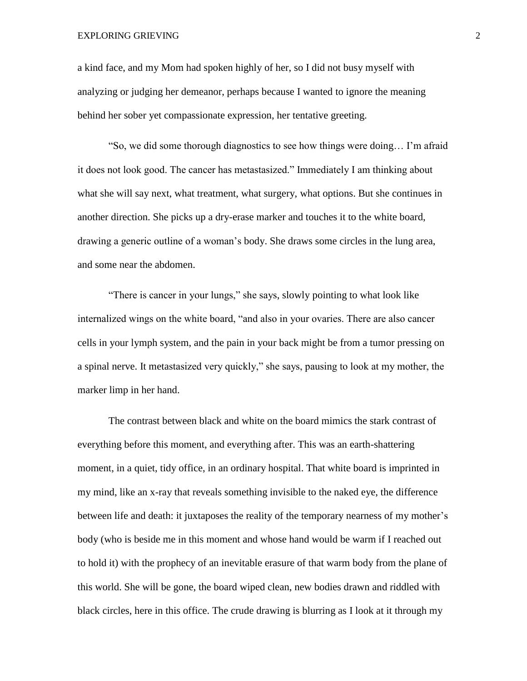#### EXPLORING GRIEVING 2

a kind face, and my Mom had spoken highly of her, so I did not busy myself with analyzing or judging her demeanor, perhaps because I wanted to ignore the meaning behind her sober yet compassionate expression, her tentative greeting.

"So, we did some thorough diagnostics to see how things were doing… I'm afraid it does not look good. The cancer has metastasized." Immediately I am thinking about what she will say next, what treatment, what surgery, what options. But she continues in another direction. She picks up a dry-erase marker and touches it to the white board, drawing a generic outline of a woman's body. She draws some circles in the lung area, and some near the abdomen.

"There is cancer in your lungs," she says, slowly pointing to what look like internalized wings on the white board, "and also in your ovaries. There are also cancer cells in your lymph system, and the pain in your back might be from a tumor pressing on a spinal nerve. It metastasized very quickly," she says, pausing to look at my mother, the marker limp in her hand.

The contrast between black and white on the board mimics the stark contrast of everything before this moment, and everything after. This was an earth-shattering moment, in a quiet, tidy office, in an ordinary hospital. That white board is imprinted in my mind, like an x-ray that reveals something invisible to the naked eye, the difference between life and death: it juxtaposes the reality of the temporary nearness of my mother's body (who is beside me in this moment and whose hand would be warm if I reached out to hold it) with the prophecy of an inevitable erasure of that warm body from the plane of this world. She will be gone, the board wiped clean, new bodies drawn and riddled with black circles, here in this office. The crude drawing is blurring as I look at it through my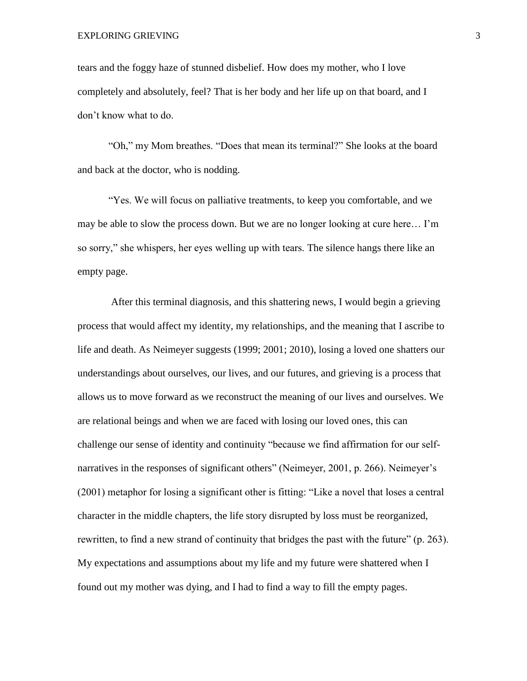tears and the foggy haze of stunned disbelief. How does my mother, who I love completely and absolutely, feel? That is her body and her life up on that board, and I don't know what to do.

"Oh," my Mom breathes. "Does that mean its terminal?" She looks at the board and back at the doctor, who is nodding.

"Yes. We will focus on palliative treatments, to keep you comfortable, and we may be able to slow the process down. But we are no longer looking at cure here… I'm so sorry," she whispers, her eyes welling up with tears. The silence hangs there like an empty page.

After this terminal diagnosis, and this shattering news, I would begin a grieving process that would affect my identity, my relationships, and the meaning that I ascribe to life and death. As Neimeyer suggests (1999; 2001; 2010), losing a loved one shatters our understandings about ourselves, our lives, and our futures, and grieving is a process that allows us to move forward as we reconstruct the meaning of our lives and ourselves. We are relational beings and when we are faced with losing our loved ones, this can challenge our sense of identity and continuity "because we find affirmation for our selfnarratives in the responses of significant others" (Neimeyer, 2001, p. 266). Neimeyer's (2001) metaphor for losing a significant other is fitting: "Like a novel that loses a central character in the middle chapters, the life story disrupted by loss must be reorganized, rewritten, to find a new strand of continuity that bridges the past with the future" (p. 263). My expectations and assumptions about my life and my future were shattered when I found out my mother was dying, and I had to find a way to fill the empty pages.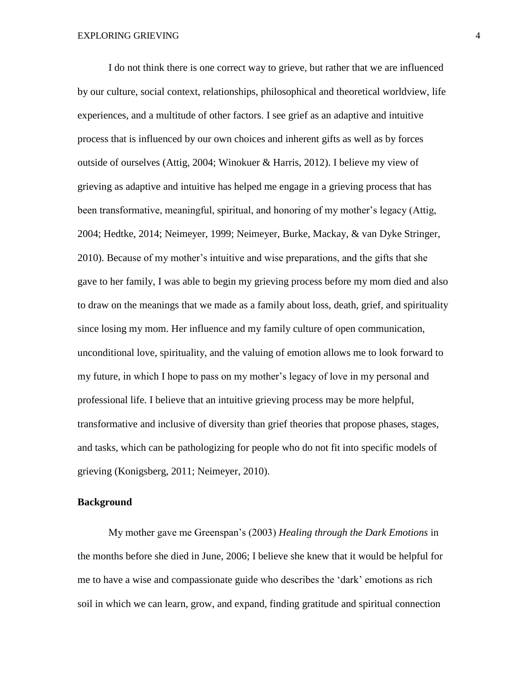I do not think there is one correct way to grieve, but rather that we are influenced by our culture, social context, relationships, philosophical and theoretical worldview, life experiences, and a multitude of other factors. I see grief as an adaptive and intuitive process that is influenced by our own choices and inherent gifts as well as by forces outside of ourselves (Attig, 2004; Winokuer & Harris, 2012). I believe my view of grieving as adaptive and intuitive has helped me engage in a grieving process that has been transformative, meaningful, spiritual, and honoring of my mother's legacy (Attig, 2004; Hedtke, 2014; Neimeyer, 1999; Neimeyer, Burke, Mackay, & van Dyke Stringer, 2010). Because of my mother's intuitive and wise preparations, and the gifts that she gave to her family, I was able to begin my grieving process before my mom died and also to draw on the meanings that we made as a family about loss, death, grief, and spirituality since losing my mom. Her influence and my family culture of open communication, unconditional love, spirituality, and the valuing of emotion allows me to look forward to my future, in which I hope to pass on my mother's legacy of love in my personal and professional life. I believe that an intuitive grieving process may be more helpful, transformative and inclusive of diversity than grief theories that propose phases, stages, and tasks, which can be pathologizing for people who do not fit into specific models of grieving (Konigsberg, 2011; Neimeyer, 2010).

# **Background**

My mother gave me Greenspan's (2003) *Healing through the Dark Emotions* in the months before she died in June, 2006; I believe she knew that it would be helpful for me to have a wise and compassionate guide who describes the 'dark' emotions as rich soil in which we can learn, grow, and expand, finding gratitude and spiritual connection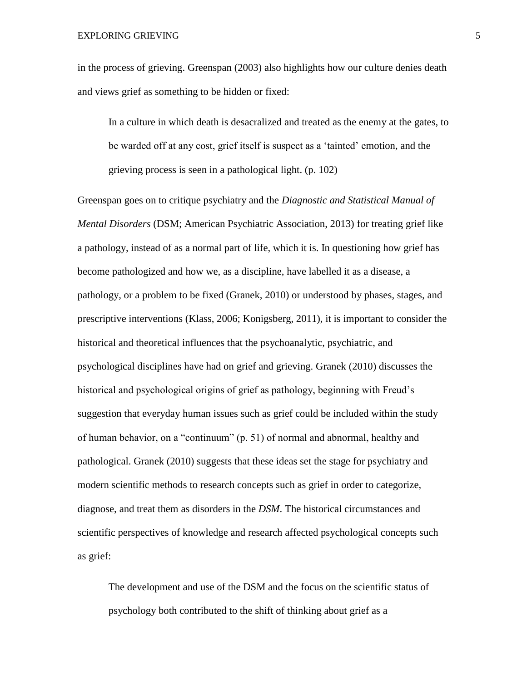in the process of grieving. Greenspan (2003) also highlights how our culture denies death and views grief as something to be hidden or fixed:

In a culture in which death is desacralized and treated as the enemy at the gates, to be warded off at any cost, grief itself is suspect as a 'tainted' emotion, and the grieving process is seen in a pathological light. (p. 102)

Greenspan goes on to critique psychiatry and the *Diagnostic and Statistical Manual of Mental Disorders* (DSM; American Psychiatric Association, 2013) for treating grief like a pathology, instead of as a normal part of life, which it is. In questioning how grief has become pathologized and how we, as a discipline, have labelled it as a disease, a pathology, or a problem to be fixed (Granek, 2010) or understood by phases, stages, and prescriptive interventions (Klass, 2006; Konigsberg, 2011), it is important to consider the historical and theoretical influences that the psychoanalytic, psychiatric, and psychological disciplines have had on grief and grieving. Granek (2010) discusses the historical and psychological origins of grief as pathology, beginning with Freud's suggestion that everyday human issues such as grief could be included within the study of human behavior, on a "continuum" (p. 51) of normal and abnormal, healthy and pathological. Granek (2010) suggests that these ideas set the stage for psychiatry and modern scientific methods to research concepts such as grief in order to categorize, diagnose, and treat them as disorders in the *DSM*. The historical circumstances and scientific perspectives of knowledge and research affected psychological concepts such as grief:

The development and use of the DSM and the focus on the scientific status of psychology both contributed to the shift of thinking about grief as a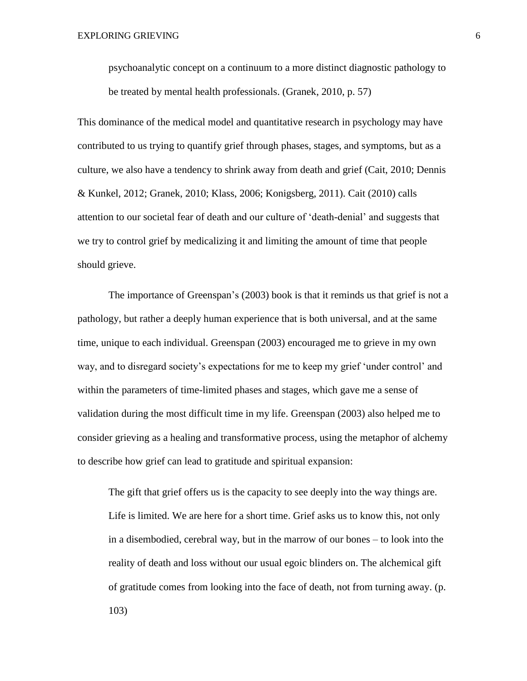psychoanalytic concept on a continuum to a more distinct diagnostic pathology to be treated by mental health professionals. (Granek, 2010, p. 57)

This dominance of the medical model and quantitative research in psychology may have contributed to us trying to quantify grief through phases, stages, and symptoms, but as a culture, we also have a tendency to shrink away from death and grief (Cait, 2010; Dennis & Kunkel, 2012; Granek, 2010; Klass, 2006; Konigsberg, 2011). Cait (2010) calls attention to our societal fear of death and our culture of 'death-denial' and suggests that we try to control grief by medicalizing it and limiting the amount of time that people should grieve.

The importance of Greenspan's (2003) book is that it reminds us that grief is not a pathology, but rather a deeply human experience that is both universal, and at the same time, unique to each individual. Greenspan (2003) encouraged me to grieve in my own way, and to disregard society's expectations for me to keep my grief 'under control' and within the parameters of time-limited phases and stages, which gave me a sense of validation during the most difficult time in my life. Greenspan (2003) also helped me to consider grieving as a healing and transformative process, using the metaphor of alchemy to describe how grief can lead to gratitude and spiritual expansion:

The gift that grief offers us is the capacity to see deeply into the way things are. Life is limited. We are here for a short time. Grief asks us to know this, not only in a disembodied, cerebral way, but in the marrow of our bones – to look into the reality of death and loss without our usual egoic blinders on. The alchemical gift of gratitude comes from looking into the face of death, not from turning away. (p. 103)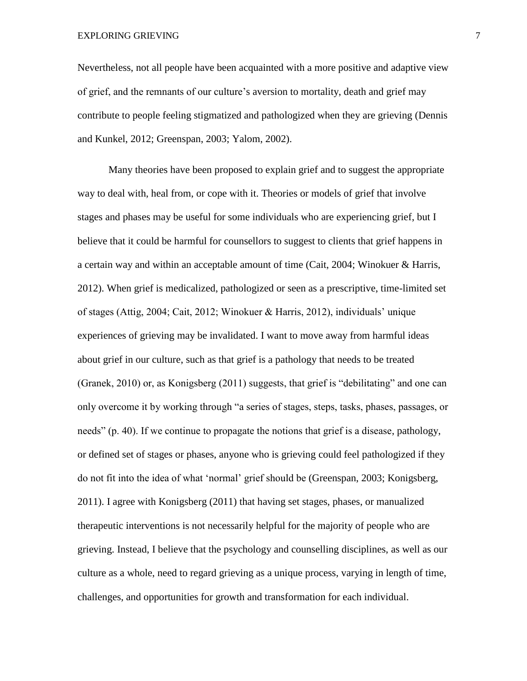EXPLORING GRIEVING 7

Nevertheless, not all people have been acquainted with a more positive and adaptive view of grief, and the remnants of our culture's aversion to mortality, death and grief may contribute to people feeling stigmatized and pathologized when they are grieving (Dennis and Kunkel, 2012; Greenspan, 2003; Yalom, 2002).

Many theories have been proposed to explain grief and to suggest the appropriate way to deal with, heal from, or cope with it. Theories or models of grief that involve stages and phases may be useful for some individuals who are experiencing grief, but I believe that it could be harmful for counsellors to suggest to clients that grief happens in a certain way and within an acceptable amount of time (Cait, 2004; Winokuer & Harris, 2012). When grief is medicalized, pathologized or seen as a prescriptive, time-limited set of stages (Attig, 2004; Cait, 2012; Winokuer & Harris, 2012), individuals' unique experiences of grieving may be invalidated. I want to move away from harmful ideas about grief in our culture, such as that grief is a pathology that needs to be treated (Granek, 2010) or, as Konigsberg (2011) suggests, that grief is "debilitating" and one can only overcome it by working through "a series of stages, steps, tasks, phases, passages, or needs" (p. 40). If we continue to propagate the notions that grief is a disease, pathology, or defined set of stages or phases, anyone who is grieving could feel pathologized if they do not fit into the idea of what 'normal' grief should be (Greenspan, 2003; Konigsberg, 2011). I agree with Konigsberg (2011) that having set stages, phases, or manualized therapeutic interventions is not necessarily helpful for the majority of people who are grieving. Instead, I believe that the psychology and counselling disciplines, as well as our culture as a whole, need to regard grieving as a unique process, varying in length of time, challenges, and opportunities for growth and transformation for each individual.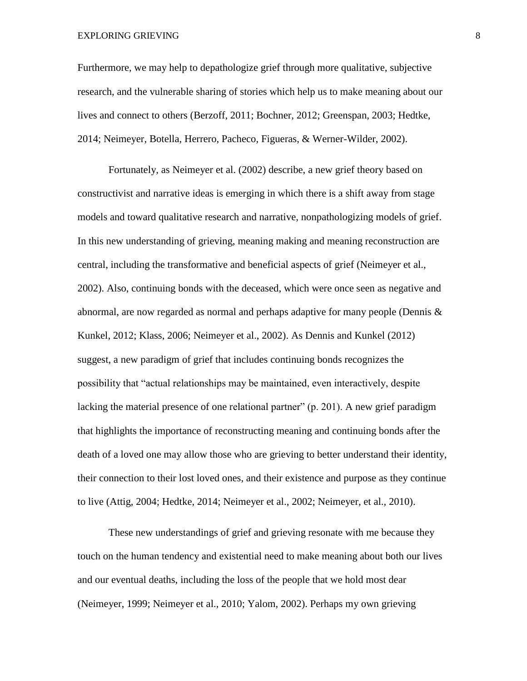#### EXPLORING GRIEVING 8

Furthermore, we may help to depathologize grief through more qualitative, subjective research, and the vulnerable sharing of stories which help us to make meaning about our lives and connect to others (Berzoff, 2011; Bochner, 2012; Greenspan, 2003; Hedtke, 2014; Neimeyer, Botella, Herrero, Pacheco, Figueras, & Werner-Wilder, 2002).

Fortunately, as Neimeyer et al. (2002) describe, a new grief theory based on constructivist and narrative ideas is emerging in which there is a shift away from stage models and toward qualitative research and narrative, nonpathologizing models of grief. In this new understanding of grieving, meaning making and meaning reconstruction are central, including the transformative and beneficial aspects of grief (Neimeyer et al., 2002). Also, continuing bonds with the deceased, which were once seen as negative and abnormal, are now regarded as normal and perhaps adaptive for many people (Dennis & Kunkel, 2012; Klass, 2006; Neimeyer et al., 2002). As Dennis and Kunkel (2012) suggest, a new paradigm of grief that includes continuing bonds recognizes the possibility that "actual relationships may be maintained, even interactively, despite lacking the material presence of one relational partner" (p. 201). A new grief paradigm that highlights the importance of reconstructing meaning and continuing bonds after the death of a loved one may allow those who are grieving to better understand their identity, their connection to their lost loved ones, and their existence and purpose as they continue to live (Attig, 2004; Hedtke, 2014; Neimeyer et al., 2002; Neimeyer, et al., 2010).

These new understandings of grief and grieving resonate with me because they touch on the human tendency and existential need to make meaning about both our lives and our eventual deaths, including the loss of the people that we hold most dear (Neimeyer, 1999; Neimeyer et al., 2010; Yalom, 2002). Perhaps my own grieving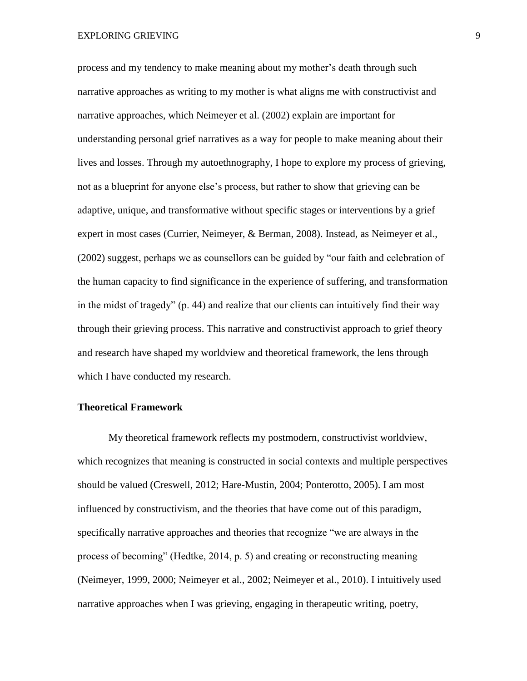process and my tendency to make meaning about my mother's death through such narrative approaches as writing to my mother is what aligns me with constructivist and narrative approaches, which Neimeyer et al. (2002) explain are important for understanding personal grief narratives as a way for people to make meaning about their lives and losses. Through my autoethnography, I hope to explore my process of grieving, not as a blueprint for anyone else's process, but rather to show that grieving can be adaptive, unique, and transformative without specific stages or interventions by a grief expert in most cases (Currier, Neimeyer, & Berman, 2008). Instead, as Neimeyer et al., (2002) suggest, perhaps we as counsellors can be guided by "our faith and celebration of the human capacity to find significance in the experience of suffering, and transformation in the midst of tragedy" (p. 44) and realize that our clients can intuitively find their way through their grieving process. This narrative and constructivist approach to grief theory and research have shaped my worldview and theoretical framework, the lens through which I have conducted my research.

## **Theoretical Framework**

My theoretical framework reflects my postmodern, constructivist worldview, which recognizes that meaning is constructed in social contexts and multiple perspectives should be valued (Creswell, 2012; Hare-Mustin, 2004; Ponterotto, 2005). I am most influenced by constructivism, and the theories that have come out of this paradigm, specifically narrative approaches and theories that recognize "we are always in the process of becoming" (Hedtke, 2014, p. 5) and creating or reconstructing meaning (Neimeyer, 1999, 2000; Neimeyer et al., 2002; Neimeyer et al., 2010). I intuitively used narrative approaches when I was grieving, engaging in therapeutic writing, poetry,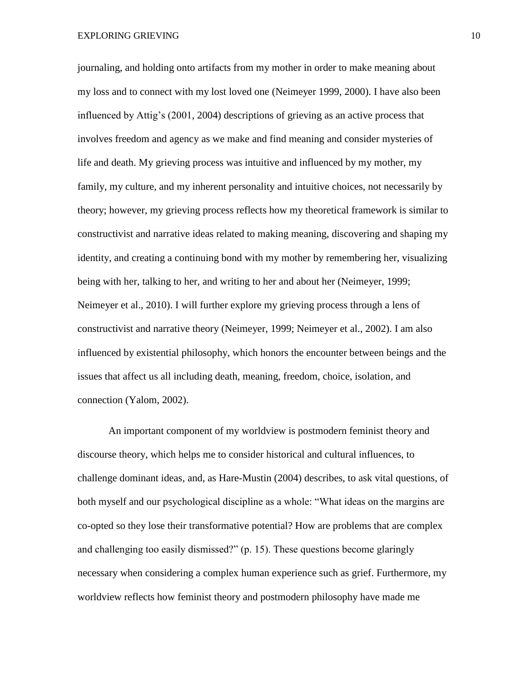EXPLORING GRIEVING 10

journaling, and holding onto artifacts from my mother in order to make meaning about my loss and to connect with my lost loved one (Neimeyer 1999, 2000). I have also been influenced by Attig's (2001, 2004) descriptions of grieving as an active process that involves freedom and agency as we make and find meaning and consider mysteries of life and death. My grieving process was intuitive and influenced by my mother, my family, my culture, and my inherent personality and intuitive choices, not necessarily by theory; however, my grieving process reflects how my theoretical framework is similar to constructivist and narrative ideas related to making meaning, discovering and shaping my identity, and creating a continuing bond with my mother by remembering her, visualizing being with her, talking to her, and writing to her and about her (Neimeyer, 1999; Neimeyer et al., 2010). I will further explore my grieving process through a lens of constructivist and narrative theory (Neimeyer, 1999; Neimeyer et al., 2002). I am also influenced by existential philosophy, which honors the encounter between beings and the issues that affect us all including death, meaning, freedom, choice, isolation, and connection (Yalom, 2002).

An important component of my worldview is postmodern feminist theory and discourse theory, which helps me to consider historical and cultural influences, to challenge dominant ideas, and, as Hare-Mustin (2004) describes, to ask vital questions, of both myself and our psychological discipline as a whole: "What ideas on the margins are co-opted so they lose their transformative potential? How are problems that are complex and challenging too easily dismissed?" (p. 15). These questions become glaringly necessary when considering a complex human experience such as grief. Furthermore, my worldview reflects how feminist theory and postmodern philosophy have made me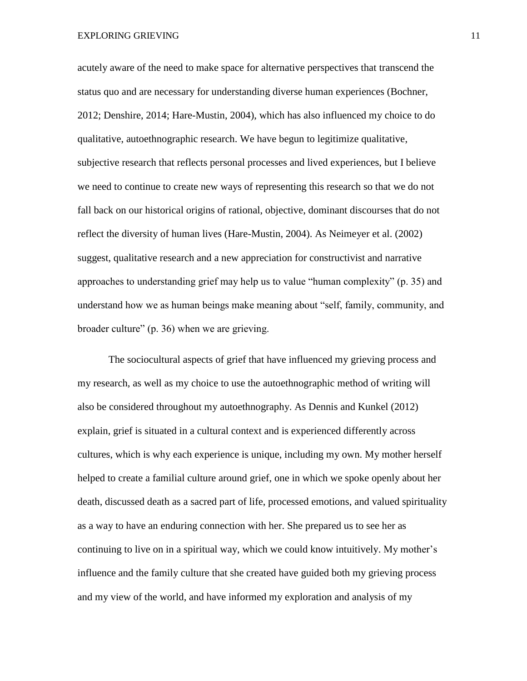EXPLORING GRIEVING 11

acutely aware of the need to make space for alternative perspectives that transcend the status quo and are necessary for understanding diverse human experiences (Bochner, 2012; Denshire, 2014; Hare-Mustin, 2004), which has also influenced my choice to do qualitative, autoethnographic research. We have begun to legitimize qualitative, subjective research that reflects personal processes and lived experiences, but I believe we need to continue to create new ways of representing this research so that we do not fall back on our historical origins of rational, objective, dominant discourses that do not reflect the diversity of human lives (Hare-Mustin, 2004). As Neimeyer et al. (2002) suggest, qualitative research and a new appreciation for constructivist and narrative approaches to understanding grief may help us to value "human complexity" (p. 35) and understand how we as human beings make meaning about "self, family, community, and broader culture" (p. 36) when we are grieving.

The sociocultural aspects of grief that have influenced my grieving process and my research, as well as my choice to use the autoethnographic method of writing will also be considered throughout my autoethnography. As Dennis and Kunkel (2012) explain, grief is situated in a cultural context and is experienced differently across cultures, which is why each experience is unique, including my own. My mother herself helped to create a familial culture around grief, one in which we spoke openly about her death, discussed death as a sacred part of life, processed emotions, and valued spirituality as a way to have an enduring connection with her. She prepared us to see her as continuing to live on in a spiritual way, which we could know intuitively. My mother's influence and the family culture that she created have guided both my grieving process and my view of the world, and have informed my exploration and analysis of my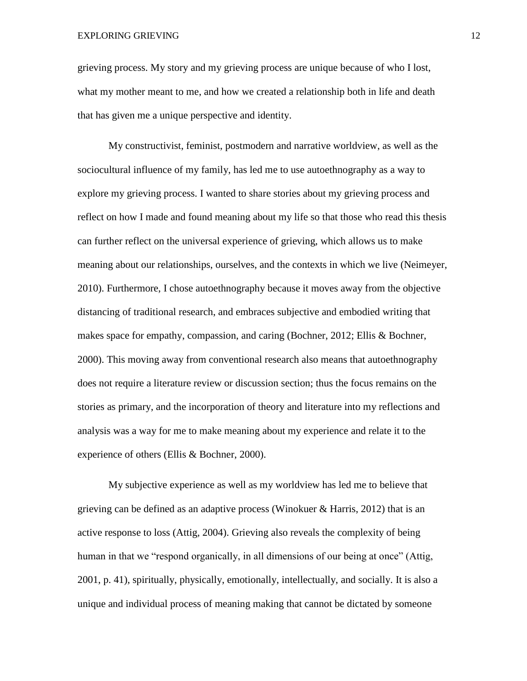grieving process. My story and my grieving process are unique because of who I lost, what my mother meant to me, and how we created a relationship both in life and death that has given me a unique perspective and identity.

My constructivist, feminist, postmodern and narrative worldview, as well as the sociocultural influence of my family, has led me to use autoethnography as a way to explore my grieving process. I wanted to share stories about my grieving process and reflect on how I made and found meaning about my life so that those who read this thesis can further reflect on the universal experience of grieving, which allows us to make meaning about our relationships, ourselves, and the contexts in which we live (Neimeyer, 2010). Furthermore, I chose autoethnography because it moves away from the objective distancing of traditional research, and embraces subjective and embodied writing that makes space for empathy, compassion, and caring (Bochner, 2012; Ellis & Bochner, 2000). This moving away from conventional research also means that autoethnography does not require a literature review or discussion section; thus the focus remains on the stories as primary, and the incorporation of theory and literature into my reflections and analysis was a way for me to make meaning about my experience and relate it to the experience of others (Ellis & Bochner, 2000).

My subjective experience as well as my worldview has led me to believe that grieving can be defined as an adaptive process (Winokuer & Harris, 2012) that is an active response to loss (Attig, 2004). Grieving also reveals the complexity of being human in that we "respond organically, in all dimensions of our being at once" (Attig, 2001, p. 41), spiritually, physically, emotionally, intellectually, and socially. It is also a unique and individual process of meaning making that cannot be dictated by someone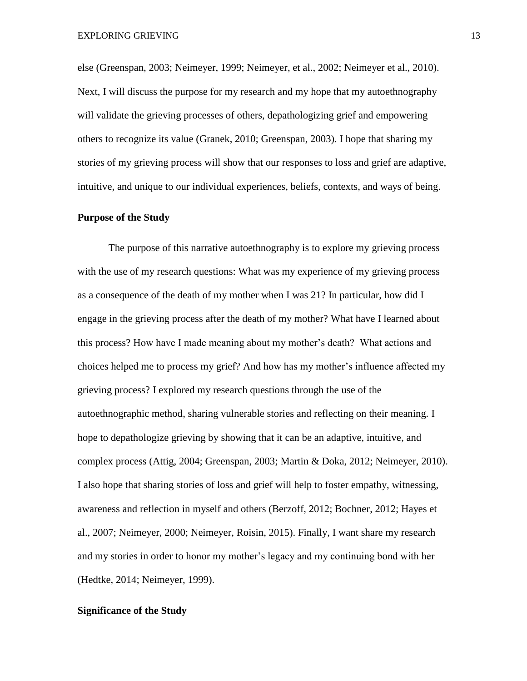else (Greenspan, 2003; Neimeyer, 1999; Neimeyer, et al., 2002; Neimeyer et al., 2010). Next, I will discuss the purpose for my research and my hope that my autoethnography will validate the grieving processes of others, depathologizing grief and empowering others to recognize its value (Granek, 2010; Greenspan, 2003). I hope that sharing my stories of my grieving process will show that our responses to loss and grief are adaptive, intuitive, and unique to our individual experiences, beliefs, contexts, and ways of being.

#### **Purpose of the Study**

The purpose of this narrative autoethnography is to explore my grieving process with the use of my research questions: What was my experience of my grieving process as a consequence of the death of my mother when I was 21? In particular, how did I engage in the grieving process after the death of my mother? What have I learned about this process? How have I made meaning about my mother's death? What actions and choices helped me to process my grief? And how has my mother's influence affected my grieving process? I explored my research questions through the use of the autoethnographic method, sharing vulnerable stories and reflecting on their meaning. I hope to depathologize grieving by showing that it can be an adaptive, intuitive, and complex process (Attig, 2004; Greenspan, 2003; Martin & Doka, 2012; Neimeyer, 2010). I also hope that sharing stories of loss and grief will help to foster empathy, witnessing, awareness and reflection in myself and others (Berzoff, 2012; Bochner, 2012; Hayes et al., 2007; Neimeyer, 2000; Neimeyer, Roisin, 2015). Finally, I want share my research and my stories in order to honor my mother's legacy and my continuing bond with her (Hedtke, 2014; Neimeyer, 1999).

# **Significance of the Study**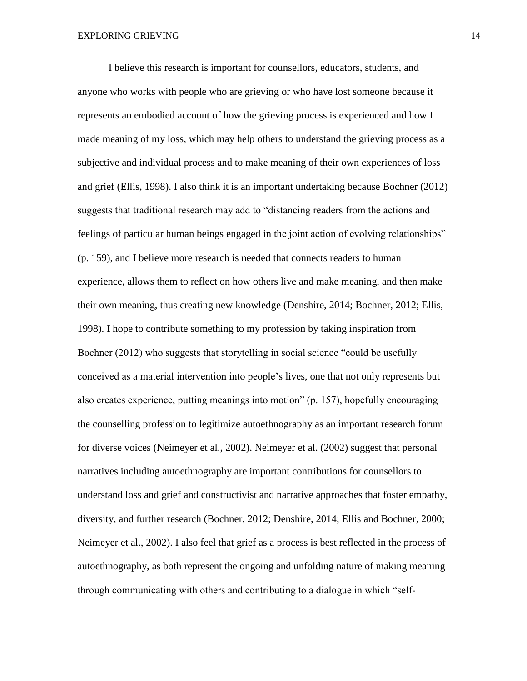I believe this research is important for counsellors, educators, students, and anyone who works with people who are grieving or who have lost someone because it represents an embodied account of how the grieving process is experienced and how I made meaning of my loss, which may help others to understand the grieving process as a subjective and individual process and to make meaning of their own experiences of loss and grief (Ellis, 1998). I also think it is an important undertaking because Bochner (2012) suggests that traditional research may add to "distancing readers from the actions and feelings of particular human beings engaged in the joint action of evolving relationships" (p. 159), and I believe more research is needed that connects readers to human experience, allows them to reflect on how others live and make meaning, and then make their own meaning, thus creating new knowledge (Denshire, 2014; Bochner, 2012; Ellis, 1998). I hope to contribute something to my profession by taking inspiration from Bochner (2012) who suggests that storytelling in social science "could be usefully conceived as a material intervention into people's lives, one that not only represents but also creates experience, putting meanings into motion" (p. 157), hopefully encouraging the counselling profession to legitimize autoethnography as an important research forum for diverse voices (Neimeyer et al., 2002). Neimeyer et al. (2002) suggest that personal narratives including autoethnography are important contributions for counsellors to understand loss and grief and constructivist and narrative approaches that foster empathy, diversity, and further research (Bochner, 2012; Denshire, 2014; Ellis and Bochner, 2000; Neimeyer et al., 2002). I also feel that grief as a process is best reflected in the process of autoethnography, as both represent the ongoing and unfolding nature of making meaning through communicating with others and contributing to a dialogue in which "self-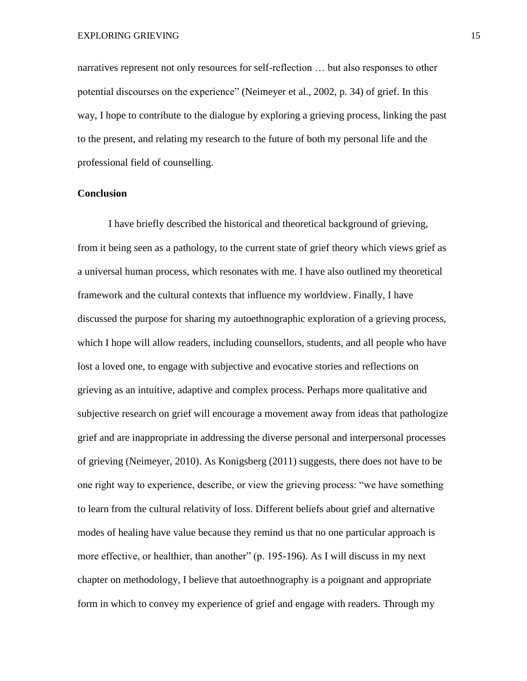narratives represent not only resources for self-reflection … but also responses to other potential discourses on the experience" (Neimeyer et al., 2002, p. 34) of grief. In this way, I hope to contribute to the dialogue by exploring a grieving process, linking the past to the present, and relating my research to the future of both my personal life and the professional field of counselling.

#### **Conclusion**

I have briefly described the historical and theoretical background of grieving, from it being seen as a pathology, to the current state of grief theory which views grief as a universal human process, which resonates with me. I have also outlined my theoretical framework and the cultural contexts that influence my worldview. Finally, I have discussed the purpose for sharing my autoethnographic exploration of a grieving process, which I hope will allow readers, including counsellors, students, and all people who have lost a loved one, to engage with subjective and evocative stories and reflections on grieving as an intuitive, adaptive and complex process. Perhaps more qualitative and subjective research on grief will encourage a movement away from ideas that pathologize grief and are inappropriate in addressing the diverse personal and interpersonal processes of grieving (Neimeyer, 2010). As Konigsberg (2011) suggests, there does not have to be one right way to experience, describe, or view the grieving process: "we have something to learn from the cultural relativity of loss. Different beliefs about grief and alternative modes of healing have value because they remind us that no one particular approach is more effective, or healthier, than another" (p. 195-196). As I will discuss in my next chapter on methodology, I believe that autoethnography is a poignant and appropriate form in which to convey my experience of grief and engage with readers. Through my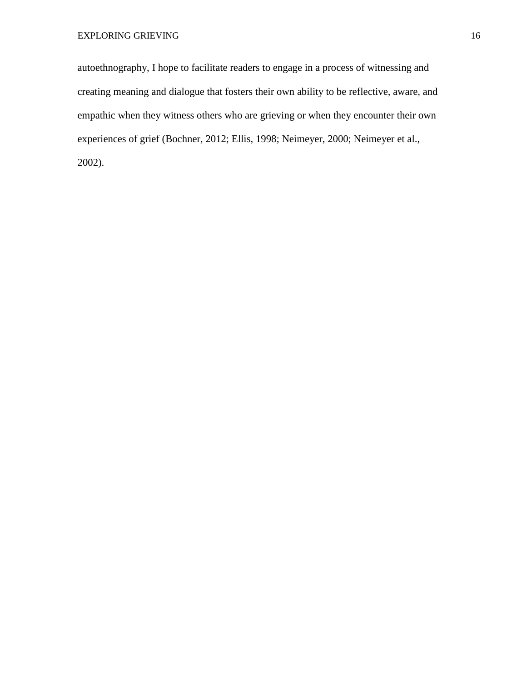autoethnography, I hope to facilitate readers to engage in a process of witnessing and creating meaning and dialogue that fosters their own ability to be reflective, aware, and empathic when they witness others who are grieving or when they encounter their own experiences of grief (Bochner, 2012; Ellis, 1998; Neimeyer, 2000; Neimeyer et al., 2002).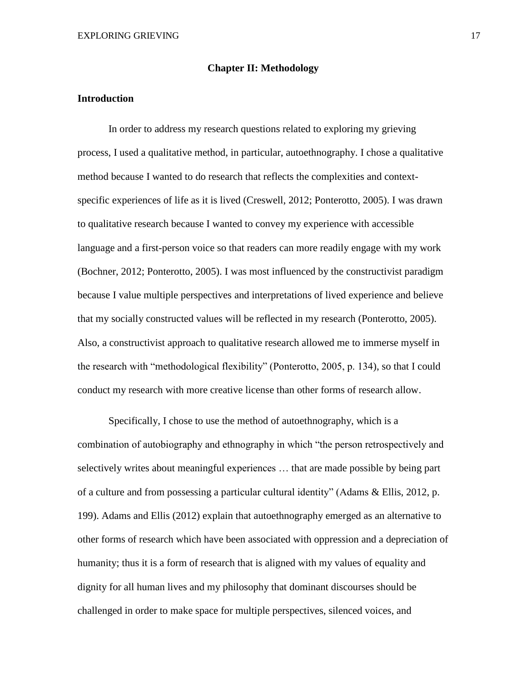### **Chapter II: Methodology**

## **Introduction**

In order to address my research questions related to exploring my grieving process, I used a qualitative method, in particular, autoethnography. I chose a qualitative method because I wanted to do research that reflects the complexities and contextspecific experiences of life as it is lived (Creswell, 2012; Ponterotto, 2005). I was drawn to qualitative research because I wanted to convey my experience with accessible language and a first-person voice so that readers can more readily engage with my work (Bochner, 2012; Ponterotto, 2005). I was most influenced by the constructivist paradigm because I value multiple perspectives and interpretations of lived experience and believe that my socially constructed values will be reflected in my research (Ponterotto, 2005). Also, a constructivist approach to qualitative research allowed me to immerse myself in the research with "methodological flexibility" (Ponterotto, 2005, p. 134), so that I could conduct my research with more creative license than other forms of research allow.

Specifically, I chose to use the method of autoethnography, which is a combination of autobiography and ethnography in which "the person retrospectively and selectively writes about meaningful experiences … that are made possible by being part of a culture and from possessing a particular cultural identity" (Adams & Ellis, 2012, p. 199). Adams and Ellis (2012) explain that autoethnography emerged as an alternative to other forms of research which have been associated with oppression and a depreciation of humanity; thus it is a form of research that is aligned with my values of equality and dignity for all human lives and my philosophy that dominant discourses should be challenged in order to make space for multiple perspectives, silenced voices, and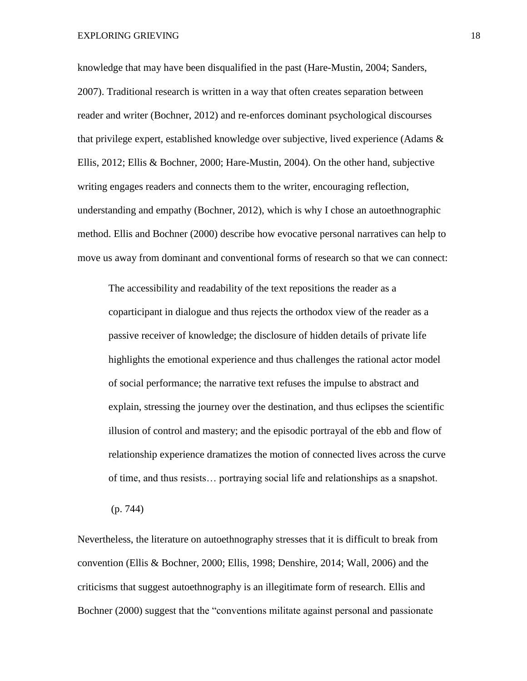EXPLORING GRIEVING 18

knowledge that may have been disqualified in the past (Hare-Mustin, 2004; Sanders, 2007). Traditional research is written in a way that often creates separation between reader and writer (Bochner, 2012) and re-enforces dominant psychological discourses that privilege expert, established knowledge over subjective, lived experience (Adams & Ellis, 2012; Ellis & Bochner, 2000; Hare-Mustin, 2004). On the other hand, subjective writing engages readers and connects them to the writer, encouraging reflection, understanding and empathy (Bochner, 2012), which is why I chose an autoethnographic method. Ellis and Bochner (2000) describe how evocative personal narratives can help to move us away from dominant and conventional forms of research so that we can connect:

The accessibility and readability of the text repositions the reader as a coparticipant in dialogue and thus rejects the orthodox view of the reader as a passive receiver of knowledge; the disclosure of hidden details of private life highlights the emotional experience and thus challenges the rational actor model of social performance; the narrative text refuses the impulse to abstract and explain, stressing the journey over the destination, and thus eclipses the scientific illusion of control and mastery; and the episodic portrayal of the ebb and flow of relationship experience dramatizes the motion of connected lives across the curve of time, and thus resists… portraying social life and relationships as a snapshot.

(p. 744)

Nevertheless, the literature on autoethnography stresses that it is difficult to break from convention (Ellis & Bochner, 2000; Ellis, 1998; Denshire, 2014; Wall, 2006) and the criticisms that suggest autoethnography is an illegitimate form of research. Ellis and Bochner (2000) suggest that the "conventions militate against personal and passionate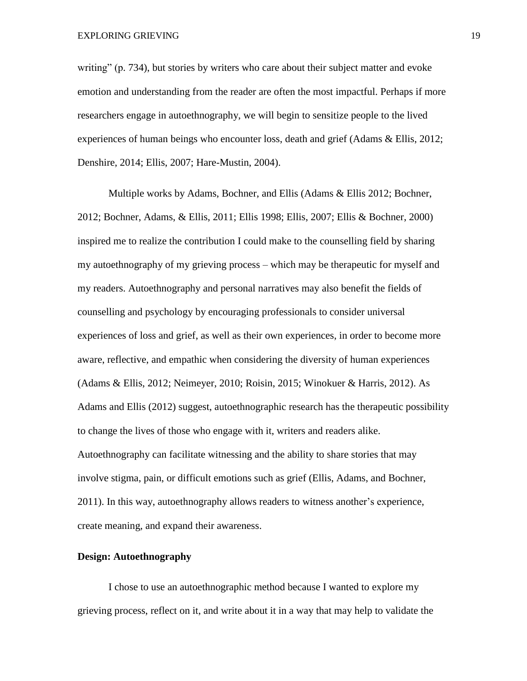writing" (p. 734), but stories by writers who care about their subject matter and evoke emotion and understanding from the reader are often the most impactful. Perhaps if more researchers engage in autoethnography, we will begin to sensitize people to the lived experiences of human beings who encounter loss, death and grief (Adams & Ellis, 2012; Denshire, 2014; Ellis, 2007; Hare-Mustin, 2004).

Multiple works by Adams, Bochner, and Ellis (Adams & Ellis 2012; Bochner, 2012; Bochner, Adams, & Ellis, 2011; Ellis 1998; Ellis, 2007; Ellis & Bochner, 2000) inspired me to realize the contribution I could make to the counselling field by sharing my autoethnography of my grieving process – which may be therapeutic for myself and my readers. Autoethnography and personal narratives may also benefit the fields of counselling and psychology by encouraging professionals to consider universal experiences of loss and grief, as well as their own experiences, in order to become more aware, reflective, and empathic when considering the diversity of human experiences (Adams & Ellis, 2012; Neimeyer, 2010; Roisin, 2015; Winokuer & Harris, 2012). As Adams and Ellis (2012) suggest, autoethnographic research has the therapeutic possibility to change the lives of those who engage with it, writers and readers alike. Autoethnography can facilitate witnessing and the ability to share stories that may involve stigma, pain, or difficult emotions such as grief (Ellis, Adams, and Bochner, 2011). In this way, autoethnography allows readers to witness another's experience, create meaning, and expand their awareness.

## **Design: Autoethnography**

I chose to use an autoethnographic method because I wanted to explore my grieving process, reflect on it, and write about it in a way that may help to validate the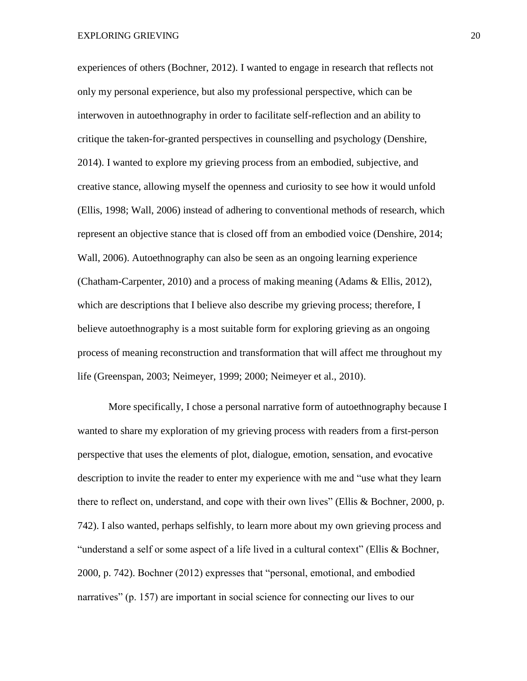experiences of others (Bochner, 2012). I wanted to engage in research that reflects not only my personal experience, but also my professional perspective, which can be interwoven in autoethnography in order to facilitate self-reflection and an ability to critique the taken-for-granted perspectives in counselling and psychology (Denshire, 2014). I wanted to explore my grieving process from an embodied, subjective, and creative stance, allowing myself the openness and curiosity to see how it would unfold (Ellis, 1998; Wall, 2006) instead of adhering to conventional methods of research, which represent an objective stance that is closed off from an embodied voice (Denshire, 2014; Wall, 2006). Autoethnography can also be seen as an ongoing learning experience (Chatham-Carpenter, 2010) and a process of making meaning (Adams & Ellis, 2012), which are descriptions that I believe also describe my grieving process; therefore, I believe autoethnography is a most suitable form for exploring grieving as an ongoing process of meaning reconstruction and transformation that will affect me throughout my life (Greenspan, 2003; Neimeyer, 1999; 2000; Neimeyer et al., 2010).

More specifically, I chose a personal narrative form of autoethnography because I wanted to share my exploration of my grieving process with readers from a first-person perspective that uses the elements of plot, dialogue, emotion, sensation, and evocative description to invite the reader to enter my experience with me and "use what they learn there to reflect on, understand, and cope with their own lives" (Ellis & Bochner, 2000, p. 742). I also wanted, perhaps selfishly, to learn more about my own grieving process and "understand a self or some aspect of a life lived in a cultural context" (Ellis & Bochner, 2000, p. 742). Bochner (2012) expresses that "personal, emotional, and embodied narratives" (p. 157) are important in social science for connecting our lives to our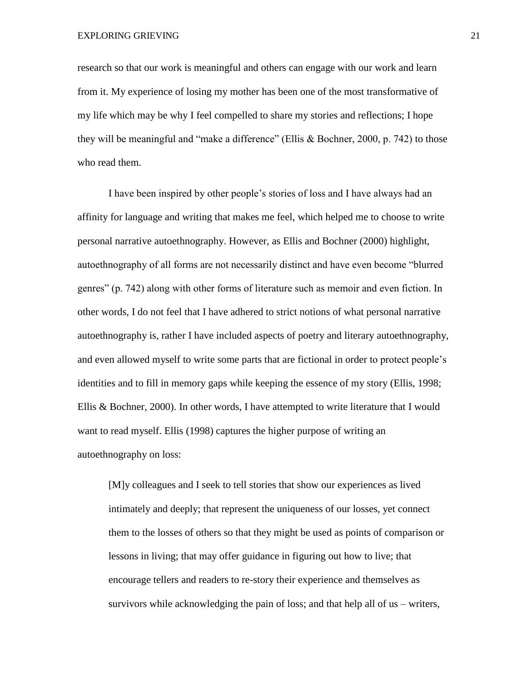research so that our work is meaningful and others can engage with our work and learn from it. My experience of losing my mother has been one of the most transformative of my life which may be why I feel compelled to share my stories and reflections; I hope they will be meaningful and "make a difference" (Ellis & Bochner, 2000, p. 742) to those who read them.

I have been inspired by other people's stories of loss and I have always had an affinity for language and writing that makes me feel, which helped me to choose to write personal narrative autoethnography. However, as Ellis and Bochner (2000) highlight, autoethnography of all forms are not necessarily distinct and have even become "blurred genres" (p. 742) along with other forms of literature such as memoir and even fiction. In other words, I do not feel that I have adhered to strict notions of what personal narrative autoethnography is, rather I have included aspects of poetry and literary autoethnography, and even allowed myself to write some parts that are fictional in order to protect people's identities and to fill in memory gaps while keeping the essence of my story (Ellis, 1998; Ellis & Bochner, 2000). In other words, I have attempted to write literature that I would want to read myself. Ellis (1998) captures the higher purpose of writing an autoethnography on loss:

[M]y colleagues and I seek to tell stories that show our experiences as lived intimately and deeply; that represent the uniqueness of our losses, yet connect them to the losses of others so that they might be used as points of comparison or lessons in living; that may offer guidance in figuring out how to live; that encourage tellers and readers to re-story their experience and themselves as survivors while acknowledging the pain of loss; and that help all of us – writers,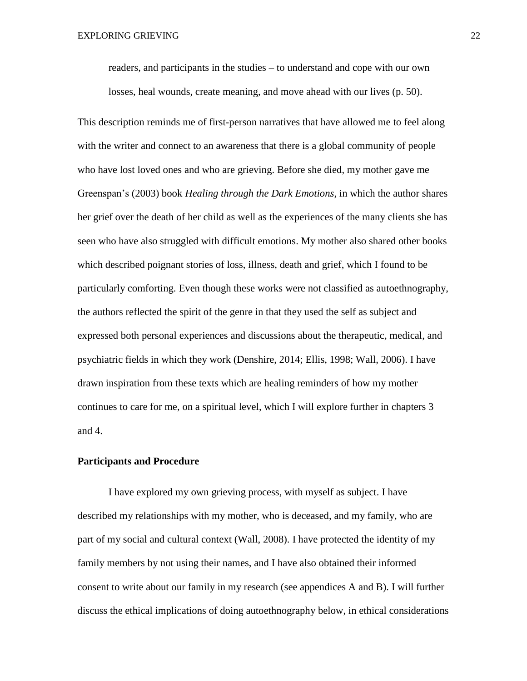readers, and participants in the studies – to understand and cope with our own losses, heal wounds, create meaning, and move ahead with our lives (p. 50).

This description reminds me of first-person narratives that have allowed me to feel along with the writer and connect to an awareness that there is a global community of people who have lost loved ones and who are grieving. Before she died, my mother gave me Greenspan's (2003) book *Healing through the Dark Emotions*, in which the author shares her grief over the death of her child as well as the experiences of the many clients she has seen who have also struggled with difficult emotions. My mother also shared other books which described poignant stories of loss, illness, death and grief, which I found to be particularly comforting. Even though these works were not classified as autoethnography, the authors reflected the spirit of the genre in that they used the self as subject and expressed both personal experiences and discussions about the therapeutic, medical, and psychiatric fields in which they work (Denshire, 2014; Ellis, 1998; Wall, 2006). I have drawn inspiration from these texts which are healing reminders of how my mother continues to care for me, on a spiritual level, which I will explore further in chapters 3 and 4.

#### **Participants and Procedure**

I have explored my own grieving process, with myself as subject. I have described my relationships with my mother, who is deceased, and my family, who are part of my social and cultural context (Wall, 2008). I have protected the identity of my family members by not using their names, and I have also obtained their informed consent to write about our family in my research (see appendices A and B). I will further discuss the ethical implications of doing autoethnography below, in ethical considerations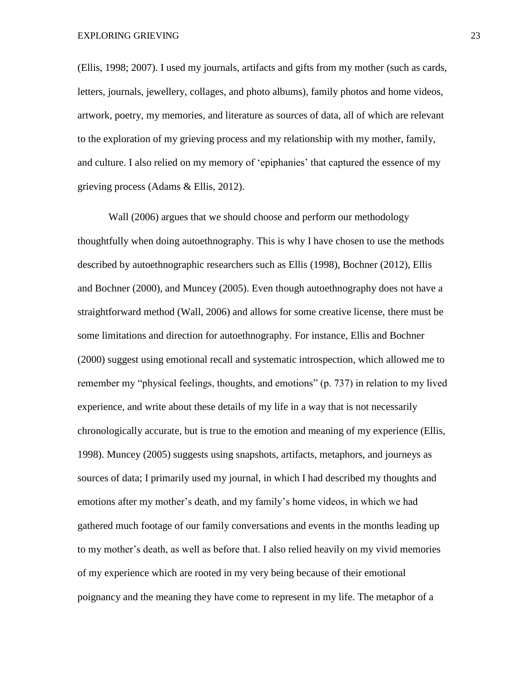(Ellis, 1998; 2007). I used my journals, artifacts and gifts from my mother (such as cards, letters, journals, jewellery, collages, and photo albums), family photos and home videos, artwork, poetry, my memories, and literature as sources of data, all of which are relevant to the exploration of my grieving process and my relationship with my mother, family, and culture. I also relied on my memory of 'epiphanies' that captured the essence of my grieving process (Adams & Ellis, 2012).

Wall (2006) argues that we should choose and perform our methodology thoughtfully when doing autoethnography. This is why I have chosen to use the methods described by autoethnographic researchers such as Ellis (1998), Bochner (2012), Ellis and Bochner (2000), and Muncey (2005). Even though autoethnography does not have a straightforward method (Wall, 2006) and allows for some creative license, there must be some limitations and direction for autoethnography. For instance, Ellis and Bochner (2000) suggest using emotional recall and systematic introspection, which allowed me to remember my "physical feelings, thoughts, and emotions" (p. 737) in relation to my lived experience, and write about these details of my life in a way that is not necessarily chronologically accurate, but is true to the emotion and meaning of my experience (Ellis, 1998). Muncey (2005) suggests using snapshots, artifacts, metaphors, and journeys as sources of data; I primarily used my journal, in which I had described my thoughts and emotions after my mother's death, and my family's home videos, in which we had gathered much footage of our family conversations and events in the months leading up to my mother's death, as well as before that. I also relied heavily on my vivid memories of my experience which are rooted in my very being because of their emotional poignancy and the meaning they have come to represent in my life. The metaphor of a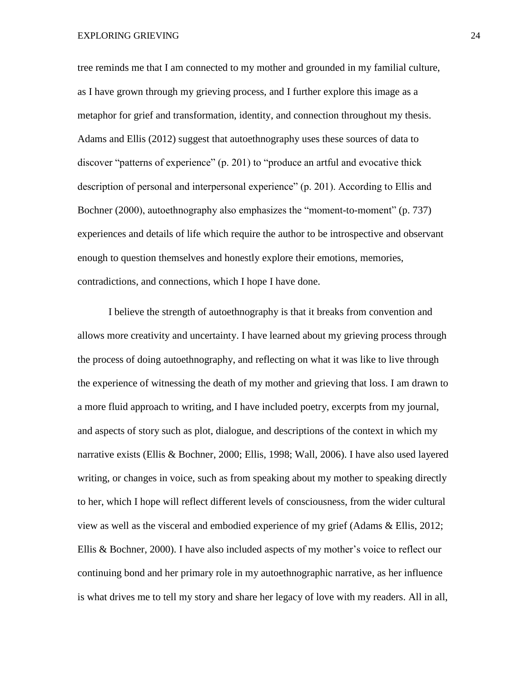tree reminds me that I am connected to my mother and grounded in my familial culture, as I have grown through my grieving process, and I further explore this image as a metaphor for grief and transformation, identity, and connection throughout my thesis. Adams and Ellis (2012) suggest that autoethnography uses these sources of data to discover "patterns of experience" (p. 201) to "produce an artful and evocative thick description of personal and interpersonal experience" (p. 201). According to Ellis and Bochner (2000), autoethnography also emphasizes the "moment-to-moment" (p. 737) experiences and details of life which require the author to be introspective and observant enough to question themselves and honestly explore their emotions, memories, contradictions, and connections, which I hope I have done.

I believe the strength of autoethnography is that it breaks from convention and allows more creativity and uncertainty. I have learned about my grieving process through the process of doing autoethnography, and reflecting on what it was like to live through the experience of witnessing the death of my mother and grieving that loss. I am drawn to a more fluid approach to writing, and I have included poetry, excerpts from my journal, and aspects of story such as plot, dialogue, and descriptions of the context in which my narrative exists (Ellis & Bochner, 2000; Ellis, 1998; Wall, 2006). I have also used layered writing, or changes in voice, such as from speaking about my mother to speaking directly to her, which I hope will reflect different levels of consciousness, from the wider cultural view as well as the visceral and embodied experience of my grief (Adams & Ellis, 2012; Ellis & Bochner, 2000). I have also included aspects of my mother's voice to reflect our continuing bond and her primary role in my autoethnographic narrative, as her influence is what drives me to tell my story and share her legacy of love with my readers. All in all,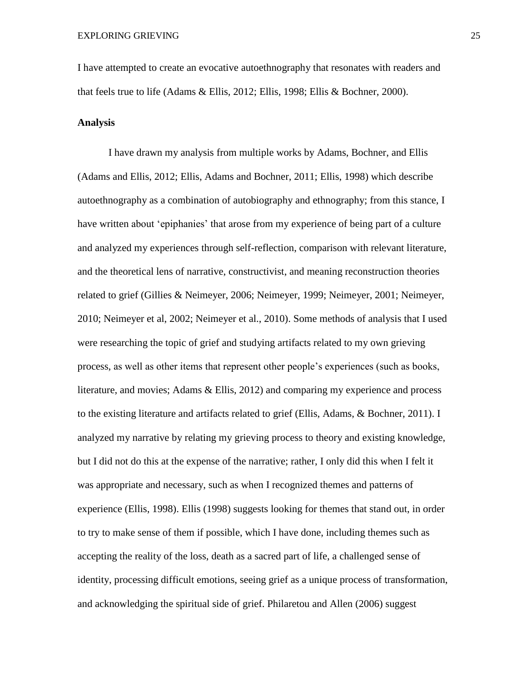I have attempted to create an evocative autoethnography that resonates with readers and that feels true to life (Adams & Ellis, 2012; Ellis, 1998; Ellis & Bochner, 2000).

## **Analysis**

I have drawn my analysis from multiple works by Adams, Bochner, and Ellis (Adams and Ellis, 2012; Ellis, Adams and Bochner, 2011; Ellis, 1998) which describe autoethnography as a combination of autobiography and ethnography; from this stance, I have written about 'epiphanies' that arose from my experience of being part of a culture and analyzed my experiences through self-reflection, comparison with relevant literature, and the theoretical lens of narrative, constructivist, and meaning reconstruction theories related to grief (Gillies & Neimeyer, 2006; Neimeyer, 1999; Neimeyer, 2001; Neimeyer, 2010; Neimeyer et al, 2002; Neimeyer et al., 2010). Some methods of analysis that I used were researching the topic of grief and studying artifacts related to my own grieving process, as well as other items that represent other people's experiences (such as books, literature, and movies; Adams & Ellis, 2012) and comparing my experience and process to the existing literature and artifacts related to grief (Ellis, Adams, & Bochner, 2011). I analyzed my narrative by relating my grieving process to theory and existing knowledge, but I did not do this at the expense of the narrative; rather, I only did this when I felt it was appropriate and necessary, such as when I recognized themes and patterns of experience (Ellis, 1998). Ellis (1998) suggests looking for themes that stand out, in order to try to make sense of them if possible, which I have done, including themes such as accepting the reality of the loss, death as a sacred part of life, a challenged sense of identity, processing difficult emotions, seeing grief as a unique process of transformation, and acknowledging the spiritual side of grief. Philaretou and Allen (2006) suggest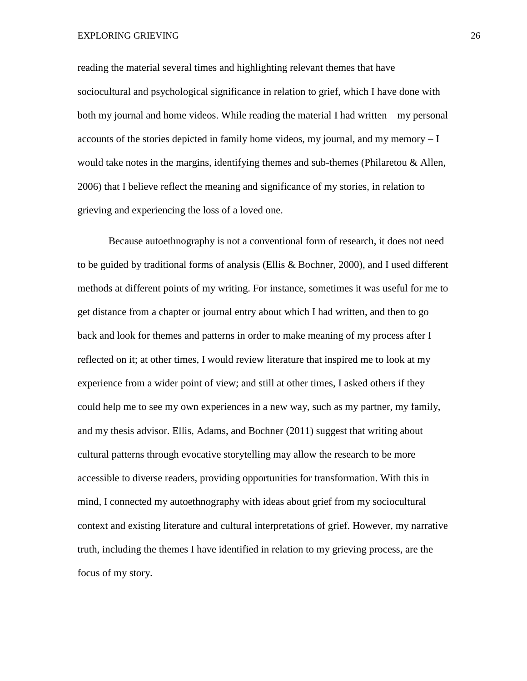reading the material several times and highlighting relevant themes that have sociocultural and psychological significance in relation to grief, which I have done with both my journal and home videos. While reading the material I had written – my personal accounts of the stories depicted in family home videos, my journal, and my memory – I would take notes in the margins, identifying themes and sub-themes (Philaretou & Allen, 2006) that I believe reflect the meaning and significance of my stories, in relation to grieving and experiencing the loss of a loved one.

Because autoethnography is not a conventional form of research, it does not need to be guided by traditional forms of analysis (Ellis & Bochner, 2000), and I used different methods at different points of my writing. For instance, sometimes it was useful for me to get distance from a chapter or journal entry about which I had written, and then to go back and look for themes and patterns in order to make meaning of my process after I reflected on it; at other times, I would review literature that inspired me to look at my experience from a wider point of view; and still at other times, I asked others if they could help me to see my own experiences in a new way, such as my partner, my family, and my thesis advisor. Ellis, Adams, and Bochner (2011) suggest that writing about cultural patterns through evocative storytelling may allow the research to be more accessible to diverse readers, providing opportunities for transformation. With this in mind, I connected my autoethnography with ideas about grief from my sociocultural context and existing literature and cultural interpretations of grief. However, my narrative truth, including the themes I have identified in relation to my grieving process, are the focus of my story.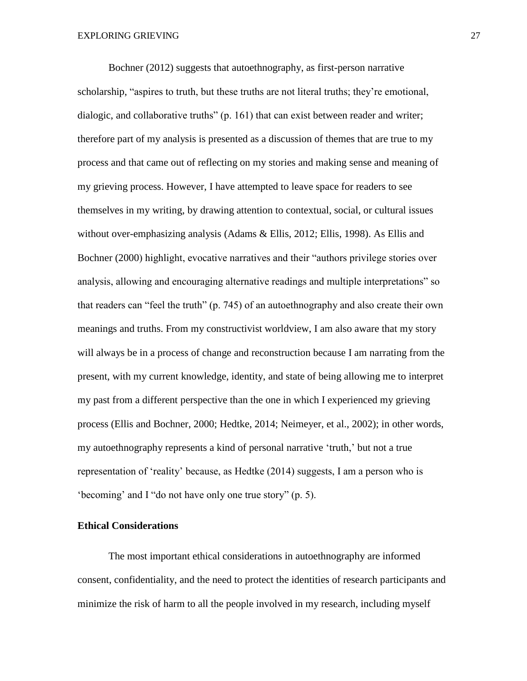Bochner (2012) suggests that autoethnography, as first-person narrative scholarship, "aspires to truth, but these truths are not literal truths; they're emotional, dialogic, and collaborative truths" (p. 161) that can exist between reader and writer; therefore part of my analysis is presented as a discussion of themes that are true to my process and that came out of reflecting on my stories and making sense and meaning of my grieving process. However, I have attempted to leave space for readers to see themselves in my writing, by drawing attention to contextual, social, or cultural issues without over-emphasizing analysis (Adams & Ellis, 2012; Ellis, 1998). As Ellis and Bochner (2000) highlight, evocative narratives and their "authors privilege stories over analysis, allowing and encouraging alternative readings and multiple interpretations" so that readers can "feel the truth" (p. 745) of an autoethnography and also create their own meanings and truths. From my constructivist worldview, I am also aware that my story will always be in a process of change and reconstruction because I am narrating from the present, with my current knowledge, identity, and state of being allowing me to interpret my past from a different perspective than the one in which I experienced my grieving process (Ellis and Bochner, 2000; Hedtke, 2014; Neimeyer, et al., 2002); in other words, my autoethnography represents a kind of personal narrative 'truth,' but not a true representation of 'reality' because, as Hedtke (2014) suggests, I am a person who is 'becoming' and I "do not have only one true story" (p. 5).

# **Ethical Considerations**

The most important ethical considerations in autoethnography are informed consent, confidentiality, and the need to protect the identities of research participants and minimize the risk of harm to all the people involved in my research, including myself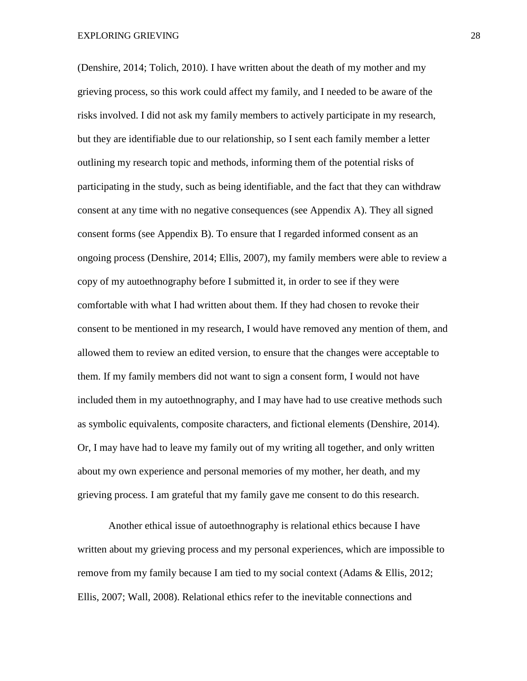(Denshire, 2014; Tolich, 2010). I have written about the death of my mother and my grieving process, so this work could affect my family, and I needed to be aware of the risks involved. I did not ask my family members to actively participate in my research, but they are identifiable due to our relationship, so I sent each family member a letter outlining my research topic and methods, informing them of the potential risks of participating in the study, such as being identifiable, and the fact that they can withdraw consent at any time with no negative consequences (see Appendix A). They all signed consent forms (see Appendix B). To ensure that I regarded informed consent as an ongoing process (Denshire, 2014; Ellis, 2007), my family members were able to review a copy of my autoethnography before I submitted it, in order to see if they were comfortable with what I had written about them. If they had chosen to revoke their consent to be mentioned in my research, I would have removed any mention of them, and allowed them to review an edited version, to ensure that the changes were acceptable to them. If my family members did not want to sign a consent form, I would not have included them in my autoethnography, and I may have had to use creative methods such as symbolic equivalents, composite characters, and fictional elements (Denshire, 2014). Or, I may have had to leave my family out of my writing all together, and only written about my own experience and personal memories of my mother, her death, and my grieving process. I am grateful that my family gave me consent to do this research.

Another ethical issue of autoethnography is relational ethics because I have written about my grieving process and my personal experiences, which are impossible to remove from my family because I am tied to my social context (Adams & Ellis, 2012; Ellis, 2007; Wall, 2008). Relational ethics refer to the inevitable connections and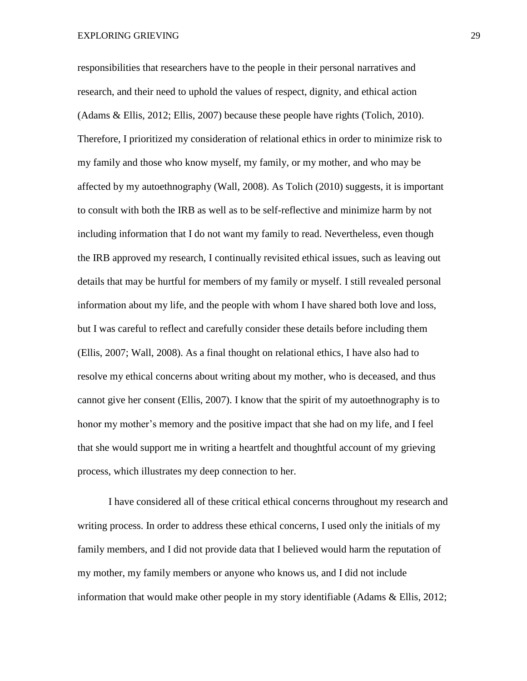responsibilities that researchers have to the people in their personal narratives and research, and their need to uphold the values of respect, dignity, and ethical action (Adams & Ellis, 2012; Ellis, 2007) because these people have rights (Tolich, 2010). Therefore, I prioritized my consideration of relational ethics in order to minimize risk to my family and those who know myself, my family, or my mother, and who may be affected by my autoethnography (Wall, 2008). As Tolich (2010) suggests, it is important to consult with both the IRB as well as to be self-reflective and minimize harm by not including information that I do not want my family to read. Nevertheless, even though the IRB approved my research, I continually revisited ethical issues, such as leaving out details that may be hurtful for members of my family or myself. I still revealed personal information about my life, and the people with whom I have shared both love and loss, but I was careful to reflect and carefully consider these details before including them (Ellis, 2007; Wall, 2008). As a final thought on relational ethics, I have also had to resolve my ethical concerns about writing about my mother, who is deceased, and thus cannot give her consent (Ellis, 2007). I know that the spirit of my autoethnography is to honor my mother's memory and the positive impact that she had on my life, and I feel that she would support me in writing a heartfelt and thoughtful account of my grieving process, which illustrates my deep connection to her.

I have considered all of these critical ethical concerns throughout my research and writing process. In order to address these ethical concerns, I used only the initials of my family members, and I did not provide data that I believed would harm the reputation of my mother, my family members or anyone who knows us, and I did not include information that would make other people in my story identifiable (Adams & Ellis, 2012;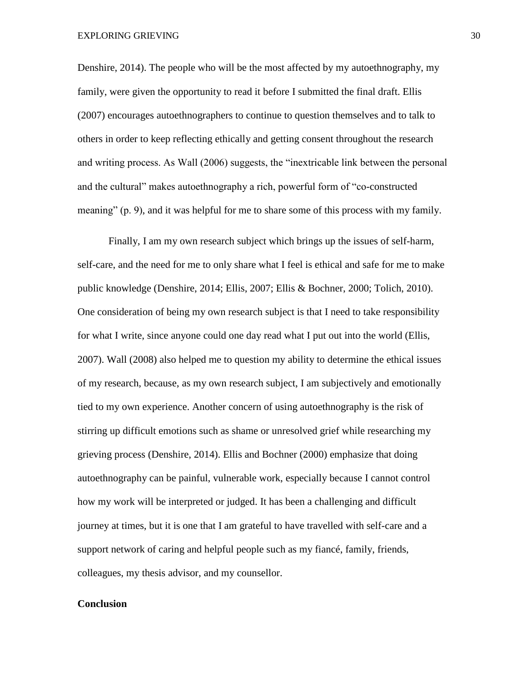Denshire, 2014). The people who will be the most affected by my autoethnography, my family, were given the opportunity to read it before I submitted the final draft. Ellis (2007) encourages autoethnographers to continue to question themselves and to talk to others in order to keep reflecting ethically and getting consent throughout the research and writing process. As Wall (2006) suggests, the "inextricable link between the personal and the cultural" makes autoethnography a rich, powerful form of "co-constructed meaning" (p. 9), and it was helpful for me to share some of this process with my family.

Finally, I am my own research subject which brings up the issues of self-harm, self-care, and the need for me to only share what I feel is ethical and safe for me to make public knowledge (Denshire, 2014; Ellis, 2007; Ellis & Bochner, 2000; Tolich, 2010). One consideration of being my own research subject is that I need to take responsibility for what I write, since anyone could one day read what I put out into the world (Ellis, 2007). Wall (2008) also helped me to question my ability to determine the ethical issues of my research, because, as my own research subject, I am subjectively and emotionally tied to my own experience. Another concern of using autoethnography is the risk of stirring up difficult emotions such as shame or unresolved grief while researching my grieving process (Denshire, 2014). Ellis and Bochner (2000) emphasize that doing autoethnography can be painful, vulnerable work, especially because I cannot control how my work will be interpreted or judged. It has been a challenging and difficult journey at times, but it is one that I am grateful to have travelled with self-care and a support network of caring and helpful people such as my fiancé, family, friends, colleagues, my thesis advisor, and my counsellor.

### **Conclusion**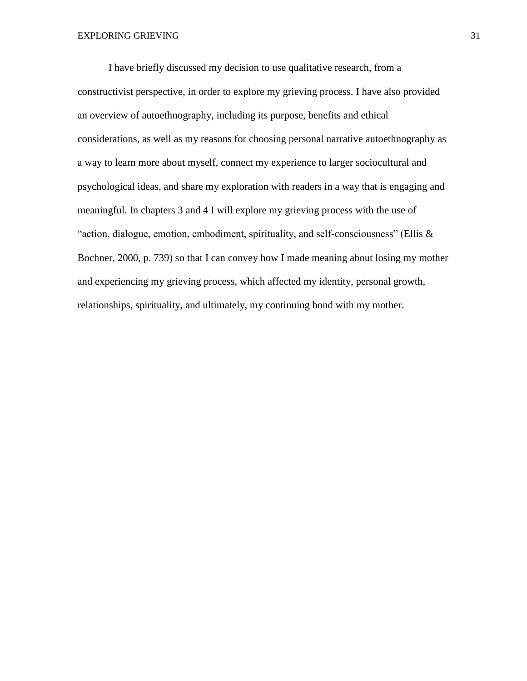I have briefly discussed my decision to use qualitative research, from a constructivist perspective, in order to explore my grieving process. I have also provided an overview of autoethnography, including its purpose, benefits and ethical considerations, as well as my reasons for choosing personal narrative autoethnography as a way to learn more about myself, connect my experience to larger sociocultural and psychological ideas, and share my exploration with readers in a way that is engaging and meaningful. In chapters 3 and 4 I will explore my grieving process with the use of "action, dialogue, emotion, embodiment, spirituality, and self-consciousness" (Ellis  $\&$ Bochner, 2000, p. 739) so that I can convey how I made meaning about losing my mother and experiencing my grieving process, which affected my identity, personal growth, relationships, spirituality, and ultimately, my continuing bond with my mother.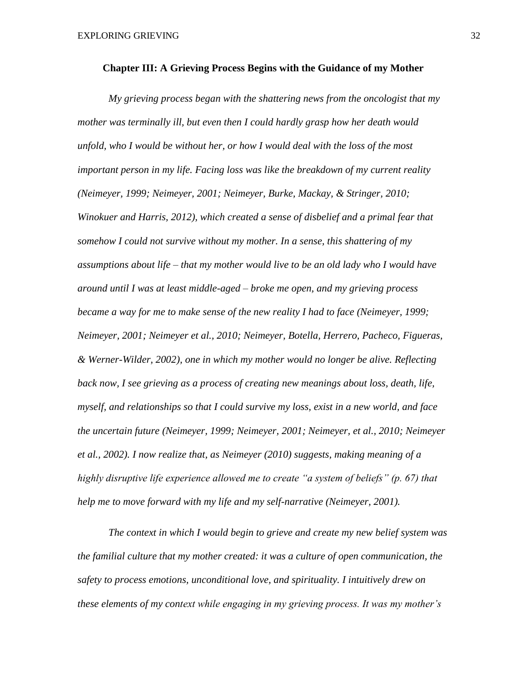#### **Chapter III: A Grieving Process Begins with the Guidance of my Mother**

*My grieving process began with the shattering news from the oncologist that my mother was terminally ill, but even then I could hardly grasp how her death would unfold, who I would be without her, or how I would deal with the loss of the most important person in my life. Facing loss was like the breakdown of my current reality (Neimeyer, 1999; Neimeyer, 2001; Neimeyer, Burke, Mackay, & Stringer, 2010; Winokuer and Harris, 2012), which created a sense of disbelief and a primal fear that somehow I could not survive without my mother. In a sense, this shattering of my assumptions about life – that my mother would live to be an old lady who I would have around until I was at least middle-aged – broke me open, and my grieving process became a way for me to make sense of the new reality I had to face (Neimeyer, 1999; Neimeyer, 2001; Neimeyer et al., 2010; Neimeyer, Botella, Herrero, Pacheco, Figueras, & Werner-Wilder, 2002), one in which my mother would no longer be alive. Reflecting*  back now, I see grieving as a process of creating new meanings about loss, death, life, *myself, and relationships so that I could survive my loss, exist in a new world, and face the uncertain future (Neimeyer, 1999; Neimeyer, 2001; Neimeyer, et al., 2010; Neimeyer et al., 2002). I now realize that, as Neimeyer (2010) suggests, making meaning of a highly disruptive life experience allowed me to create "a system of beliefs" (p. 67) that help me to move forward with my life and my self-narrative (Neimeyer, 2001).* 

*The context in which I would begin to grieve and create my new belief system was the familial culture that my mother created: it was a culture of open communication, the safety to process emotions, unconditional love, and spirituality. I intuitively drew on these elements of my context while engaging in my grieving process. It was my mother's*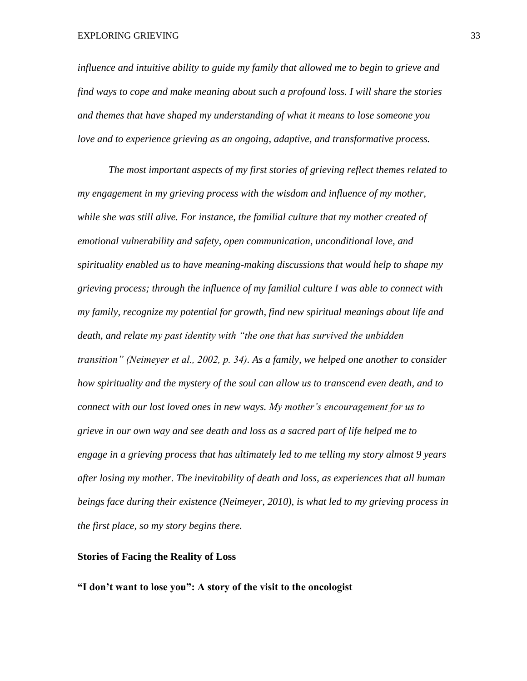EXPLORING GRIEVING 33

*influence and intuitive ability to guide my family that allowed me to begin to grieve and find ways to cope and make meaning about such a profound loss. I will share the stories and themes that have shaped my understanding of what it means to lose someone you love and to experience grieving as an ongoing, adaptive, and transformative process.*

*The most important aspects of my first stories of grieving reflect themes related to my engagement in my grieving process with the wisdom and influence of my mother, while she was still alive. For instance, the familial culture that my mother created of emotional vulnerability and safety, open communication, unconditional love, and spirituality enabled us to have meaning-making discussions that would help to shape my grieving process; through the influence of my familial culture I was able to connect with my family, recognize my potential for growth, find new spiritual meanings about life and death, and relate my past identity with "the one that has survived the unbidden transition" (Neimeyer et al., 2002, p. 34). As a family, we helped one another to consider how spirituality and the mystery of the soul can allow us to transcend even death, and to connect with our lost loved ones in new ways. My mother's encouragement for us to grieve in our own way and see death and loss as a sacred part of life helped me to engage in a grieving process that has ultimately led to me telling my story almost 9 years after losing my mother. The inevitability of death and loss, as experiences that all human beings face during their existence (Neimeyer, 2010), is what led to my grieving process in the first place, so my story begins there.* 

# **Stories of Facing the Reality of Loss**

**"I don't want to lose you": A story of the visit to the oncologist**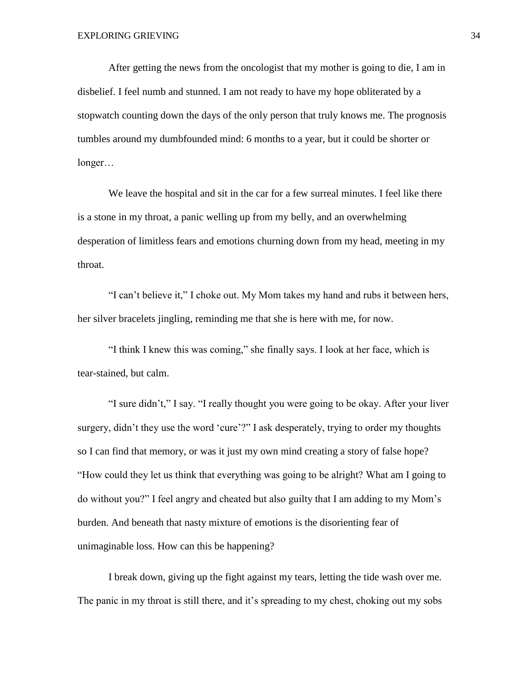After getting the news from the oncologist that my mother is going to die, I am in disbelief. I feel numb and stunned. I am not ready to have my hope obliterated by a stopwatch counting down the days of the only person that truly knows me. The prognosis tumbles around my dumbfounded mind: 6 months to a year, but it could be shorter or longer…

We leave the hospital and sit in the car for a few surreal minutes. I feel like there is a stone in my throat, a panic welling up from my belly, and an overwhelming desperation of limitless fears and emotions churning down from my head, meeting in my throat.

"I can't believe it," I choke out. My Mom takes my hand and rubs it between hers, her silver bracelets jingling, reminding me that she is here with me, for now.

"I think I knew this was coming," she finally says. I look at her face, which is tear-stained, but calm.

"I sure didn't," I say. "I really thought you were going to be okay. After your liver surgery, didn't they use the word 'cure'?" I ask desperately, trying to order my thoughts so I can find that memory, or was it just my own mind creating a story of false hope? "How could they let us think that everything was going to be alright? What am I going to do without you?" I feel angry and cheated but also guilty that I am adding to my Mom's burden. And beneath that nasty mixture of emotions is the disorienting fear of unimaginable loss. How can this be happening?

I break down, giving up the fight against my tears, letting the tide wash over me. The panic in my throat is still there, and it's spreading to my chest, choking out my sobs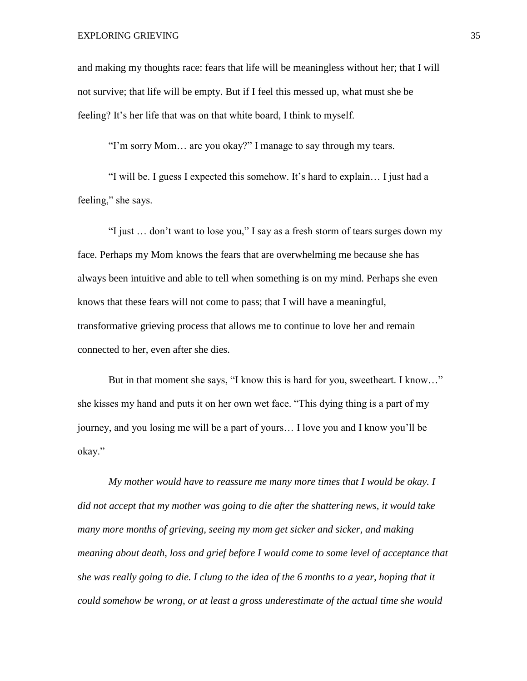and making my thoughts race: fears that life will be meaningless without her; that I will not survive; that life will be empty. But if I feel this messed up, what must she be feeling? It's her life that was on that white board, I think to myself.

"I'm sorry Mom… are you okay?" I manage to say through my tears.

"I will be. I guess I expected this somehow. It's hard to explain… I just had a feeling," she says.

"I just … don't want to lose you," I say as a fresh storm of tears surges down my face. Perhaps my Mom knows the fears that are overwhelming me because she has always been intuitive and able to tell when something is on my mind. Perhaps she even knows that these fears will not come to pass; that I will have a meaningful, transformative grieving process that allows me to continue to love her and remain connected to her, even after she dies.

But in that moment she says, "I know this is hard for you, sweetheart. I know…" she kisses my hand and puts it on her own wet face. "This dying thing is a part of my journey, and you losing me will be a part of yours… I love you and I know you'll be okay."

*My mother would have to reassure me many more times that I would be okay. I did not accept that my mother was going to die after the shattering news, it would take many more months of grieving, seeing my mom get sicker and sicker, and making meaning about death, loss and grief before I would come to some level of acceptance that she was really going to die. I clung to the idea of the 6 months to a year, hoping that it could somehow be wrong, or at least a gross underestimate of the actual time she would*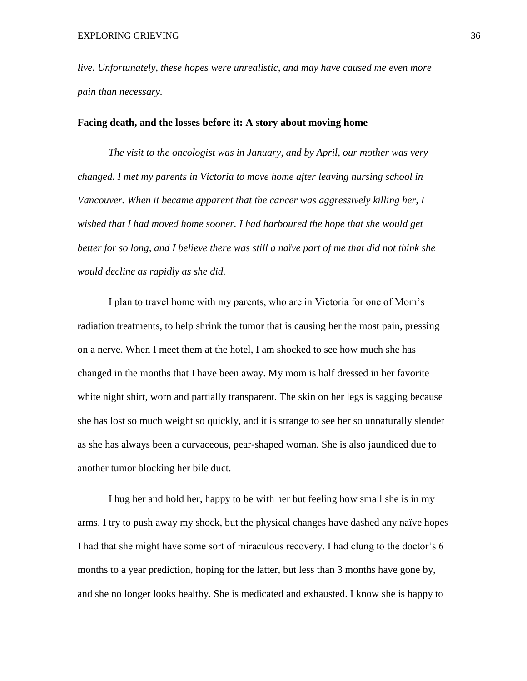*live. Unfortunately, these hopes were unrealistic, and may have caused me even more pain than necessary.*

# **Facing death, and the losses before it: A story about moving home**

*The visit to the oncologist was in January, and by April, our mother was very changed. I met my parents in Victoria to move home after leaving nursing school in Vancouver. When it became apparent that the cancer was aggressively killing her, I wished that I had moved home sooner. I had harboured the hope that she would get better for so long, and I believe there was still a naïve part of me that did not think she would decline as rapidly as she did.*

I plan to travel home with my parents, who are in Victoria for one of Mom's radiation treatments, to help shrink the tumor that is causing her the most pain, pressing on a nerve. When I meet them at the hotel, I am shocked to see how much she has changed in the months that I have been away. My mom is half dressed in her favorite white night shirt, worn and partially transparent. The skin on her legs is sagging because she has lost so much weight so quickly, and it is strange to see her so unnaturally slender as she has always been a curvaceous, pear-shaped woman. She is also jaundiced due to another tumor blocking her bile duct.

I hug her and hold her, happy to be with her but feeling how small she is in my arms. I try to push away my shock, but the physical changes have dashed any naïve hopes I had that she might have some sort of miraculous recovery. I had clung to the doctor's 6 months to a year prediction, hoping for the latter, but less than 3 months have gone by, and she no longer looks healthy. She is medicated and exhausted. I know she is happy to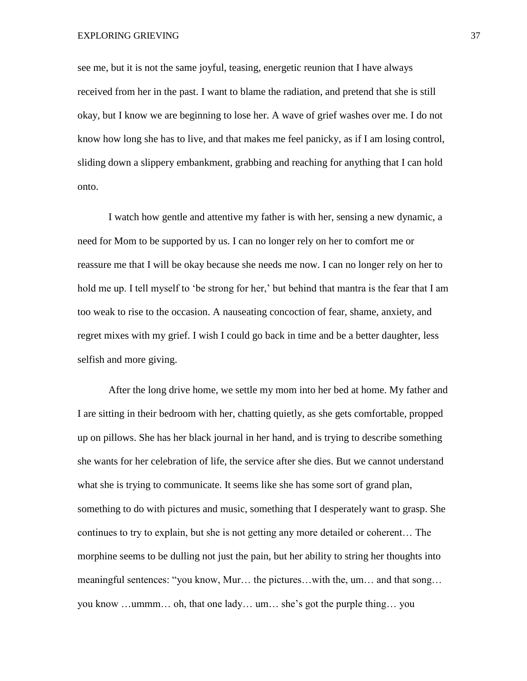see me, but it is not the same joyful, teasing, energetic reunion that I have always received from her in the past. I want to blame the radiation, and pretend that she is still okay, but I know we are beginning to lose her. A wave of grief washes over me. I do not know how long she has to live, and that makes me feel panicky, as if I am losing control, sliding down a slippery embankment, grabbing and reaching for anything that I can hold onto.

I watch how gentle and attentive my father is with her, sensing a new dynamic, a need for Mom to be supported by us. I can no longer rely on her to comfort me or reassure me that I will be okay because she needs me now. I can no longer rely on her to hold me up. I tell myself to 'be strong for her,' but behind that mantra is the fear that I am too weak to rise to the occasion. A nauseating concoction of fear, shame, anxiety, and regret mixes with my grief. I wish I could go back in time and be a better daughter, less selfish and more giving.

After the long drive home, we settle my mom into her bed at home. My father and I are sitting in their bedroom with her, chatting quietly, as she gets comfortable, propped up on pillows. She has her black journal in her hand, and is trying to describe something she wants for her celebration of life, the service after she dies. But we cannot understand what she is trying to communicate. It seems like she has some sort of grand plan, something to do with pictures and music, something that I desperately want to grasp. She continues to try to explain, but she is not getting any more detailed or coherent… The morphine seems to be dulling not just the pain, but her ability to string her thoughts into meaningful sentences: "you know, Mur… the pictures…with the, um… and that song… you know …ummm… oh, that one lady… um… she's got the purple thing… you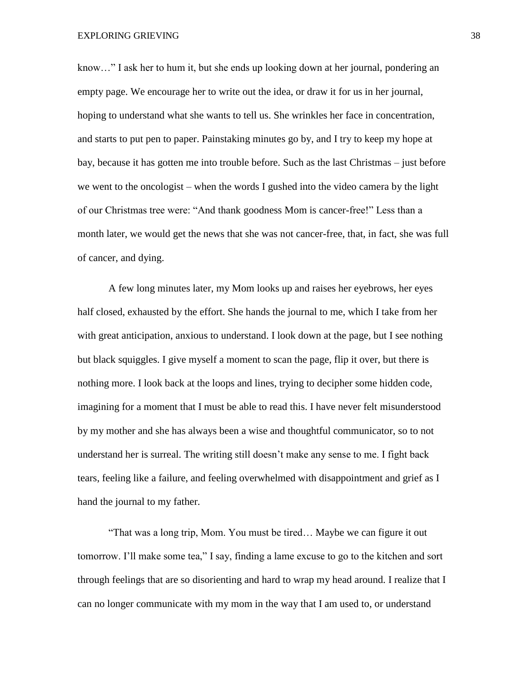know…" I ask her to hum it, but she ends up looking down at her journal, pondering an empty page. We encourage her to write out the idea, or draw it for us in her journal, hoping to understand what she wants to tell us. She wrinkles her face in concentration, and starts to put pen to paper. Painstaking minutes go by, and I try to keep my hope at bay, because it has gotten me into trouble before. Such as the last Christmas – just before we went to the oncologist – when the words I gushed into the video camera by the light of our Christmas tree were: "And thank goodness Mom is cancer-free!" Less than a month later, we would get the news that she was not cancer-free, that, in fact, she was full of cancer, and dying.

A few long minutes later, my Mom looks up and raises her eyebrows, her eyes half closed, exhausted by the effort. She hands the journal to me, which I take from her with great anticipation, anxious to understand. I look down at the page, but I see nothing but black squiggles. I give myself a moment to scan the page, flip it over, but there is nothing more. I look back at the loops and lines, trying to decipher some hidden code, imagining for a moment that I must be able to read this. I have never felt misunderstood by my mother and she has always been a wise and thoughtful communicator, so to not understand her is surreal. The writing still doesn't make any sense to me. I fight back tears, feeling like a failure, and feeling overwhelmed with disappointment and grief as I hand the journal to my father.

"That was a long trip, Mom. You must be tired… Maybe we can figure it out tomorrow. I'll make some tea," I say, finding a lame excuse to go to the kitchen and sort through feelings that are so disorienting and hard to wrap my head around. I realize that I can no longer communicate with my mom in the way that I am used to, or understand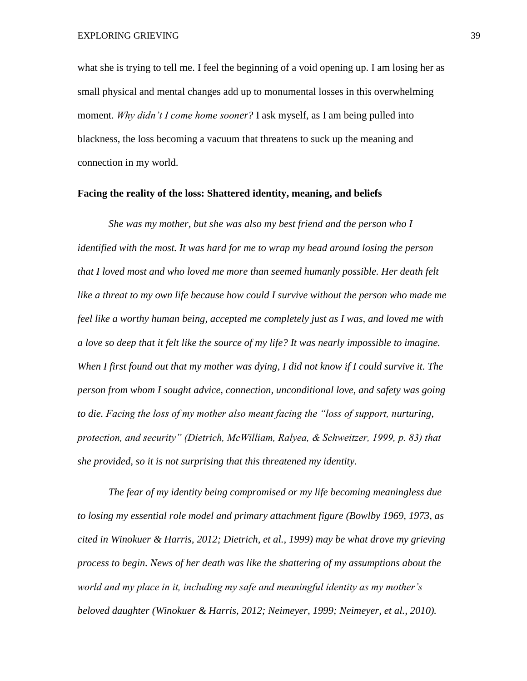what she is trying to tell me. I feel the beginning of a void opening up. I am losing her as small physical and mental changes add up to monumental losses in this overwhelming moment. *Why didn't I come home sooner?* I ask myself, as I am being pulled into blackness, the loss becoming a vacuum that threatens to suck up the meaning and connection in my world.

## **Facing the reality of the loss: Shattered identity, meaning, and beliefs**

*She was my mother, but she was also my best friend and the person who I identified with the most. It was hard for me to wrap my head around losing the person that I loved most and who loved me more than seemed humanly possible. Her death felt like a threat to my own life because how could I survive without the person who made me feel like a worthy human being, accepted me completely just as I was, and loved me with a love so deep that it felt like the source of my life? It was nearly impossible to imagine. When I first found out that my mother was dying, I did not know if I could survive it. The person from whom I sought advice, connection, unconditional love, and safety was going to die. Facing the loss of my mother also meant facing the "loss of support, nurturing, protection, and security" (Dietrich, McWilliam, Ralyea, & Schweitzer, 1999, p. 83) that she provided, so it is not surprising that this threatened my identity.* 

*The fear of my identity being compromised or my life becoming meaningless due to losing my essential role model and primary attachment figure (Bowlby 1969, 1973, as cited in Winokuer & Harris, 2012; Dietrich, et al., 1999) may be what drove my grieving process to begin. News of her death was like the shattering of my assumptions about the world and my place in it, including my safe and meaningful identity as my mother's beloved daughter (Winokuer & Harris, 2012; Neimeyer, 1999; Neimeyer, et al., 2010).*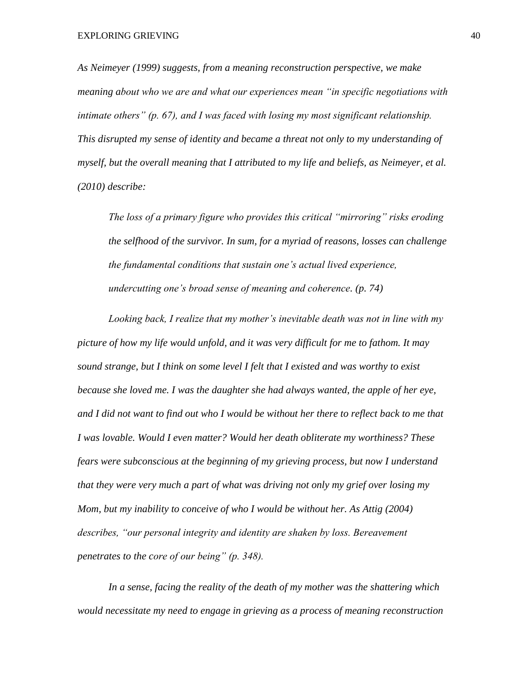*As Neimeyer (1999) suggests, from a meaning reconstruction perspective, we make meaning about who we are and what our experiences mean "in specific negotiations with intimate others" (p. 67), and I was faced with losing my most significant relationship. This disrupted my sense of identity and became a threat not only to my understanding of myself, but the overall meaning that I attributed to my life and beliefs, as Neimeyer, et al. (2010) describe:*

*The loss of a primary figure who provides this critical "mirroring" risks eroding the selfhood of the survivor. In sum, for a myriad of reasons, losses can challenge the fundamental conditions that sustain one's actual lived experience, undercutting one's broad sense of meaning and coherence. (p. 74)* 

*Looking back, I realize that my mother's inevitable death was not in line with my picture of how my life would unfold, and it was very difficult for me to fathom. It may sound strange, but I think on some level I felt that I existed and was worthy to exist because she loved me. I was the daughter she had always wanted, the apple of her eye, and I did not want to find out who I would be without her there to reflect back to me that I was lovable. Would I even matter? Would her death obliterate my worthiness? These fears were subconscious at the beginning of my grieving process, but now I understand that they were very much a part of what was driving not only my grief over losing my Mom, but my inability to conceive of who I would be without her. As Attig (2004) describes, "our personal integrity and identity are shaken by loss. Bereavement penetrates to the core of our being" (p. 348).* 

*In a sense, facing the reality of the death of my mother was the shattering which would necessitate my need to engage in grieving as a process of meaning reconstruction*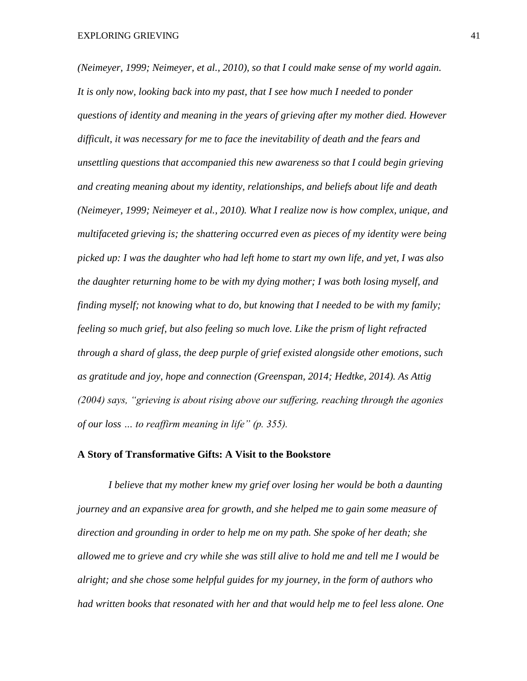*(Neimeyer, 1999; Neimeyer, et al., 2010), so that I could make sense of my world again. It is only now, looking back into my past, that I see how much I needed to ponder questions of identity and meaning in the years of grieving after my mother died. However difficult, it was necessary for me to face the inevitability of death and the fears and unsettling questions that accompanied this new awareness so that I could begin grieving and creating meaning about my identity, relationships, and beliefs about life and death (Neimeyer, 1999; Neimeyer et al., 2010). What I realize now is how complex, unique, and multifaceted grieving is; the shattering occurred even as pieces of my identity were being picked up: I was the daughter who had left home to start my own life, and yet, I was also the daughter returning home to be with my dying mother; I was both losing myself, and finding myself; not knowing what to do, but knowing that I needed to be with my family; feeling so much grief, but also feeling so much love. Like the prism of light refracted through a shard of glass, the deep purple of grief existed alongside other emotions, such as gratitude and joy, hope and connection (Greenspan, 2014; Hedtke, 2014). As Attig (2004) says, "grieving is about rising above our suffering, reaching through the agonies of our loss … to reaffirm meaning in life" (p. 355).* 

# **A Story of Transformative Gifts: A Visit to the Bookstore**

*I believe that my mother knew my grief over losing her would be both a daunting journey and an expansive area for growth, and she helped me to gain some measure of direction and grounding in order to help me on my path. She spoke of her death; she allowed me to grieve and cry while she was still alive to hold me and tell me I would be alright; and she chose some helpful guides for my journey, in the form of authors who had written books that resonated with her and that would help me to feel less alone. One*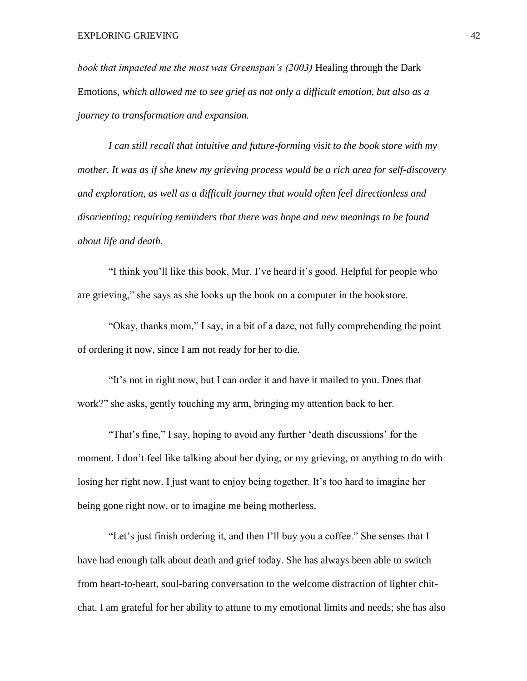*book that impacted me the most was Greenspan's (2003)* Healing through the Dark Emotions*, which allowed me to see grief as not only a difficult emotion, but also as a journey to transformation and expansion.* 

*I can still recall that intuitive and future-forming visit to the book store with my mother. It was as if she knew my grieving process would be a rich area for self-discovery and exploration, as well as a difficult journey that would often feel directionless and disorienting; requiring reminders that there was hope and new meanings to be found about life and death.*

"I think you'll like this book, Mur. I've heard it's good. Helpful for people who are grieving," she says as she looks up the book on a computer in the bookstore.

"Okay, thanks mom," I say, in a bit of a daze, not fully comprehending the point of ordering it now, since I am not ready for her to die.

"It's not in right now, but I can order it and have it mailed to you. Does that work?" she asks, gently touching my arm, bringing my attention back to her.

"That's fine," I say, hoping to avoid any further 'death discussions' for the moment. I don't feel like talking about her dying, or my grieving, or anything to do with losing her right now. I just want to enjoy being together. It's too hard to imagine her being gone right now, or to imagine me being motherless.

"Let's just finish ordering it, and then I'll buy you a coffee." She senses that I have had enough talk about death and grief today. She has always been able to switch from heart-to-heart, soul-baring conversation to the welcome distraction of lighter chitchat. I am grateful for her ability to attune to my emotional limits and needs; she has also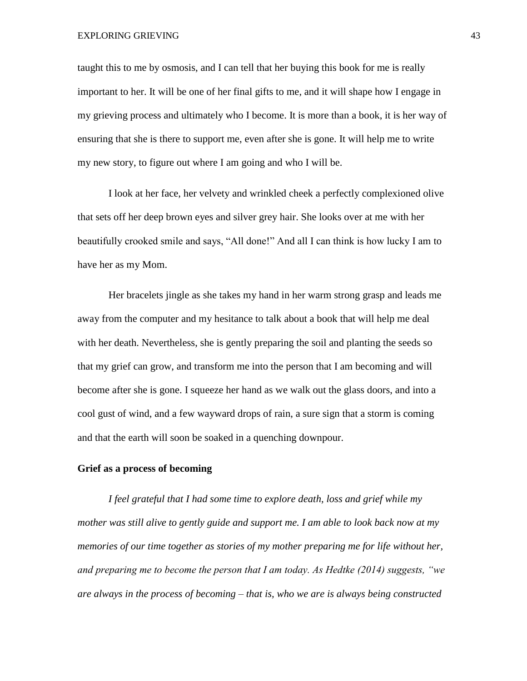taught this to me by osmosis, and I can tell that her buying this book for me is really important to her. It will be one of her final gifts to me, and it will shape how I engage in my grieving process and ultimately who I become. It is more than a book, it is her way of ensuring that she is there to support me, even after she is gone. It will help me to write my new story, to figure out where I am going and who I will be.

I look at her face, her velvety and wrinkled cheek a perfectly complexioned olive that sets off her deep brown eyes and silver grey hair. She looks over at me with her beautifully crooked smile and says, "All done!" And all I can think is how lucky I am to have her as my Mom.

Her bracelets jingle as she takes my hand in her warm strong grasp and leads me away from the computer and my hesitance to talk about a book that will help me deal with her death. Nevertheless, she is gently preparing the soil and planting the seeds so that my grief can grow, and transform me into the person that I am becoming and will become after she is gone. I squeeze her hand as we walk out the glass doors, and into a cool gust of wind, and a few wayward drops of rain, a sure sign that a storm is coming and that the earth will soon be soaked in a quenching downpour.

# **Grief as a process of becoming**

*I feel grateful that I had some time to explore death, loss and grief while my mother was still alive to gently guide and support me. I am able to look back now at my memories of our time together as stories of my mother preparing me for life without her, and preparing me to become the person that I am today. As Hedtke (2014) suggests, "we are always in the process of becoming – that is, who we are is always being constructed*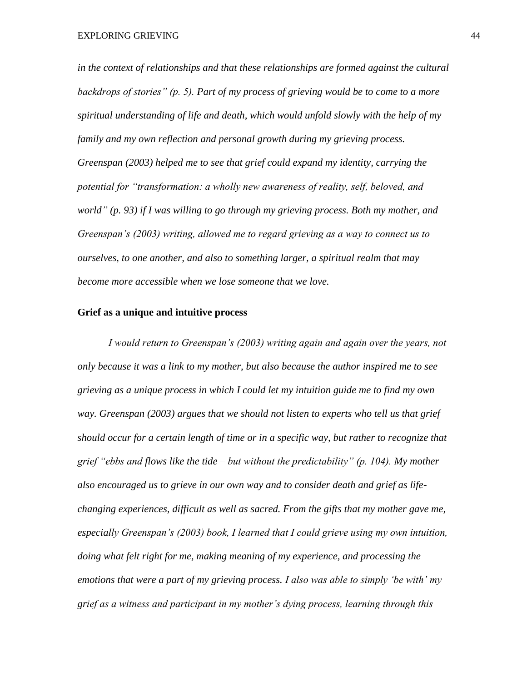*in the context of relationships and that these relationships are formed against the cultural backdrops of stories" (p. 5). Part of my process of grieving would be to come to a more spiritual understanding of life and death, which would unfold slowly with the help of my family and my own reflection and personal growth during my grieving process. Greenspan (2003) helped me to see that grief could expand my identity, carrying the potential for "transformation: a wholly new awareness of reality, self, beloved, and world" (p. 93) if I was willing to go through my grieving process. Both my mother, and Greenspan's (2003) writing, allowed me to regard grieving as a way to connect us to ourselves, to one another, and also to something larger, a spiritual realm that may become more accessible when we lose someone that we love.*

# **Grief as a unique and intuitive process**

*I would return to Greenspan's (2003) writing again and again over the years, not only because it was a link to my mother, but also because the author inspired me to see grieving as a unique process in which I could let my intuition guide me to find my own way. Greenspan (2003) argues that we should not listen to experts who tell us that grief should occur for a certain length of time or in a specific way, but rather to recognize that grief "ebbs and flows like the tide – but without the predictability" (p. 104). My mother also encouraged us to grieve in our own way and to consider death and grief as lifechanging experiences, difficult as well as sacred. From the gifts that my mother gave me, especially Greenspan's (2003) book, I learned that I could grieve using my own intuition, doing what felt right for me, making meaning of my experience, and processing the emotions that were a part of my grieving process. I also was able to simply 'be with' my grief as a witness and participant in my mother's dying process, learning through this*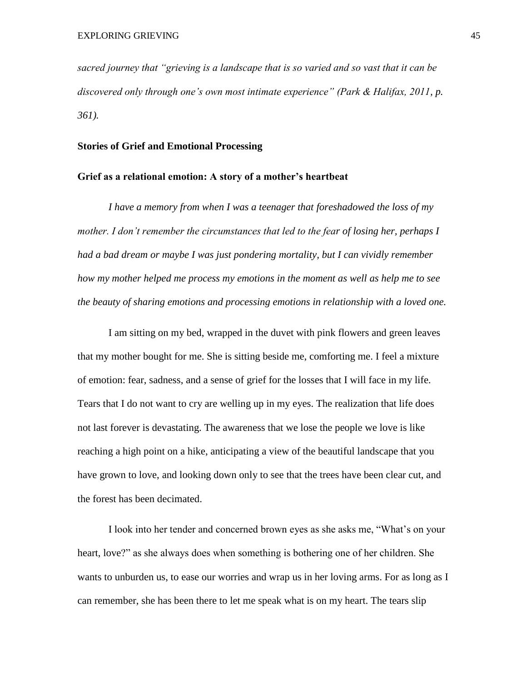*sacred journey that "grieving is a landscape that is so varied and so vast that it can be discovered only through one's own most intimate experience" (Park & Halifax, 2011, p. 361).* 

# **Stories of Grief and Emotional Processing**

## **Grief as a relational emotion: A story of a mother's heartbeat**

*I have a memory from when I was a teenager that foreshadowed the loss of my mother. I don't remember the circumstances that led to the fear of losing her, perhaps I had a bad dream or maybe I was just pondering mortality, but I can vividly remember how my mother helped me process my emotions in the moment as well as help me to see the beauty of sharing emotions and processing emotions in relationship with a loved one.* 

I am sitting on my bed, wrapped in the duvet with pink flowers and green leaves that my mother bought for me. She is sitting beside me, comforting me. I feel a mixture of emotion: fear, sadness, and a sense of grief for the losses that I will face in my life. Tears that I do not want to cry are welling up in my eyes. The realization that life does not last forever is devastating. The awareness that we lose the people we love is like reaching a high point on a hike, anticipating a view of the beautiful landscape that you have grown to love, and looking down only to see that the trees have been clear cut, and the forest has been decimated.

I look into her tender and concerned brown eyes as she asks me, "What's on your heart, love?" as she always does when something is bothering one of her children. She wants to unburden us, to ease our worries and wrap us in her loving arms. For as long as I can remember, she has been there to let me speak what is on my heart. The tears slip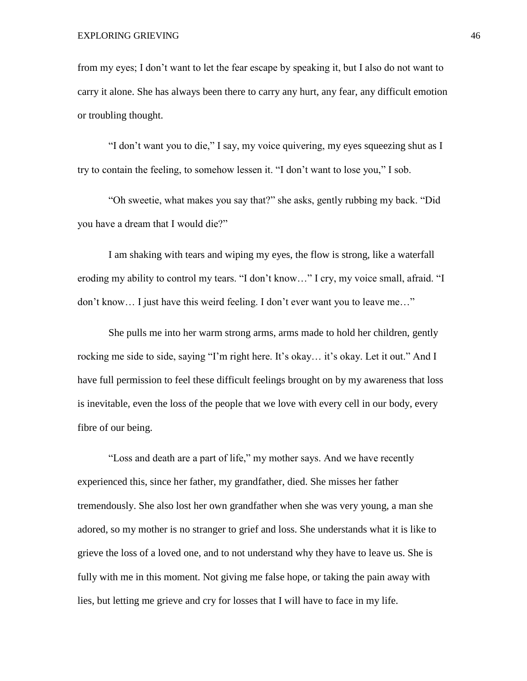from my eyes; I don't want to let the fear escape by speaking it, but I also do not want to carry it alone. She has always been there to carry any hurt, any fear, any difficult emotion or troubling thought.

"I don't want you to die," I say, my voice quivering, my eyes squeezing shut as I try to contain the feeling, to somehow lessen it. "I don't want to lose you," I sob.

"Oh sweetie, what makes you say that?" she asks, gently rubbing my back. "Did you have a dream that I would die?"

I am shaking with tears and wiping my eyes, the flow is strong, like a waterfall eroding my ability to control my tears. "I don't know…" I cry, my voice small, afraid. "I don't know… I just have this weird feeling. I don't ever want you to leave me…"

She pulls me into her warm strong arms, arms made to hold her children, gently rocking me side to side, saying "I'm right here. It's okay… it's okay. Let it out." And I have full permission to feel these difficult feelings brought on by my awareness that loss is inevitable, even the loss of the people that we love with every cell in our body, every fibre of our being.

"Loss and death are a part of life," my mother says. And we have recently experienced this, since her father, my grandfather, died. She misses her father tremendously. She also lost her own grandfather when she was very young, a man she adored, so my mother is no stranger to grief and loss. She understands what it is like to grieve the loss of a loved one, and to not understand why they have to leave us. She is fully with me in this moment. Not giving me false hope, or taking the pain away with lies, but letting me grieve and cry for losses that I will have to face in my life.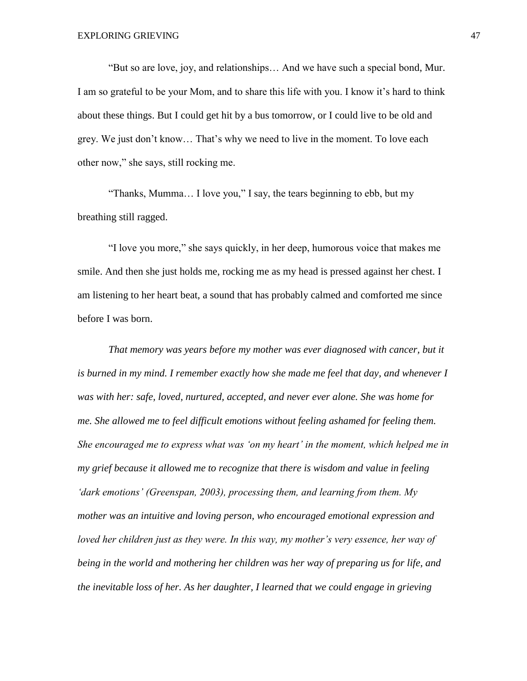"But so are love, joy, and relationships… And we have such a special bond, Mur. I am so grateful to be your Mom, and to share this life with you. I know it's hard to think about these things. But I could get hit by a bus tomorrow, or I could live to be old and grey. We just don't know… That's why we need to live in the moment. To love each other now," she says, still rocking me.

"Thanks, Mumma… I love you," I say, the tears beginning to ebb, but my breathing still ragged.

"I love you more," she says quickly, in her deep, humorous voice that makes me smile. And then she just holds me, rocking me as my head is pressed against her chest. I am listening to her heart beat, a sound that has probably calmed and comforted me since before I was born.

*That memory was years before my mother was ever diagnosed with cancer, but it is burned in my mind. I remember exactly how she made me feel that day, and whenever I was with her: safe, loved, nurtured, accepted, and never ever alone. She was home for me. She allowed me to feel difficult emotions without feeling ashamed for feeling them. She encouraged me to express what was 'on my heart' in the moment, which helped me in my grief because it allowed me to recognize that there is wisdom and value in feeling 'dark emotions' (Greenspan, 2003), processing them, and learning from them. My mother was an intuitive and loving person, who encouraged emotional expression and loved her children just as they were. In this way, my mother's very essence, her way of being in the world and mothering her children was her way of preparing us for life, and the inevitable loss of her. As her daughter, I learned that we could engage in grieving*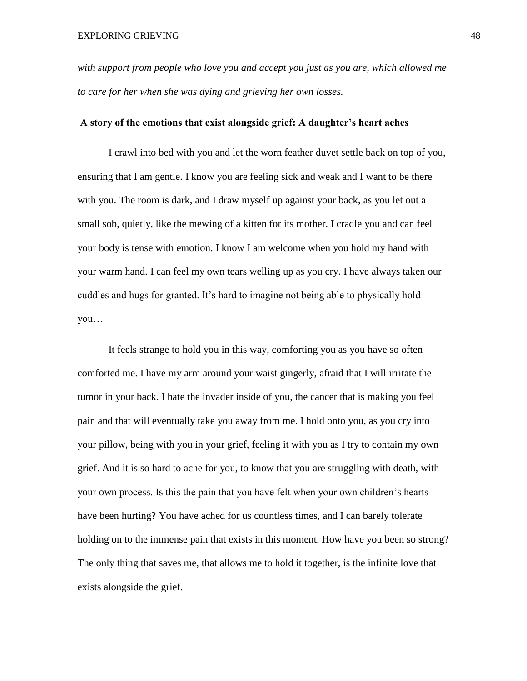*with support from people who love you and accept you just as you are, which allowed me to care for her when she was dying and grieving her own losses.* 

# **A story of the emotions that exist alongside grief: A daughter's heart aches**

I crawl into bed with you and let the worn feather duvet settle back on top of you, ensuring that I am gentle. I know you are feeling sick and weak and I want to be there with you. The room is dark, and I draw myself up against your back, as you let out a small sob, quietly, like the mewing of a kitten for its mother. I cradle you and can feel your body is tense with emotion. I know I am welcome when you hold my hand with your warm hand. I can feel my own tears welling up as you cry. I have always taken our cuddles and hugs for granted. It's hard to imagine not being able to physically hold you…

It feels strange to hold you in this way, comforting you as you have so often comforted me. I have my arm around your waist gingerly, afraid that I will irritate the tumor in your back. I hate the invader inside of you, the cancer that is making you feel pain and that will eventually take you away from me. I hold onto you, as you cry into your pillow, being with you in your grief, feeling it with you as I try to contain my own grief. And it is so hard to ache for you, to know that you are struggling with death, with your own process. Is this the pain that you have felt when your own children's hearts have been hurting? You have ached for us countless times, and I can barely tolerate holding on to the immense pain that exists in this moment. How have you been so strong? The only thing that saves me, that allows me to hold it together, is the infinite love that exists alongside the grief.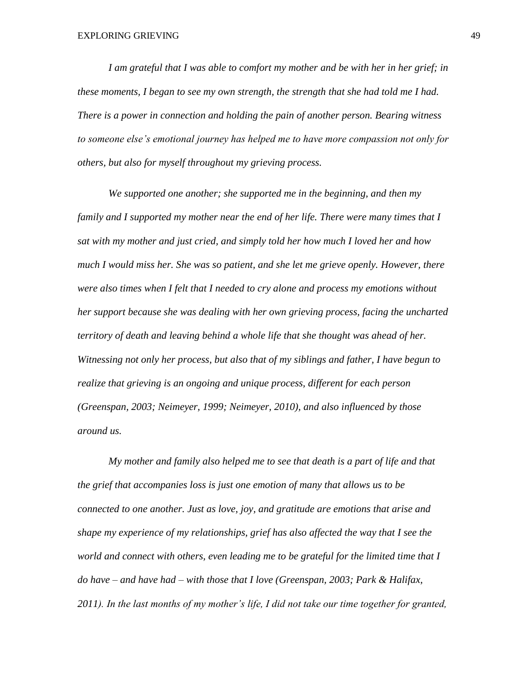*I am grateful that I was able to comfort my mother and be with her in her grief; in these moments, I began to see my own strength, the strength that she had told me I had. There is a power in connection and holding the pain of another person. Bearing witness to someone else's emotional journey has helped me to have more compassion not only for others, but also for myself throughout my grieving process.* 

*We supported one another; she supported me in the beginning, and then my family and I supported my mother near the end of her life. There were many times that I sat with my mother and just cried, and simply told her how much I loved her and how much I would miss her. She was so patient, and she let me grieve openly. However, there were also times when I felt that I needed to cry alone and process my emotions without her support because she was dealing with her own grieving process, facing the uncharted territory of death and leaving behind a whole life that she thought was ahead of her. Witnessing not only her process, but also that of my siblings and father, I have begun to realize that grieving is an ongoing and unique process, different for each person (Greenspan, 2003; Neimeyer, 1999; Neimeyer, 2010), and also influenced by those around us.*

*My mother and family also helped me to see that death is a part of life and that the grief that accompanies loss is just one emotion of many that allows us to be connected to one another. Just as love, joy, and gratitude are emotions that arise and shape my experience of my relationships, grief has also affected the way that I see the world and connect with others, even leading me to be grateful for the limited time that I do have – and have had – with those that I love (Greenspan, 2003; Park & Halifax, 2011). In the last months of my mother's life, I did not take our time together for granted,*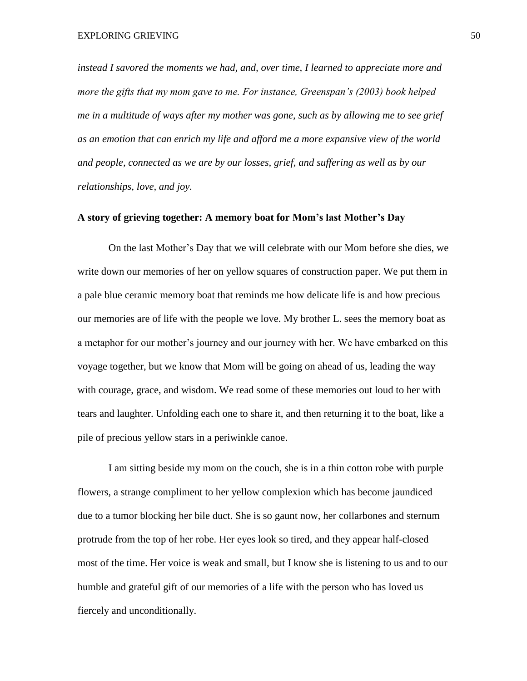*instead I savored the moments we had, and, over time, I learned to appreciate more and more the gifts that my mom gave to me. For instance, Greenspan's (2003) book helped me in a multitude of ways after my mother was gone, such as by allowing me to see grief as an emotion that can enrich my life and afford me a more expansive view of the world and people, connected as we are by our losses, grief, and suffering as well as by our relationships, love, and joy.* 

# **A story of grieving together: A memory boat for Mom's last Mother's Day**

On the last Mother's Day that we will celebrate with our Mom before she dies, we write down our memories of her on yellow squares of construction paper. We put them in a pale blue ceramic memory boat that reminds me how delicate life is and how precious our memories are of life with the people we love. My brother L. sees the memory boat as a metaphor for our mother's journey and our journey with her. We have embarked on this voyage together, but we know that Mom will be going on ahead of us, leading the way with courage, grace, and wisdom. We read some of these memories out loud to her with tears and laughter. Unfolding each one to share it, and then returning it to the boat, like a pile of precious yellow stars in a periwinkle canoe.

I am sitting beside my mom on the couch, she is in a thin cotton robe with purple flowers, a strange compliment to her yellow complexion which has become jaundiced due to a tumor blocking her bile duct. She is so gaunt now, her collarbones and sternum protrude from the top of her robe. Her eyes look so tired, and they appear half-closed most of the time. Her voice is weak and small, but I know she is listening to us and to our humble and grateful gift of our memories of a life with the person who has loved us fiercely and unconditionally.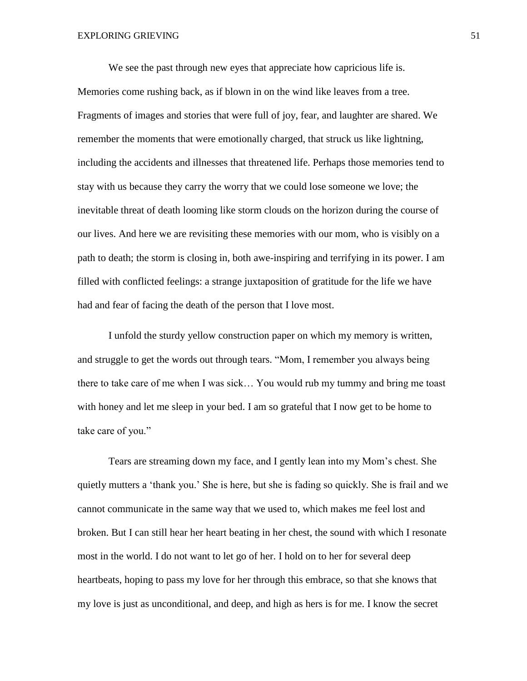We see the past through new eyes that appreciate how capricious life is. Memories come rushing back, as if blown in on the wind like leaves from a tree. Fragments of images and stories that were full of joy, fear, and laughter are shared. We remember the moments that were emotionally charged, that struck us like lightning, including the accidents and illnesses that threatened life. Perhaps those memories tend to stay with us because they carry the worry that we could lose someone we love; the inevitable threat of death looming like storm clouds on the horizon during the course of our lives. And here we are revisiting these memories with our mom, who is visibly on a path to death; the storm is closing in, both awe-inspiring and terrifying in its power. I am filled with conflicted feelings: a strange juxtaposition of gratitude for the life we have had and fear of facing the death of the person that I love most.

I unfold the sturdy yellow construction paper on which my memory is written, and struggle to get the words out through tears. "Mom, I remember you always being there to take care of me when I was sick… You would rub my tummy and bring me toast with honey and let me sleep in your bed. I am so grateful that I now get to be home to take care of you."

Tears are streaming down my face, and I gently lean into my Mom's chest. She quietly mutters a 'thank you.' She is here, but she is fading so quickly. She is frail and we cannot communicate in the same way that we used to, which makes me feel lost and broken. But I can still hear her heart beating in her chest, the sound with which I resonate most in the world. I do not want to let go of her. I hold on to her for several deep heartbeats, hoping to pass my love for her through this embrace, so that she knows that my love is just as unconditional, and deep, and high as hers is for me. I know the secret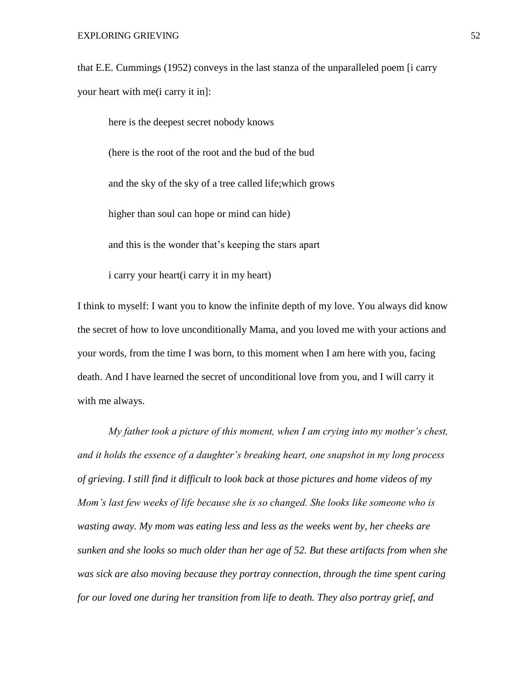that E.E. Cummings (1952) conveys in the last stanza of the unparalleled poem [i carry your heart with me(i carry it in]:

here is the deepest secret nobody knows (here is the root of the root and the bud of the bud and the sky of the sky of a tree called life;which grows higher than soul can hope or mind can hide) and this is the wonder that's keeping the stars apart

i carry your heart(i carry it in my heart)

I think to myself: I want you to know the infinite depth of my love. You always did know the secret of how to love unconditionally Mama, and you loved me with your actions and your words, from the time I was born, to this moment when I am here with you, facing death. And I have learned the secret of unconditional love from you, and I will carry it with me always.

*My father took a picture of this moment, when I am crying into my mother's chest, and it holds the essence of a daughter's breaking heart, one snapshot in my long process of grieving. I still find it difficult to look back at those pictures and home videos of my Mom's last few weeks of life because she is so changed. She looks like someone who is wasting away. My mom was eating less and less as the weeks went by, her cheeks are sunken and she looks so much older than her age of 52. But these artifacts from when she was sick are also moving because they portray connection, through the time spent caring for our loved one during her transition from life to death. They also portray grief, and*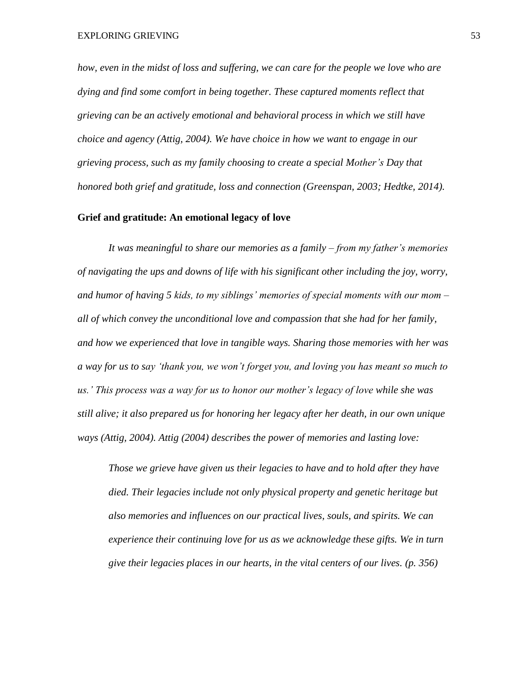*how, even in the midst of loss and suffering, we can care for the people we love who are dying and find some comfort in being together. These captured moments reflect that grieving can be an actively emotional and behavioral process in which we still have choice and agency (Attig, 2004). We have choice in how we want to engage in our grieving process, such as my family choosing to create a special Mother's Day that honored both grief and gratitude, loss and connection (Greenspan, 2003; Hedtke, 2014).*

### **Grief and gratitude: An emotional legacy of love**

*It was meaningful to share our memories as a family – from my father's memories of navigating the ups and downs of life with his significant other including the joy, worry, and humor of having 5 kids, to my siblings' memories of special moments with our mom – all of which convey the unconditional love and compassion that she had for her family, and how we experienced that love in tangible ways. Sharing those memories with her was a way for us to say 'thank you, we won't forget you, and loving you has meant so much to us.' This process was a way for us to honor our mother's legacy of love while she was still alive; it also prepared us for honoring her legacy after her death, in our own unique ways (Attig, 2004). Attig (2004) describes the power of memories and lasting love:*

*Those we grieve have given us their legacies to have and to hold after they have died. Their legacies include not only physical property and genetic heritage but also memories and influences on our practical lives, souls, and spirits. We can experience their continuing love for us as we acknowledge these gifts. We in turn give their legacies places in our hearts, in the vital centers of our lives. (p. 356)*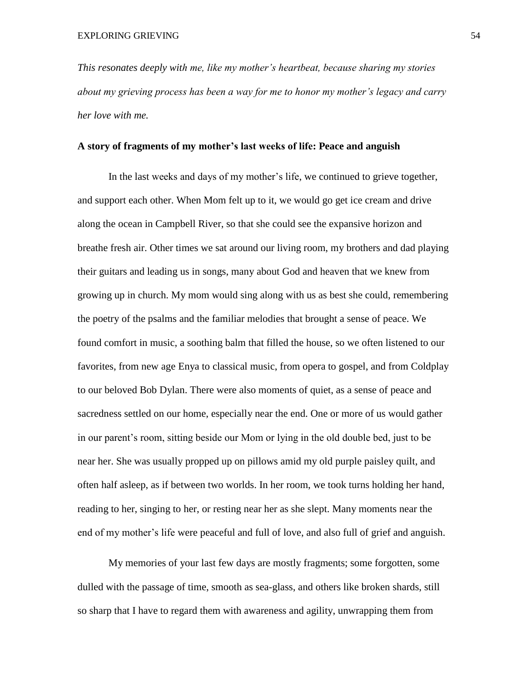*This resonates deeply with me, like my mother's heartbeat, because sharing my stories about my grieving process has been a way for me to honor my mother's legacy and carry her love with me.* 

# **A story of fragments of my mother's last weeks of life: Peace and anguish**

In the last weeks and days of my mother's life, we continued to grieve together, and support each other. When Mom felt up to it, we would go get ice cream and drive along the ocean in Campbell River, so that she could see the expansive horizon and breathe fresh air. Other times we sat around our living room, my brothers and dad playing their guitars and leading us in songs, many about God and heaven that we knew from growing up in church. My mom would sing along with us as best she could, remembering the poetry of the psalms and the familiar melodies that brought a sense of peace. We found comfort in music, a soothing balm that filled the house, so we often listened to our favorites, from new age Enya to classical music, from opera to gospel, and from Coldplay to our beloved Bob Dylan. There were also moments of quiet, as a sense of peace and sacredness settled on our home, especially near the end. One or more of us would gather in our parent's room, sitting beside our Mom or lying in the old double bed, just to be near her. She was usually propped up on pillows amid my old purple paisley quilt, and often half asleep, as if between two worlds. In her room, we took turns holding her hand, reading to her, singing to her, or resting near her as she slept. Many moments near the end of my mother's life were peaceful and full of love, and also full of grief and anguish.

My memories of your last few days are mostly fragments; some forgotten, some dulled with the passage of time, smooth as sea-glass, and others like broken shards, still so sharp that I have to regard them with awareness and agility, unwrapping them from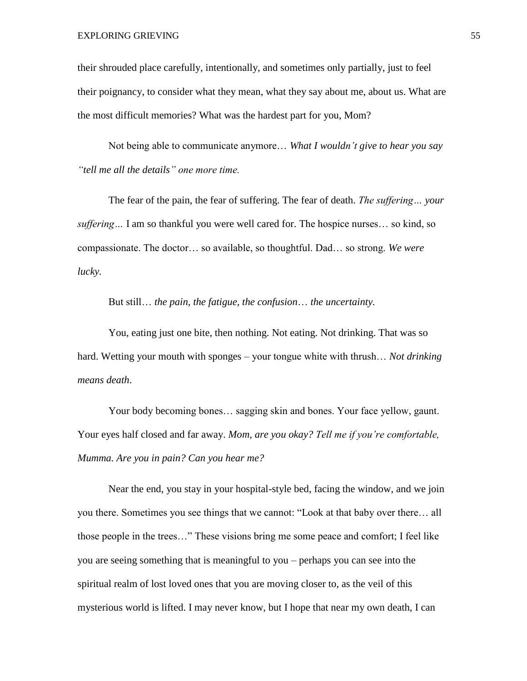their shrouded place carefully, intentionally, and sometimes only partially, just to feel their poignancy, to consider what they mean, what they say about me, about us. What are the most difficult memories? What was the hardest part for you, Mom?

Not being able to communicate anymore… *What I wouldn't give to hear you say "tell me all the details" one more time.*

The fear of the pain, the fear of suffering. The fear of death. *The suffering… your suffering…* I am so thankful you were well cared for. The hospice nurses… so kind, so compassionate. The doctor… so available, so thoughtful. Dad… so strong. *We were lucky.*

But still… *the pain, the fatigue, the confusion*… *the uncertainty.*

You, eating just one bite, then nothing. Not eating. Not drinking. That was so hard. Wetting your mouth with sponges – your tongue white with thrush… *Not drinking means death*.

Your body becoming bones… sagging skin and bones. Your face yellow, gaunt. Your eyes half closed and far away. *Mom, are you okay? Tell me if you're comfortable, Mumma. Are you in pain? Can you hear me?*

Near the end, you stay in your hospital-style bed, facing the window, and we join you there. Sometimes you see things that we cannot: "Look at that baby over there… all those people in the trees…" These visions bring me some peace and comfort; I feel like you are seeing something that is meaningful to you – perhaps you can see into the spiritual realm of lost loved ones that you are moving closer to, as the veil of this mysterious world is lifted. I may never know, but I hope that near my own death, I can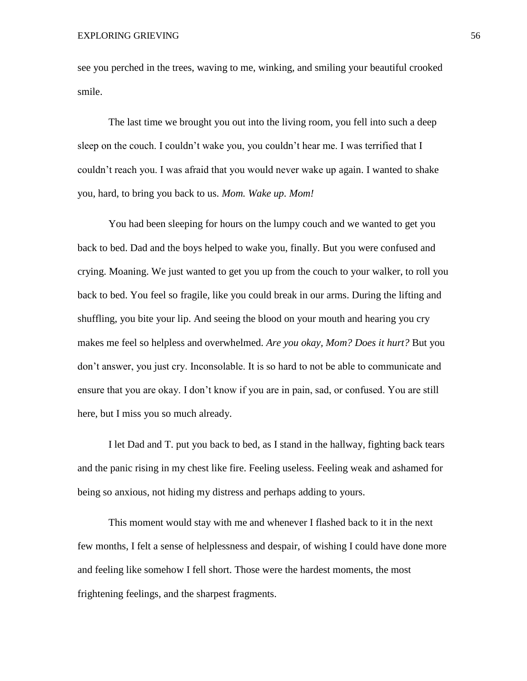see you perched in the trees, waving to me, winking, and smiling your beautiful crooked smile.

The last time we brought you out into the living room, you fell into such a deep sleep on the couch. I couldn't wake you, you couldn't hear me. I was terrified that I couldn't reach you. I was afraid that you would never wake up again. I wanted to shake you, hard, to bring you back to us. *Mom. Wake up. Mom!*

You had been sleeping for hours on the lumpy couch and we wanted to get you back to bed. Dad and the boys helped to wake you, finally. But you were confused and crying. Moaning. We just wanted to get you up from the couch to your walker, to roll you back to bed. You feel so fragile, like you could break in our arms. During the lifting and shuffling, you bite your lip. And seeing the blood on your mouth and hearing you cry makes me feel so helpless and overwhelmed. *Are you okay, Mom? Does it hurt?* But you don't answer, you just cry. Inconsolable. It is so hard to not be able to communicate and ensure that you are okay. I don't know if you are in pain, sad, or confused. You are still here, but I miss you so much already.

I let Dad and T. put you back to bed, as I stand in the hallway, fighting back tears and the panic rising in my chest like fire. Feeling useless. Feeling weak and ashamed for being so anxious, not hiding my distress and perhaps adding to yours.

This moment would stay with me and whenever I flashed back to it in the next few months, I felt a sense of helplessness and despair, of wishing I could have done more and feeling like somehow I fell short. Those were the hardest moments, the most frightening feelings, and the sharpest fragments.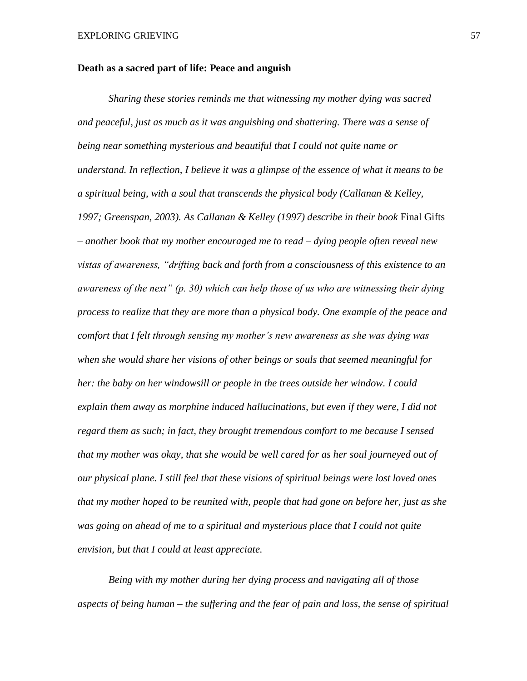#### **Death as a sacred part of life: Peace and anguish**

*Sharing these stories reminds me that witnessing my mother dying was sacred and peaceful, just as much as it was anguishing and shattering. There was a sense of being near something mysterious and beautiful that I could not quite name or understand. In reflection, I believe it was a glimpse of the essence of what it means to be a spiritual being, with a soul that transcends the physical body (Callanan & Kelley, 1997; Greenspan, 2003). As Callanan & Kelley (1997) describe in their book* Final Gifts *– another book that my mother encouraged me to read – dying people often reveal new vistas of awareness, "drifting back and forth from a consciousness of this existence to an awareness of the next" (p. 30) which can help those of us who are witnessing their dying process to realize that they are more than a physical body. One example of the peace and comfort that I felt through sensing my mother's new awareness as she was dying was when she would share her visions of other beings or souls that seemed meaningful for her: the baby on her windowsill or people in the trees outside her window. I could explain them away as morphine induced hallucinations, but even if they were, I did not regard them as such; in fact, they brought tremendous comfort to me because I sensed that my mother was okay, that she would be well cared for as her soul journeyed out of our physical plane. I still feel that these visions of spiritual beings were lost loved ones that my mother hoped to be reunited with, people that had gone on before her, just as she*  was going on ahead of me to a spiritual and mysterious place that I could not quite *envision, but that I could at least appreciate.* 

*Being with my mother during her dying process and navigating all of those aspects of being human – the suffering and the fear of pain and loss, the sense of spiritual*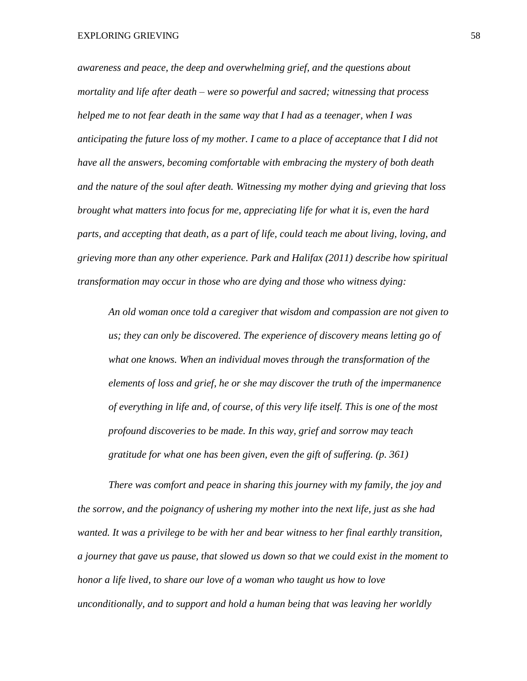*awareness and peace, the deep and overwhelming grief, and the questions about mortality and life after death – were so powerful and sacred; witnessing that process helped me to not fear death in the same way that I had as a teenager, when I was anticipating the future loss of my mother. I came to a place of acceptance that I did not have all the answers, becoming comfortable with embracing the mystery of both death and the nature of the soul after death. Witnessing my mother dying and grieving that loss brought what matters into focus for me, appreciating life for what it is, even the hard parts, and accepting that death, as a part of life, could teach me about living, loving, and grieving more than any other experience. Park and Halifax (2011) describe how spiritual transformation may occur in those who are dying and those who witness dying:*

*An old woman once told a caregiver that wisdom and compassion are not given to us; they can only be discovered. The experience of discovery means letting go of what one knows. When an individual moves through the transformation of the elements of loss and grief, he or she may discover the truth of the impermanence of everything in life and, of course, of this very life itself. This is one of the most profound discoveries to be made. In this way, grief and sorrow may teach gratitude for what one has been given, even the gift of suffering. (p. 361)* 

*There was comfort and peace in sharing this journey with my family, the joy and the sorrow, and the poignancy of ushering my mother into the next life, just as she had wanted. It was a privilege to be with her and bear witness to her final earthly transition, a journey that gave us pause, that slowed us down so that we could exist in the moment to honor a life lived, to share our love of a woman who taught us how to love unconditionally, and to support and hold a human being that was leaving her worldly*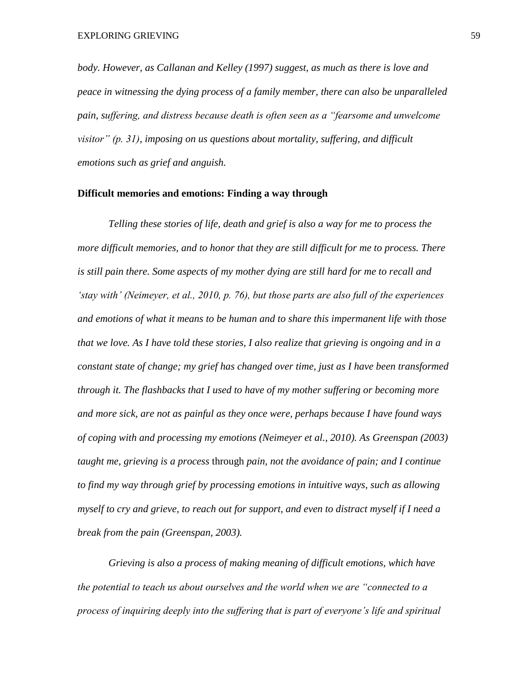*body. However, as Callanan and Kelley (1997) suggest, as much as there is love and peace in witnessing the dying process of a family member, there can also be unparalleled pain, suffering, and distress because death is often seen as a "fearsome and unwelcome visitor" (p. 31), imposing on us questions about mortality, suffering, and difficult emotions such as grief and anguish.*

#### **Difficult memories and emotions: Finding a way through**

*Telling these stories of life, death and grief is also a way for me to process the more difficult memories, and to honor that they are still difficult for me to process. There is still pain there. Some aspects of my mother dying are still hard for me to recall and 'stay with' (Neimeyer, et al., 2010, p. 76), but those parts are also full of the experiences and emotions of what it means to be human and to share this impermanent life with those that we love. As I have told these stories, I also realize that grieving is ongoing and in a constant state of change; my grief has changed over time, just as I have been transformed through it. The flashbacks that I used to have of my mother suffering or becoming more and more sick, are not as painful as they once were, perhaps because I have found ways of coping with and processing my emotions (Neimeyer et al., 2010). As Greenspan (2003) taught me, grieving is a process* through *pain, not the avoidance of pain; and I continue to find my way through grief by processing emotions in intuitive ways, such as allowing myself to cry and grieve, to reach out for support, and even to distract myself if I need a break from the pain (Greenspan, 2003).* 

*Grieving is also a process of making meaning of difficult emotions, which have the potential to teach us about ourselves and the world when we are "connected to a process of inquiring deeply into the suffering that is part of everyone's life and spiritual*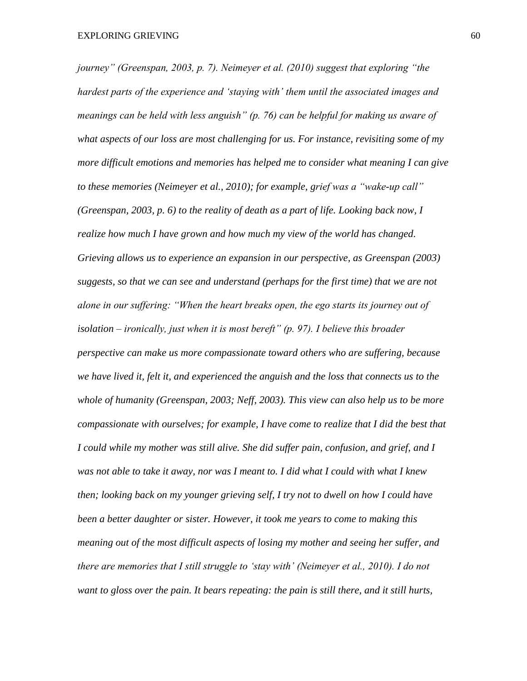*journey" (Greenspan, 2003, p. 7). Neimeyer et al. (2010) suggest that exploring "the hardest parts of the experience and 'staying with' them until the associated images and meanings can be held with less anguish" (p. 76) can be helpful for making us aware of what aspects of our loss are most challenging for us. For instance, revisiting some of my more difficult emotions and memories has helped me to consider what meaning I can give to these memories (Neimeyer et al., 2010); for example, grief was a "wake-up call" (Greenspan, 2003, p. 6) to the reality of death as a part of life. Looking back now, I realize how much I have grown and how much my view of the world has changed. Grieving allows us to experience an expansion in our perspective, as Greenspan (2003) suggests, so that we can see and understand (perhaps for the first time) that we are not alone in our suffering: "When the heart breaks open, the ego starts its journey out of isolation – ironically, just when it is most bereft" (p. 97). I believe this broader perspective can make us more compassionate toward others who are suffering, because we have lived it, felt it, and experienced the anguish and the loss that connects us to the whole of humanity (Greenspan, 2003; Neff, 2003). This view can also help us to be more compassionate with ourselves; for example, I have come to realize that I did the best that I could while my mother was still alive. She did suffer pain, confusion, and grief, and I was not able to take it away, nor was I meant to. I did what I could with what I knew then; looking back on my younger grieving self, I try not to dwell on how I could have been a better daughter or sister. However, it took me years to come to making this meaning out of the most difficult aspects of losing my mother and seeing her suffer, and there are memories that I still struggle to 'stay with' (Neimeyer et al., 2010). I do not want to gloss over the pain. It bears repeating: the pain is still there, and it still hurts,*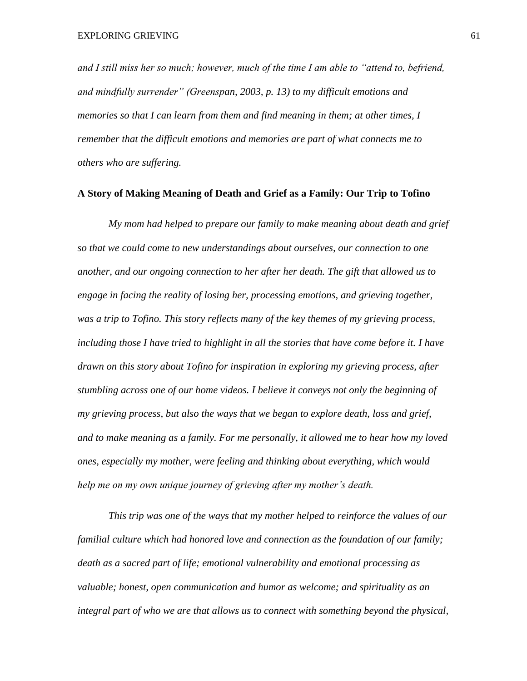*and I still miss her so much; however, much of the time I am able to "attend to, befriend, and mindfully surrender" (Greenspan, 2003, p. 13) to my difficult emotions and memories so that I can learn from them and find meaning in them; at other times, I remember that the difficult emotions and memories are part of what connects me to others who are suffering.*

#### **A Story of Making Meaning of Death and Grief as a Family: Our Trip to Tofino**

*My mom had helped to prepare our family to make meaning about death and grief so that we could come to new understandings about ourselves, our connection to one another, and our ongoing connection to her after her death. The gift that allowed us to engage in facing the reality of losing her, processing emotions, and grieving together, was a trip to Tofino. This story reflects many of the key themes of my grieving process, including those I have tried to highlight in all the stories that have come before it. I have drawn on this story about Tofino for inspiration in exploring my grieving process, after stumbling across one of our home videos. I believe it conveys not only the beginning of my grieving process, but also the ways that we began to explore death, loss and grief, and to make meaning as a family. For me personally, it allowed me to hear how my loved ones, especially my mother, were feeling and thinking about everything, which would help me on my own unique journey of grieving after my mother's death.*

*This trip was one of the ways that my mother helped to reinforce the values of our familial culture which had honored love and connection as the foundation of our family; death as a sacred part of life; emotional vulnerability and emotional processing as valuable; honest, open communication and humor as welcome; and spirituality as an integral part of who we are that allows us to connect with something beyond the physical,*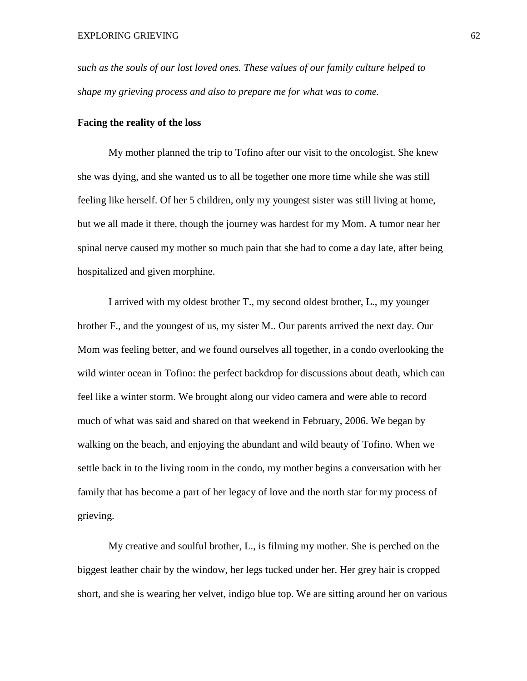*such as the souls of our lost loved ones. These values of our family culture helped to shape my grieving process and also to prepare me for what was to come.* 

#### **Facing the reality of the loss**

My mother planned the trip to Tofino after our visit to the oncologist. She knew she was dying, and she wanted us to all be together one more time while she was still feeling like herself. Of her 5 children, only my youngest sister was still living at home, but we all made it there, though the journey was hardest for my Mom. A tumor near her spinal nerve caused my mother so much pain that she had to come a day late, after being hospitalized and given morphine.

I arrived with my oldest brother T., my second oldest brother, L., my younger brother F., and the youngest of us, my sister M.. Our parents arrived the next day. Our Mom was feeling better, and we found ourselves all together, in a condo overlooking the wild winter ocean in Tofino: the perfect backdrop for discussions about death, which can feel like a winter storm. We brought along our video camera and were able to record much of what was said and shared on that weekend in February, 2006. We began by walking on the beach, and enjoying the abundant and wild beauty of Tofino. When we settle back in to the living room in the condo, my mother begins a conversation with her family that has become a part of her legacy of love and the north star for my process of grieving.

My creative and soulful brother, L., is filming my mother. She is perched on the biggest leather chair by the window, her legs tucked under her. Her grey hair is cropped short, and she is wearing her velvet, indigo blue top. We are sitting around her on various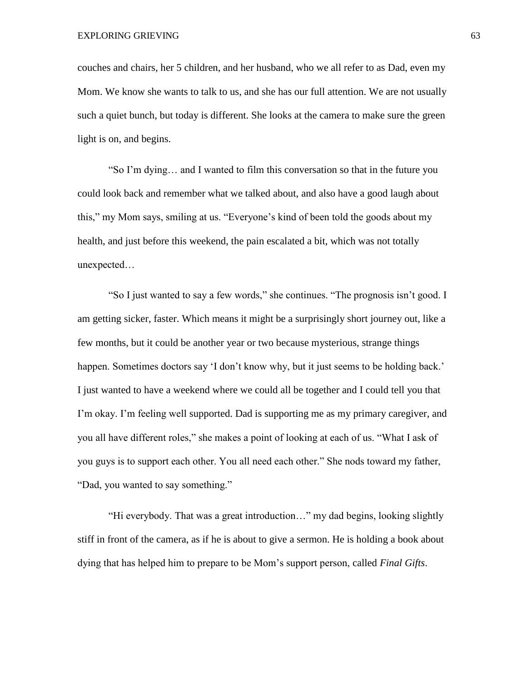couches and chairs, her 5 children, and her husband, who we all refer to as Dad, even my Mom. We know she wants to talk to us, and she has our full attention. We are not usually such a quiet bunch, but today is different. She looks at the camera to make sure the green light is on, and begins.

"So I'm dying… and I wanted to film this conversation so that in the future you could look back and remember what we talked about, and also have a good laugh about this," my Mom says, smiling at us. "Everyone's kind of been told the goods about my health, and just before this weekend, the pain escalated a bit, which was not totally unexpected…

"So I just wanted to say a few words," she continues. "The prognosis isn't good. I am getting sicker, faster. Which means it might be a surprisingly short journey out, like a few months, but it could be another year or two because mysterious, strange things happen. Sometimes doctors say 'I don't know why, but it just seems to be holding back.' I just wanted to have a weekend where we could all be together and I could tell you that I'm okay. I'm feeling well supported. Dad is supporting me as my primary caregiver, and you all have different roles," she makes a point of looking at each of us. "What I ask of you guys is to support each other. You all need each other." She nods toward my father, "Dad, you wanted to say something."

"Hi everybody. That was a great introduction…" my dad begins, looking slightly stiff in front of the camera, as if he is about to give a sermon. He is holding a book about dying that has helped him to prepare to be Mom's support person, called *Final Gifts*.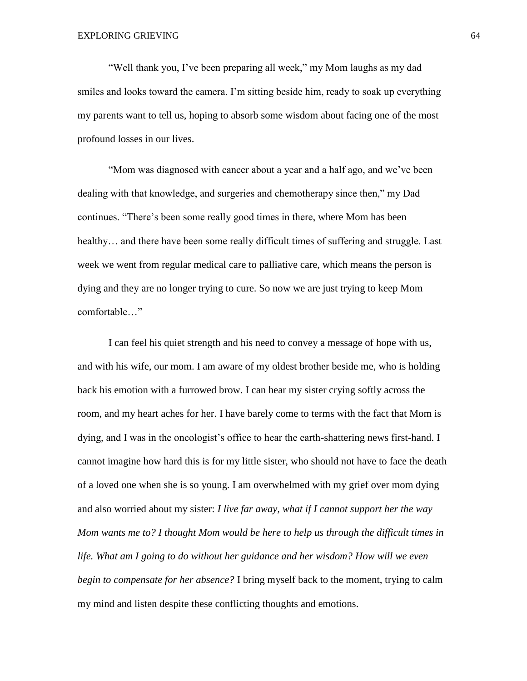"Well thank you, I've been preparing all week," my Mom laughs as my dad smiles and looks toward the camera. I'm sitting beside him, ready to soak up everything my parents want to tell us, hoping to absorb some wisdom about facing one of the most profound losses in our lives.

"Mom was diagnosed with cancer about a year and a half ago, and we've been dealing with that knowledge, and surgeries and chemotherapy since then," my Dad continues. "There's been some really good times in there, where Mom has been healthy... and there have been some really difficult times of suffering and struggle. Last week we went from regular medical care to palliative care, which means the person is dying and they are no longer trying to cure. So now we are just trying to keep Mom comfortable…"

I can feel his quiet strength and his need to convey a message of hope with us, and with his wife, our mom. I am aware of my oldest brother beside me, who is holding back his emotion with a furrowed brow. I can hear my sister crying softly across the room, and my heart aches for her. I have barely come to terms with the fact that Mom is dying, and I was in the oncologist's office to hear the earth-shattering news first-hand. I cannot imagine how hard this is for my little sister, who should not have to face the death of a loved one when she is so young. I am overwhelmed with my grief over mom dying and also worried about my sister: *I live far away, what if I cannot support her the way Mom wants me to? I thought Mom would be here to help us through the difficult times in life. What am I going to do without her guidance and her wisdom? How will we even begin to compensate for her absence?* I bring myself back to the moment, trying to calm my mind and listen despite these conflicting thoughts and emotions.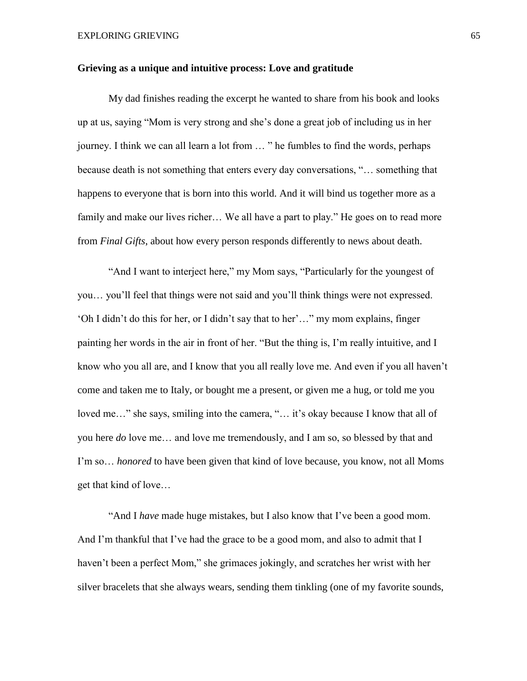### **Grieving as a unique and intuitive process: Love and gratitude**

My dad finishes reading the excerpt he wanted to share from his book and looks up at us, saying "Mom is very strong and she's done a great job of including us in her journey. I think we can all learn a lot from … " he fumbles to find the words, perhaps because death is not something that enters every day conversations, "… something that happens to everyone that is born into this world. And it will bind us together more as a family and make our lives richer... We all have a part to play." He goes on to read more from *Final Gifts*, about how every person responds differently to news about death.

"And I want to interject here," my Mom says, "Particularly for the youngest of you… you'll feel that things were not said and you'll think things were not expressed. 'Oh I didn't do this for her, or I didn't say that to her'…" my mom explains, finger painting her words in the air in front of her. "But the thing is, I'm really intuitive, and I know who you all are, and I know that you all really love me. And even if you all haven't come and taken me to Italy, or bought me a present, or given me a hug, or told me you loved me…" she says, smiling into the camera, "… it's okay because I know that all of you here *do* love me… and love me tremendously, and I am so, so blessed by that and I'm so… *honored* to have been given that kind of love because, you know, not all Moms get that kind of love…

"And I *have* made huge mistakes, but I also know that I've been a good mom. And I'm thankful that I've had the grace to be a good mom, and also to admit that I haven't been a perfect Mom," she grimaces jokingly, and scratches her wrist with her silver bracelets that she always wears, sending them tinkling (one of my favorite sounds,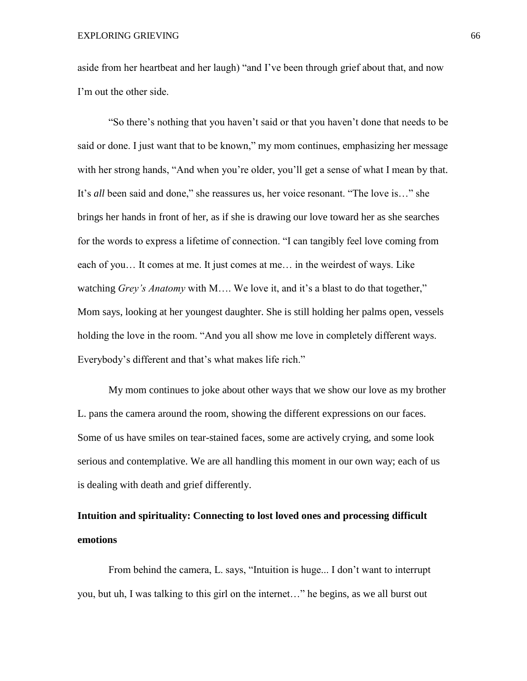aside from her heartbeat and her laugh) "and I've been through grief about that, and now I'm out the other side.

"So there's nothing that you haven't said or that you haven't done that needs to be said or done. I just want that to be known," my mom continues, emphasizing her message with her strong hands, "And when you're older, you'll get a sense of what I mean by that. It's *all* been said and done," she reassures us, her voice resonant. "The love is…" she brings her hands in front of her, as if she is drawing our love toward her as she searches for the words to express a lifetime of connection. "I can tangibly feel love coming from each of you… It comes at me. It just comes at me… in the weirdest of ways. Like watching *Grey's Anatomy* with M…. We love it, and it's a blast to do that together," Mom says, looking at her youngest daughter. She is still holding her palms open, vessels holding the love in the room. "And you all show me love in completely different ways. Everybody's different and that's what makes life rich."

My mom continues to joke about other ways that we show our love as my brother L. pans the camera around the room, showing the different expressions on our faces. Some of us have smiles on tear-stained faces, some are actively crying, and some look serious and contemplative. We are all handling this moment in our own way; each of us is dealing with death and grief differently.

# **Intuition and spirituality: Connecting to lost loved ones and processing difficult emotions**

From behind the camera, L. says, "Intuition is huge... I don't want to interrupt you, but uh, I was talking to this girl on the internet…" he begins, as we all burst out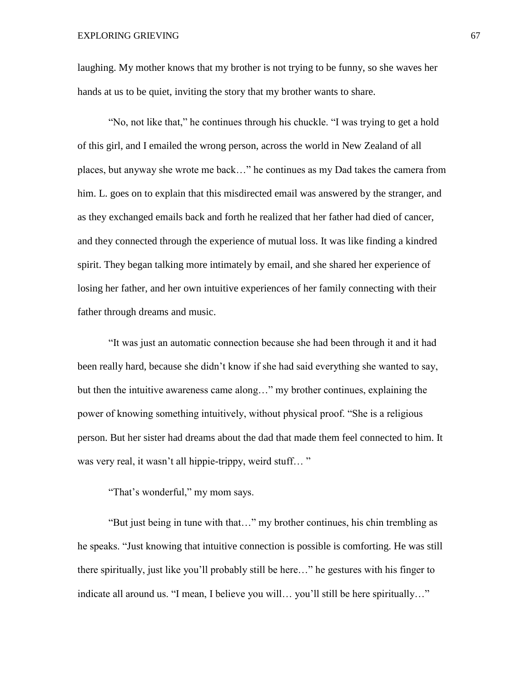laughing. My mother knows that my brother is not trying to be funny, so she waves her hands at us to be quiet, inviting the story that my brother wants to share.

"No, not like that," he continues through his chuckle. "I was trying to get a hold of this girl, and I emailed the wrong person, across the world in New Zealand of all places, but anyway she wrote me back…" he continues as my Dad takes the camera from him. L. goes on to explain that this misdirected email was answered by the stranger, and as they exchanged emails back and forth he realized that her father had died of cancer, and they connected through the experience of mutual loss. It was like finding a kindred spirit. They began talking more intimately by email, and she shared her experience of losing her father, and her own intuitive experiences of her family connecting with their father through dreams and music.

"It was just an automatic connection because she had been through it and it had been really hard, because she didn't know if she had said everything she wanted to say, but then the intuitive awareness came along…" my brother continues, explaining the power of knowing something intuitively, without physical proof. "She is a religious person. But her sister had dreams about the dad that made them feel connected to him. It was very real, it wasn't all hippie-trippy, weird stuff..."

"That's wonderful," my mom says.

"But just being in tune with that…" my brother continues, his chin trembling as he speaks. "Just knowing that intuitive connection is possible is comforting. He was still there spiritually, just like you'll probably still be here…" he gestures with his finger to indicate all around us. "I mean, I believe you will… you'll still be here spiritually…"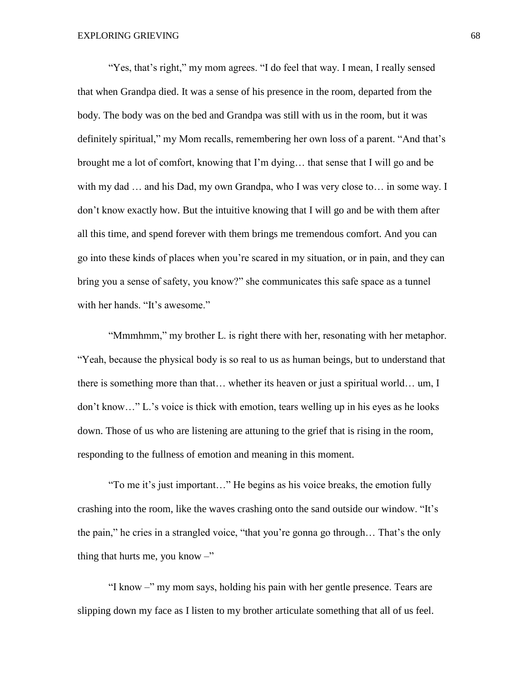"Yes, that's right," my mom agrees. "I do feel that way. I mean, I really sensed that when Grandpa died. It was a sense of his presence in the room, departed from the body. The body was on the bed and Grandpa was still with us in the room, but it was definitely spiritual," my Mom recalls, remembering her own loss of a parent. "And that's brought me a lot of comfort, knowing that I'm dying… that sense that I will go and be with my dad ... and his Dad, my own Grandpa, who I was very close to... in some way. I don't know exactly how. But the intuitive knowing that I will go and be with them after all this time, and spend forever with them brings me tremendous comfort. And you can go into these kinds of places when you're scared in my situation, or in pain, and they can bring you a sense of safety, you know?" she communicates this safe space as a tunnel with her hands. "It's awesome."

"Mmmhmm," my brother L. is right there with her, resonating with her metaphor. "Yeah, because the physical body is so real to us as human beings, but to understand that there is something more than that… whether its heaven or just a spiritual world… um, I don't know…" L.'s voice is thick with emotion, tears welling up in his eyes as he looks down. Those of us who are listening are attuning to the grief that is rising in the room, responding to the fullness of emotion and meaning in this moment.

"To me it's just important…" He begins as his voice breaks, the emotion fully crashing into the room, like the waves crashing onto the sand outside our window. "It's the pain," he cries in a strangled voice, "that you're gonna go through… That's the only thing that hurts me, you know  $-$ "

"I know –" my mom says, holding his pain with her gentle presence. Tears are slipping down my face as I listen to my brother articulate something that all of us feel.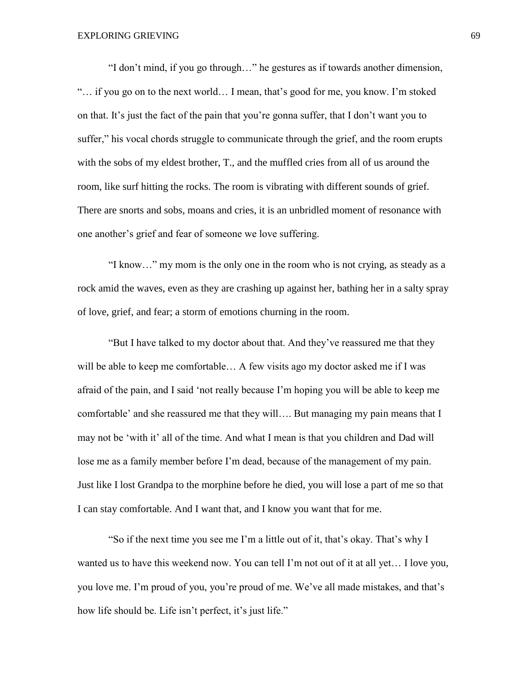"I don't mind, if you go through…" he gestures as if towards another dimension, "… if you go on to the next world… I mean, that's good for me, you know. I'm stoked on that. It's just the fact of the pain that you're gonna suffer, that I don't want you to suffer," his vocal chords struggle to communicate through the grief, and the room erupts with the sobs of my eldest brother, T., and the muffled cries from all of us around the room, like surf hitting the rocks. The room is vibrating with different sounds of grief. There are snorts and sobs, moans and cries, it is an unbridled moment of resonance with one another's grief and fear of someone we love suffering.

"I know…" my mom is the only one in the room who is not crying, as steady as a rock amid the waves, even as they are crashing up against her, bathing her in a salty spray of love, grief, and fear; a storm of emotions churning in the room.

"But I have talked to my doctor about that. And they've reassured me that they will be able to keep me comfortable... A few visits ago my doctor asked me if I was afraid of the pain, and I said 'not really because I'm hoping you will be able to keep me comfortable' and she reassured me that they will…. But managing my pain means that I may not be 'with it' all of the time. And what I mean is that you children and Dad will lose me as a family member before I'm dead, because of the management of my pain. Just like I lost Grandpa to the morphine before he died, you will lose a part of me so that I can stay comfortable. And I want that, and I know you want that for me.

"So if the next time you see me I'm a little out of it, that's okay. That's why I wanted us to have this weekend now. You can tell I'm not out of it at all yet… I love you, you love me. I'm proud of you, you're proud of me. We've all made mistakes, and that's how life should be. Life isn't perfect, it's just life."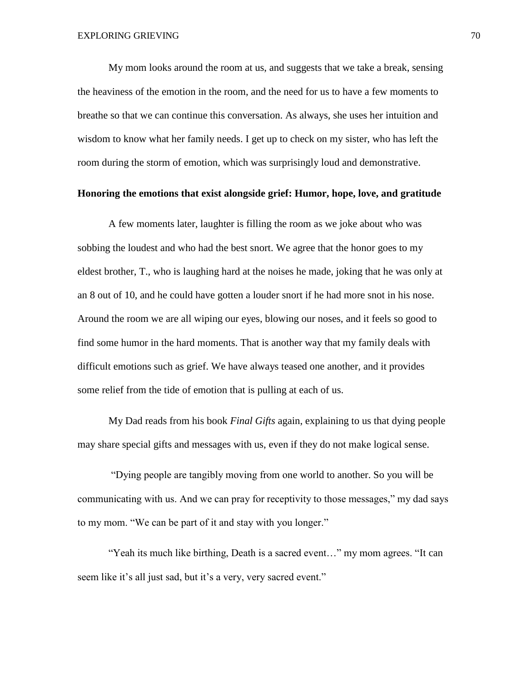My mom looks around the room at us, and suggests that we take a break, sensing the heaviness of the emotion in the room, and the need for us to have a few moments to breathe so that we can continue this conversation. As always, she uses her intuition and wisdom to know what her family needs. I get up to check on my sister, who has left the room during the storm of emotion, which was surprisingly loud and demonstrative.

## **Honoring the emotions that exist alongside grief: Humor, hope, love, and gratitude**

A few moments later, laughter is filling the room as we joke about who was sobbing the loudest and who had the best snort. We agree that the honor goes to my eldest brother, T., who is laughing hard at the noises he made, joking that he was only at an 8 out of 10, and he could have gotten a louder snort if he had more snot in his nose. Around the room we are all wiping our eyes, blowing our noses, and it feels so good to find some humor in the hard moments. That is another way that my family deals with difficult emotions such as grief. We have always teased one another, and it provides some relief from the tide of emotion that is pulling at each of us.

My Dad reads from his book *Final Gifts* again, explaining to us that dying people may share special gifts and messages with us, even if they do not make logical sense.

"Dying people are tangibly moving from one world to another. So you will be communicating with us. And we can pray for receptivity to those messages," my dad says to my mom. "We can be part of it and stay with you longer."

"Yeah its much like birthing, Death is a sacred event…" my mom agrees. "It can seem like it's all just sad, but it's a very, very sacred event."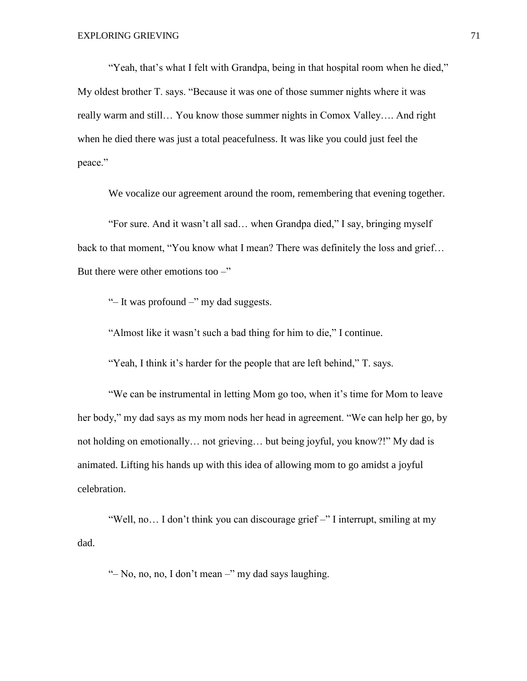"Yeah, that's what I felt with Grandpa, being in that hospital room when he died," My oldest brother T. says. "Because it was one of those summer nights where it was really warm and still… You know those summer nights in Comox Valley…. And right when he died there was just a total peacefulness. It was like you could just feel the peace."

We vocalize our agreement around the room, remembering that evening together.

"For sure. And it wasn't all sad… when Grandpa died," I say, bringing myself back to that moment, "You know what I mean? There was definitely the loss and grief… But there were other emotions too  $-$ "

"– It was profound –" my dad suggests.

"Almost like it wasn't such a bad thing for him to die," I continue.

"Yeah, I think it's harder for the people that are left behind," T. says.

"We can be instrumental in letting Mom go too, when it's time for Mom to leave her body," my dad says as my mom nods her head in agreement. "We can help her go, by not holding on emotionally… not grieving… but being joyful, you know?!" My dad is animated. Lifting his hands up with this idea of allowing mom to go amidst a joyful celebration.

"Well, no… I don't think you can discourage grief –" I interrupt, smiling at my dad.

"– No, no, no, I don't mean –" my dad says laughing.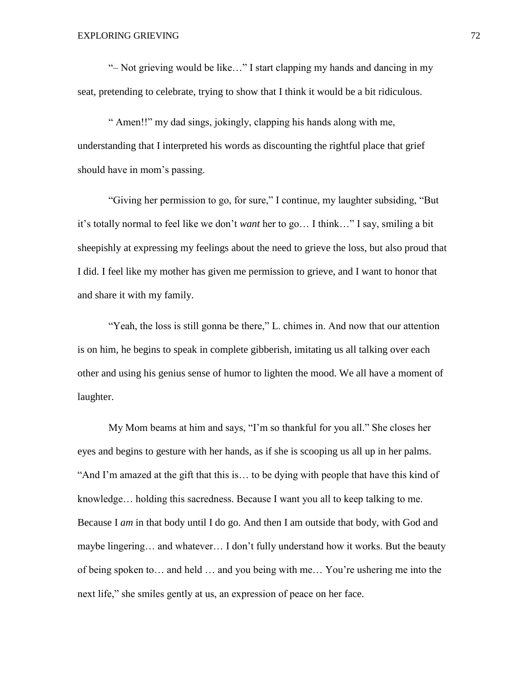"– Not grieving would be like…" I start clapping my hands and dancing in my seat, pretending to celebrate, trying to show that I think it would be a bit ridiculous.

" Amen!!" my dad sings, jokingly, clapping his hands along with me, understanding that I interpreted his words as discounting the rightful place that grief should have in mom's passing.

"Giving her permission to go, for sure," I continue, my laughter subsiding, "But it's totally normal to feel like we don't *want* her to go… I think…" I say, smiling a bit sheepishly at expressing my feelings about the need to grieve the loss, but also proud that I did. I feel like my mother has given me permission to grieve, and I want to honor that and share it with my family.

"Yeah, the loss is still gonna be there," L. chimes in. And now that our attention is on him, he begins to speak in complete gibberish, imitating us all talking over each other and using his genius sense of humor to lighten the mood. We all have a moment of laughter.

My Mom beams at him and says, "I'm so thankful for you all." She closes her eyes and begins to gesture with her hands, as if she is scooping us all up in her palms. "And I'm amazed at the gift that this is… to be dying with people that have this kind of knowledge… holding this sacredness. Because I want you all to keep talking to me. Because I *am* in that body until I do go. And then I am outside that body, with God and maybe lingering… and whatever… I don't fully understand how it works. But the beauty of being spoken to… and held … and you being with me… You're ushering me into the next life," she smiles gently at us, an expression of peace on her face.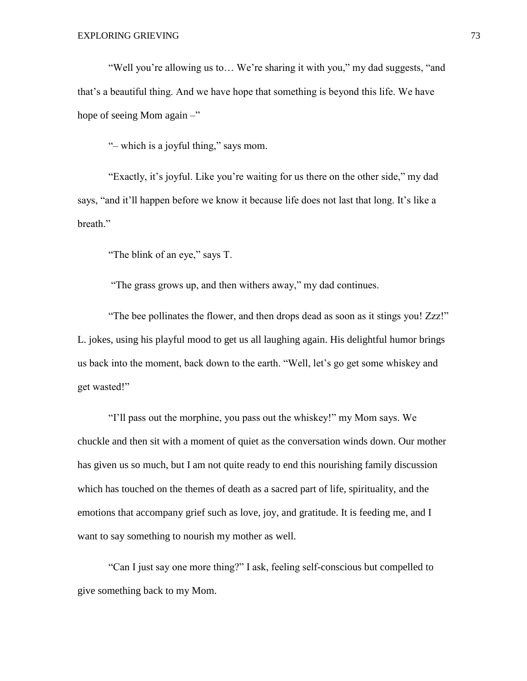"Well you're allowing us to… We're sharing it with you," my dad suggests, "and that's a beautiful thing. And we have hope that something is beyond this life. We have hope of seeing Mom again –"

"– which is a joyful thing," says mom.

"Exactly, it's joyful. Like you're waiting for us there on the other side," my dad says, "and it'll happen before we know it because life does not last that long. It's like a breath."

"The blink of an eye," says T.

"The grass grows up, and then withers away," my dad continues.

"The bee pollinates the flower, and then drops dead as soon as it stings you! Zzz!" L. jokes, using his playful mood to get us all laughing again. His delightful humor brings us back into the moment, back down to the earth. "Well, let's go get some whiskey and get wasted!"

"I'll pass out the morphine, you pass out the whiskey!" my Mom says. We chuckle and then sit with a moment of quiet as the conversation winds down. Our mother has given us so much, but I am not quite ready to end this nourishing family discussion which has touched on the themes of death as a sacred part of life, spirituality, and the emotions that accompany grief such as love, joy, and gratitude. It is feeding me, and I want to say something to nourish my mother as well.

"Can I just say one more thing?" I ask, feeling self-conscious but compelled to give something back to my Mom.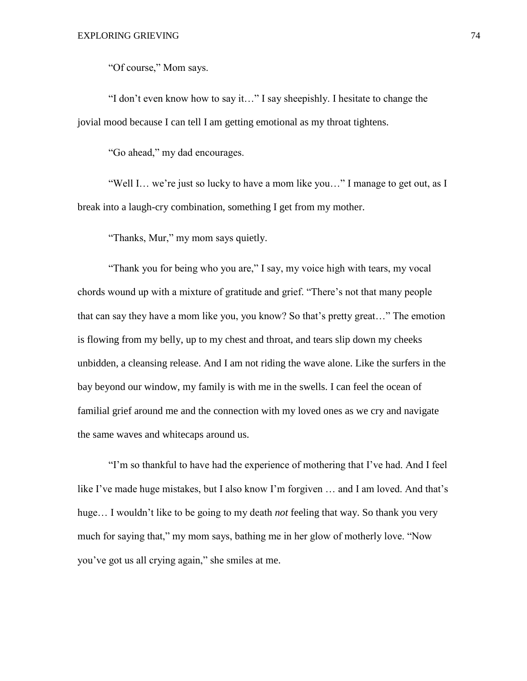"Of course," Mom says.

"I don't even know how to say it…" I say sheepishly. I hesitate to change the jovial mood because I can tell I am getting emotional as my throat tightens.

"Go ahead," my dad encourages.

"Well I… we're just so lucky to have a mom like you…" I manage to get out, as I break into a laugh-cry combination, something I get from my mother.

"Thanks, Mur," my mom says quietly.

"Thank you for being who you are," I say, my voice high with tears, my vocal chords wound up with a mixture of gratitude and grief. "There's not that many people that can say they have a mom like you, you know? So that's pretty great…" The emotion is flowing from my belly, up to my chest and throat, and tears slip down my cheeks unbidden, a cleansing release. And I am not riding the wave alone. Like the surfers in the bay beyond our window, my family is with me in the swells. I can feel the ocean of familial grief around me and the connection with my loved ones as we cry and navigate the same waves and whitecaps around us.

"I'm so thankful to have had the experience of mothering that I've had. And I feel like I've made huge mistakes, but I also know I'm forgiven … and I am loved. And that's huge… I wouldn't like to be going to my death *not* feeling that way. So thank you very much for saying that," my mom says, bathing me in her glow of motherly love. "Now you've got us all crying again," she smiles at me.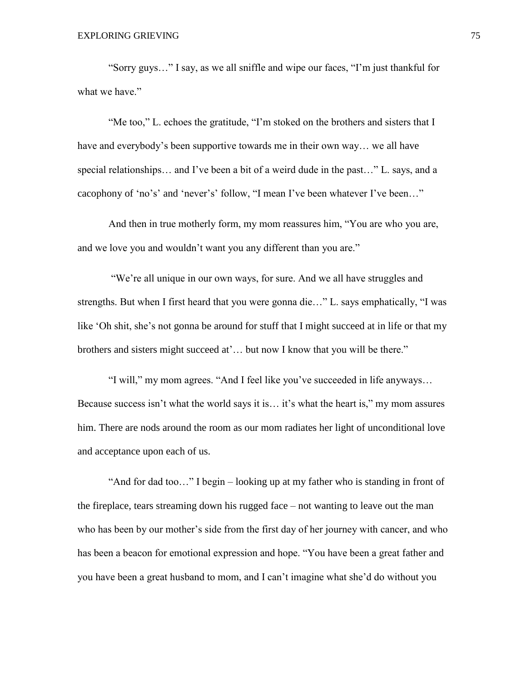"Sorry guys…" I say, as we all sniffle and wipe our faces, "I'm just thankful for what we have."

"Me too," L. echoes the gratitude, "I'm stoked on the brothers and sisters that I have and everybody's been supportive towards me in their own way… we all have special relationships… and I've been a bit of a weird dude in the past…" L. says, and a cacophony of 'no's' and 'never's' follow, "I mean I've been whatever I've been…"

And then in true motherly form, my mom reassures him, "You are who you are, and we love you and wouldn't want you any different than you are."

"We're all unique in our own ways, for sure. And we all have struggles and strengths. But when I first heard that you were gonna die…" L. says emphatically, "I was like 'Oh shit, she's not gonna be around for stuff that I might succeed at in life or that my brothers and sisters might succeed at'... but now I know that you will be there."

"I will," my mom agrees. "And I feel like you've succeeded in life anyways… Because success isn't what the world says it is… it's what the heart is," my mom assures him. There are nods around the room as our mom radiates her light of unconditional love and acceptance upon each of us.

"And for dad too…" I begin – looking up at my father who is standing in front of the fireplace, tears streaming down his rugged face – not wanting to leave out the man who has been by our mother's side from the first day of her journey with cancer, and who has been a beacon for emotional expression and hope. "You have been a great father and you have been a great husband to mom, and I can't imagine what she'd do without you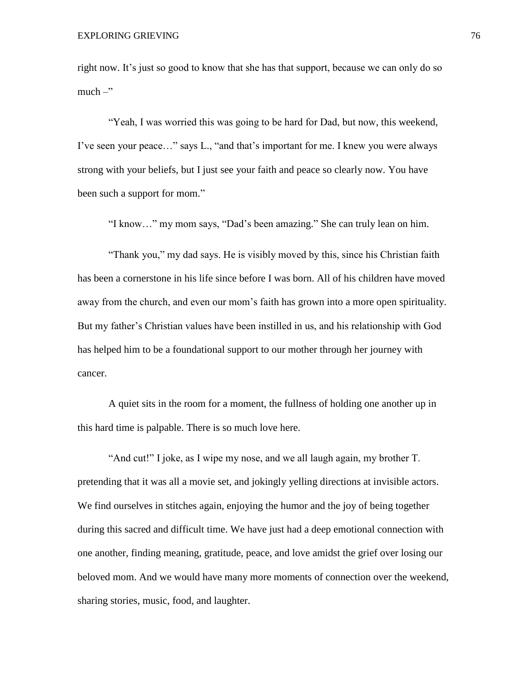right now. It's just so good to know that she has that support, because we can only do so much  $-$ "

"Yeah, I was worried this was going to be hard for Dad, but now, this weekend, I've seen your peace…" says L., "and that's important for me. I knew you were always strong with your beliefs, but I just see your faith and peace so clearly now. You have been such a support for mom."

"I know…" my mom says, "Dad's been amazing." She can truly lean on him.

"Thank you," my dad says. He is visibly moved by this, since his Christian faith has been a cornerstone in his life since before I was born. All of his children have moved away from the church, and even our mom's faith has grown into a more open spirituality. But my father's Christian values have been instilled in us, and his relationship with God has helped him to be a foundational support to our mother through her journey with cancer.

A quiet sits in the room for a moment, the fullness of holding one another up in this hard time is palpable. There is so much love here.

"And cut!" I joke, as I wipe my nose, and we all laugh again, my brother T. pretending that it was all a movie set, and jokingly yelling directions at invisible actors. We find ourselves in stitches again, enjoying the humor and the joy of being together during this sacred and difficult time. We have just had a deep emotional connection with one another, finding meaning, gratitude, peace, and love amidst the grief over losing our beloved mom. And we would have many more moments of connection over the weekend, sharing stories, music, food, and laughter.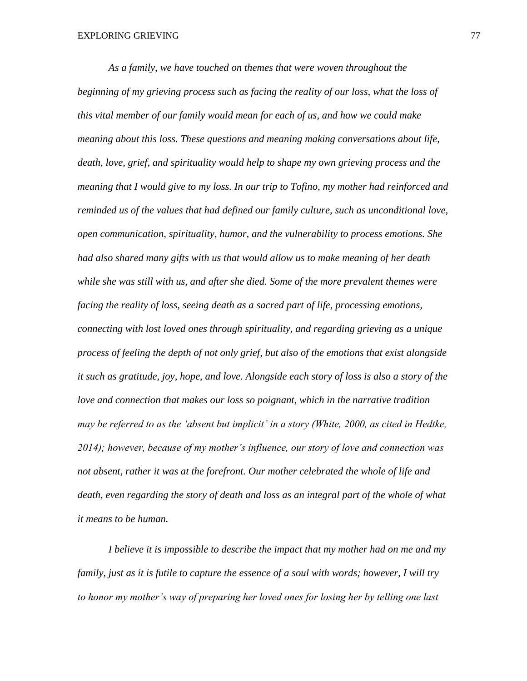*As a family, we have touched on themes that were woven throughout the beginning of my grieving process such as facing the reality of our loss, what the loss of this vital member of our family would mean for each of us, and how we could make meaning about this loss. These questions and meaning making conversations about life, death, love, grief, and spirituality would help to shape my own grieving process and the meaning that I would give to my loss. In our trip to Tofino, my mother had reinforced and reminded us of the values that had defined our family culture, such as unconditional love, open communication, spirituality, humor, and the vulnerability to process emotions. She had also shared many gifts with us that would allow us to make meaning of her death while she was still with us, and after she died. Some of the more prevalent themes were facing the reality of loss, seeing death as a sacred part of life, processing emotions, connecting with lost loved ones through spirituality, and regarding grieving as a unique process of feeling the depth of not only grief, but also of the emotions that exist alongside it such as gratitude, joy, hope, and love. Alongside each story of loss is also a story of the love and connection that makes our loss so poignant, which in the narrative tradition may be referred to as the 'absent but implicit' in a story (White, 2000, as cited in Hedtke, 2014); however, because of my mother's influence, our story of love and connection was not absent, rather it was at the forefront. Our mother celebrated the whole of life and*  death, even regarding the story of death and loss as an integral part of the whole of what *it means to be human.* 

*I believe it is impossible to describe the impact that my mother had on me and my family, just as it is futile to capture the essence of a soul with words; however, I will try to honor my mother's way of preparing her loved ones for losing her by telling one last*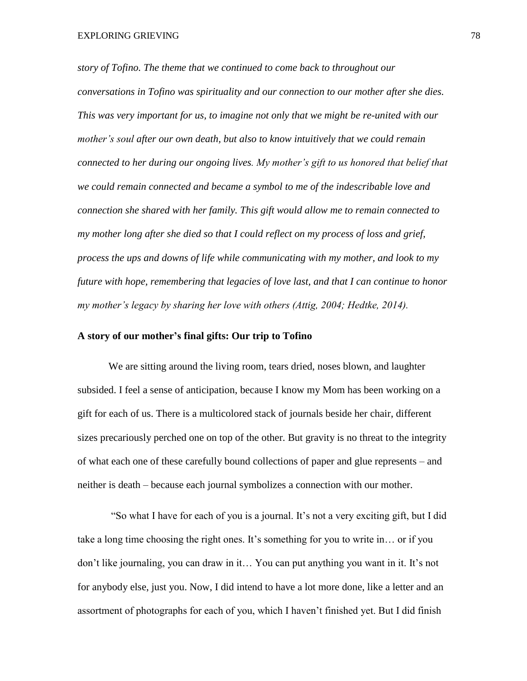*story of Tofino. The theme that we continued to come back to throughout our conversations in Tofino was spirituality and our connection to our mother after she dies. This was very important for us, to imagine not only that we might be re-united with our mother's soul after our own death, but also to know intuitively that we could remain connected to her during our ongoing lives. My mother's gift to us honored that belief that we could remain connected and became a symbol to me of the indescribable love and connection she shared with her family. This gift would allow me to remain connected to my mother long after she died so that I could reflect on my process of loss and grief, process the ups and downs of life while communicating with my mother, and look to my future with hope, remembering that legacies of love last, and that I can continue to honor my mother's legacy by sharing her love with others (Attig, 2004; Hedtke, 2014).* 

## **A story of our mother's final gifts: Our trip to Tofino**

We are sitting around the living room, tears dried, noses blown, and laughter subsided. I feel a sense of anticipation, because I know my Mom has been working on a gift for each of us. There is a multicolored stack of journals beside her chair, different sizes precariously perched one on top of the other. But gravity is no threat to the integrity of what each one of these carefully bound collections of paper and glue represents – and neither is death – because each journal symbolizes a connection with our mother.

"So what I have for each of you is a journal. It's not a very exciting gift, but I did take a long time choosing the right ones. It's something for you to write in… or if you don't like journaling, you can draw in it… You can put anything you want in it. It's not for anybody else, just you. Now, I did intend to have a lot more done, like a letter and an assortment of photographs for each of you, which I haven't finished yet. But I did finish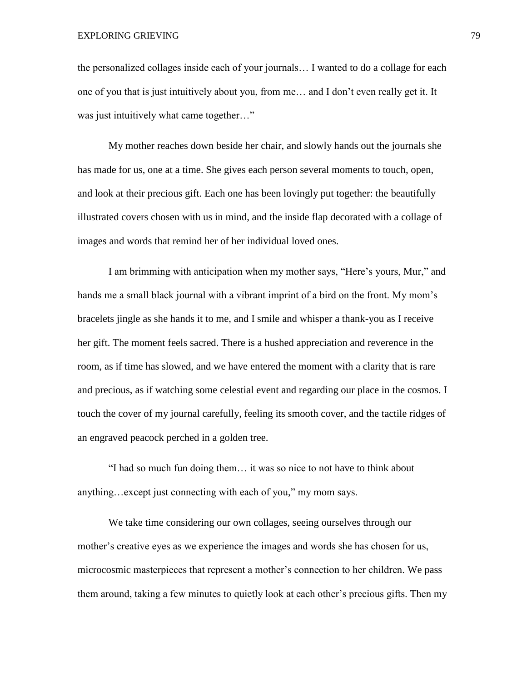the personalized collages inside each of your journals… I wanted to do a collage for each one of you that is just intuitively about you, from me… and I don't even really get it. It was just intuitively what came together..."

My mother reaches down beside her chair, and slowly hands out the journals she has made for us, one at a time. She gives each person several moments to touch, open, and look at their precious gift. Each one has been lovingly put together: the beautifully illustrated covers chosen with us in mind, and the inside flap decorated with a collage of images and words that remind her of her individual loved ones.

I am brimming with anticipation when my mother says, "Here's yours, Mur," and hands me a small black journal with a vibrant imprint of a bird on the front. My mom's bracelets jingle as she hands it to me, and I smile and whisper a thank-you as I receive her gift. The moment feels sacred. There is a hushed appreciation and reverence in the room, as if time has slowed, and we have entered the moment with a clarity that is rare and precious, as if watching some celestial event and regarding our place in the cosmos. I touch the cover of my journal carefully, feeling its smooth cover, and the tactile ridges of an engraved peacock perched in a golden tree.

"I had so much fun doing them… it was so nice to not have to think about anything…except just connecting with each of you," my mom says.

We take time considering our own collages, seeing ourselves through our mother's creative eyes as we experience the images and words she has chosen for us, microcosmic masterpieces that represent a mother's connection to her children. We pass them around, taking a few minutes to quietly look at each other's precious gifts. Then my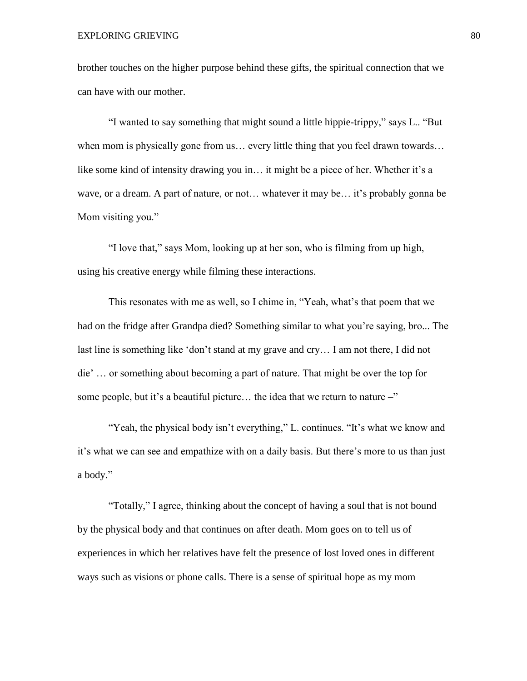brother touches on the higher purpose behind these gifts, the spiritual connection that we can have with our mother.

"I wanted to say something that might sound a little hippie-trippy," says L.. "But when mom is physically gone from us... every little thing that you feel drawn towards... like some kind of intensity drawing you in… it might be a piece of her. Whether it's a wave, or a dream. A part of nature, or not... whatever it may be... it's probably gonna be Mom visiting you."

"I love that," says Mom, looking up at her son, who is filming from up high, using his creative energy while filming these interactions.

This resonates with me as well, so I chime in, "Yeah, what's that poem that we had on the fridge after Grandpa died? Something similar to what you're saying, bro... The last line is something like 'don't stand at my grave and cry… I am not there, I did not die' … or something about becoming a part of nature. That might be over the top for some people, but it's a beautiful picture... the idea that we return to nature  $-\tilde{ }$ 

"Yeah, the physical body isn't everything," L. continues. "It's what we know and it's what we can see and empathize with on a daily basis. But there's more to us than just a body."

"Totally," I agree, thinking about the concept of having a soul that is not bound by the physical body and that continues on after death. Mom goes on to tell us of experiences in which her relatives have felt the presence of lost loved ones in different ways such as visions or phone calls. There is a sense of spiritual hope as my mom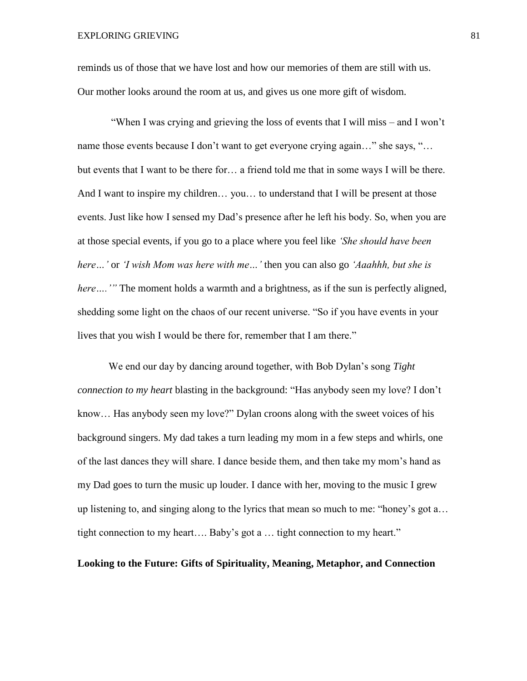reminds us of those that we have lost and how our memories of them are still with us. Our mother looks around the room at us, and gives us one more gift of wisdom.

"When I was crying and grieving the loss of events that I will miss – and I won't name those events because I don't want to get everyone crying again…" she says, "… but events that I want to be there for… a friend told me that in some ways I will be there. And I want to inspire my children… you… to understand that I will be present at those events. Just like how I sensed my Dad's presence after he left his body. So, when you are at those special events, if you go to a place where you feel like *'She should have been here…'* or *'I wish Mom was here with me…'* then you can also go *'Aaahhh, but she is here* ....'" The moment holds a warmth and a brightness, as if the sun is perfectly aligned, shedding some light on the chaos of our recent universe. "So if you have events in your lives that you wish I would be there for, remember that I am there."

We end our day by dancing around together, with Bob Dylan's song *Tight connection to my heart* blasting in the background: "Has anybody seen my love? I don't know… Has anybody seen my love?" Dylan croons along with the sweet voices of his background singers. My dad takes a turn leading my mom in a few steps and whirls, one of the last dances they will share. I dance beside them, and then take my mom's hand as my Dad goes to turn the music up louder. I dance with her, moving to the music I grew up listening to, and singing along to the lyrics that mean so much to me: "honey's got a… tight connection to my heart…. Baby's got a … tight connection to my heart."

**Looking to the Future: Gifts of Spirituality, Meaning, Metaphor, and Connection**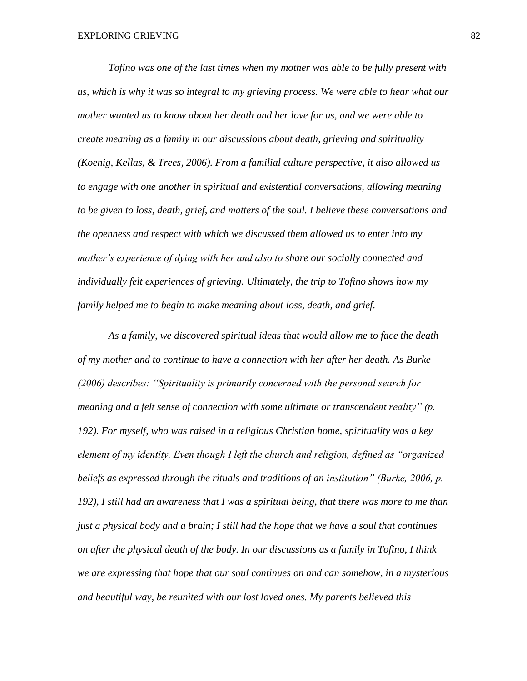*Tofino was one of the last times when my mother was able to be fully present with us, which is why it was so integral to my grieving process. We were able to hear what our mother wanted us to know about her death and her love for us, and we were able to create meaning as a family in our discussions about death, grieving and spirituality (Koenig, Kellas, & Trees, 2006). From a familial culture perspective, it also allowed us to engage with one another in spiritual and existential conversations, allowing meaning to be given to loss, death, grief, and matters of the soul. I believe these conversations and the openness and respect with which we discussed them allowed us to enter into my mother's experience of dying with her and also to share our socially connected and individually felt experiences of grieving. Ultimately, the trip to Tofino shows how my family helped me to begin to make meaning about loss, death, and grief.* 

*As a family, we discovered spiritual ideas that would allow me to face the death of my mother and to continue to have a connection with her after her death. As Burke (2006) describes: "Spirituality is primarily concerned with the personal search for meaning and a felt sense of connection with some ultimate or transcendent reality" (p. 192). For myself, who was raised in a religious Christian home, spirituality was a key element of my identity. Even though I left the church and religion, defined as "organized beliefs as expressed through the rituals and traditions of an institution" (Burke, 2006, p. 192), I still had an awareness that I was a spiritual being, that there was more to me than just a physical body and a brain; I still had the hope that we have a soul that continues on after the physical death of the body. In our discussions as a family in Tofino, I think we are expressing that hope that our soul continues on and can somehow, in a mysterious and beautiful way, be reunited with our lost loved ones. My parents believed this*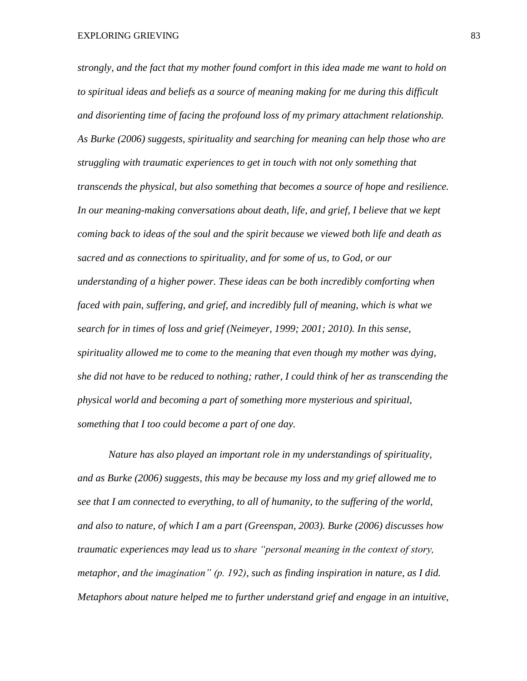*strongly, and the fact that my mother found comfort in this idea made me want to hold on to spiritual ideas and beliefs as a source of meaning making for me during this difficult and disorienting time of facing the profound loss of my primary attachment relationship. As Burke (2006) suggests, spirituality and searching for meaning can help those who are struggling with traumatic experiences to get in touch with not only something that transcends the physical, but also something that becomes a source of hope and resilience. In our meaning-making conversations about death, life, and grief, I believe that we kept coming back to ideas of the soul and the spirit because we viewed both life and death as sacred and as connections to spirituality, and for some of us, to God, or our understanding of a higher power. These ideas can be both incredibly comforting when faced with pain, suffering, and grief, and incredibly full of meaning, which is what we search for in times of loss and grief (Neimeyer, 1999; 2001; 2010). In this sense, spirituality allowed me to come to the meaning that even though my mother was dying, she did not have to be reduced to nothing; rather, I could think of her as transcending the physical world and becoming a part of something more mysterious and spiritual, something that I too could become a part of one day.* 

*Nature has also played an important role in my understandings of spirituality, and as Burke (2006) suggests, this may be because my loss and my grief allowed me to see that I am connected to everything, to all of humanity, to the suffering of the world, and also to nature, of which I am a part (Greenspan, 2003). Burke (2006) discusses how traumatic experiences may lead us to share "personal meaning in the context of story, metaphor, and the imagination" (p. 192), such as finding inspiration in nature, as I did. Metaphors about nature helped me to further understand grief and engage in an intuitive,*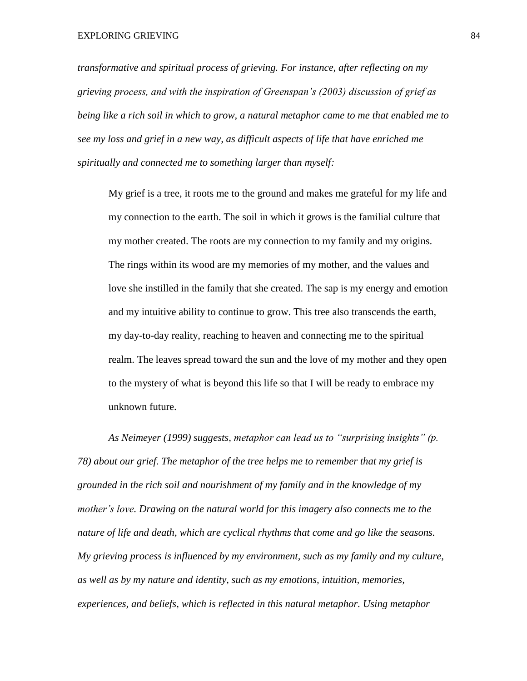EXPLORING GRIEVING 84

*transformative and spiritual process of grieving. For instance, after reflecting on my grieving process, and with the inspiration of Greenspan's (2003) discussion of grief as being like a rich soil in which to grow, a natural metaphor came to me that enabled me to see my loss and grief in a new way, as difficult aspects of life that have enriched me spiritually and connected me to something larger than myself:*

My grief is a tree, it roots me to the ground and makes me grateful for my life and my connection to the earth. The soil in which it grows is the familial culture that my mother created. The roots are my connection to my family and my origins. The rings within its wood are my memories of my mother, and the values and love she instilled in the family that she created. The sap is my energy and emotion and my intuitive ability to continue to grow. This tree also transcends the earth, my day-to-day reality, reaching to heaven and connecting me to the spiritual realm. The leaves spread toward the sun and the love of my mother and they open to the mystery of what is beyond this life so that I will be ready to embrace my unknown future.

*As Neimeyer (1999) suggests, metaphor can lead us to "surprising insights" (p. 78) about our grief. The metaphor of the tree helps me to remember that my grief is grounded in the rich soil and nourishment of my family and in the knowledge of my mother's love. Drawing on the natural world for this imagery also connects me to the nature of life and death, which are cyclical rhythms that come and go like the seasons. My grieving process is influenced by my environment, such as my family and my culture, as well as by my nature and identity, such as my emotions, intuition, memories, experiences, and beliefs, which is reflected in this natural metaphor. Using metaphor*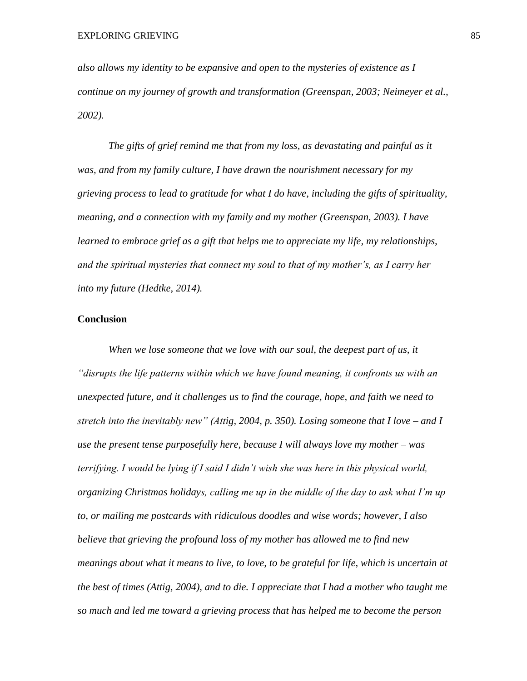*also allows my identity to be expansive and open to the mysteries of existence as I continue on my journey of growth and transformation (Greenspan, 2003; Neimeyer et al., 2002).*

*The gifts of grief remind me that from my loss, as devastating and painful as it was, and from my family culture, I have drawn the nourishment necessary for my grieving process to lead to gratitude for what I do have, including the gifts of spirituality, meaning, and a connection with my family and my mother (Greenspan, 2003). I have learned to embrace grief as a gift that helps me to appreciate my life, my relationships, and the spiritual mysteries that connect my soul to that of my mother's, as I carry her into my future (Hedtke, 2014).*

# **Conclusion**

*When we lose someone that we love with our soul, the deepest part of us, it "disrupts the life patterns within which we have found meaning, it confronts us with an unexpected future, and it challenges us to find the courage, hope, and faith we need to stretch into the inevitably new" (Attig, 2004, p. 350). Losing someone that I love – and I use the present tense purposefully here, because I will always love my mother – was terrifying. I would be lying if I said I didn't wish she was here in this physical world, organizing Christmas holidays, calling me up in the middle of the day to ask what I'm up to, or mailing me postcards with ridiculous doodles and wise words; however, I also believe that grieving the profound loss of my mother has allowed me to find new meanings about what it means to live, to love, to be grateful for life, which is uncertain at the best of times (Attig, 2004), and to die. I appreciate that I had a mother who taught me so much and led me toward a grieving process that has helped me to become the person*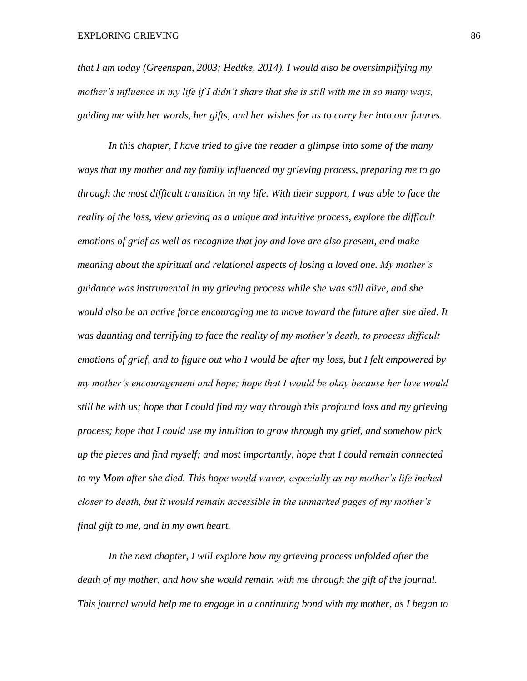*that I am today (Greenspan, 2003; Hedtke, 2014). I would also be oversimplifying my mother's influence in my life if I didn't share that she is still with me in so many ways, guiding me with her words, her gifts, and her wishes for us to carry her into our futures.* 

*In this chapter, I have tried to give the reader a glimpse into some of the many ways that my mother and my family influenced my grieving process, preparing me to go through the most difficult transition in my life. With their support, I was able to face the reality of the loss, view grieving as a unique and intuitive process, explore the difficult emotions of grief as well as recognize that joy and love are also present, and make meaning about the spiritual and relational aspects of losing a loved one. My mother's guidance was instrumental in my grieving process while she was still alive, and she would also be an active force encouraging me to move toward the future after she died. It was daunting and terrifying to face the reality of my mother's death, to process difficult emotions of grief, and to figure out who I would be after my loss, but I felt empowered by my mother's encouragement and hope; hope that I would be okay because her love would still be with us; hope that I could find my way through this profound loss and my grieving process; hope that I could use my intuition to grow through my grief, and somehow pick up the pieces and find myself; and most importantly, hope that I could remain connected to my Mom after she died. This hope would waver, especially as my mother's life inched closer to death, but it would remain accessible in the unmarked pages of my mother's final gift to me, and in my own heart.* 

*In the next chapter, I will explore how my grieving process unfolded after the death of my mother, and how she would remain with me through the gift of the journal. This journal would help me to engage in a continuing bond with my mother, as I began to*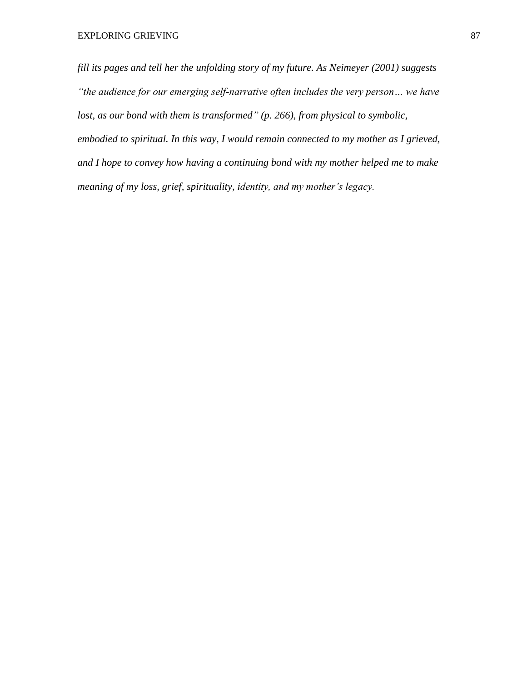*fill its pages and tell her the unfolding story of my future. As Neimeyer (2001) suggests "the audience for our emerging self-narrative often includes the very person… we have lost, as our bond with them is transformed" (p. 266), from physical to symbolic, embodied to spiritual. In this way, I would remain connected to my mother as I grieved, and I hope to convey how having a continuing bond with my mother helped me to make meaning of my loss, grief, spirituality, identity, and my mother's legacy.*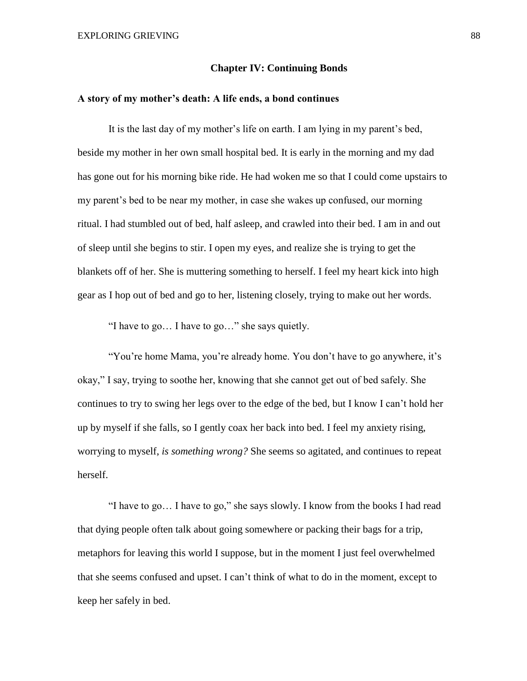### **Chapter IV: Continuing Bonds**

### **A story of my mother's death: A life ends, a bond continues**

It is the last day of my mother's life on earth. I am lying in my parent's bed, beside my mother in her own small hospital bed. It is early in the morning and my dad has gone out for his morning bike ride. He had woken me so that I could come upstairs to my parent's bed to be near my mother, in case she wakes up confused, our morning ritual. I had stumbled out of bed, half asleep, and crawled into their bed. I am in and out of sleep until she begins to stir. I open my eyes, and realize she is trying to get the blankets off of her. She is muttering something to herself. I feel my heart kick into high gear as I hop out of bed and go to her, listening closely, trying to make out her words.

"I have to go… I have to go…" she says quietly.

"You're home Mama, you're already home. You don't have to go anywhere, it's okay," I say, trying to soothe her, knowing that she cannot get out of bed safely. She continues to try to swing her legs over to the edge of the bed, but I know I can't hold her up by myself if she falls, so I gently coax her back into bed. I feel my anxiety rising, worrying to myself, *is something wrong?* She seems so agitated, and continues to repeat herself.

"I have to go… I have to go," she says slowly. I know from the books I had read that dying people often talk about going somewhere or packing their bags for a trip, metaphors for leaving this world I suppose, but in the moment I just feel overwhelmed that she seems confused and upset. I can't think of what to do in the moment, except to keep her safely in bed.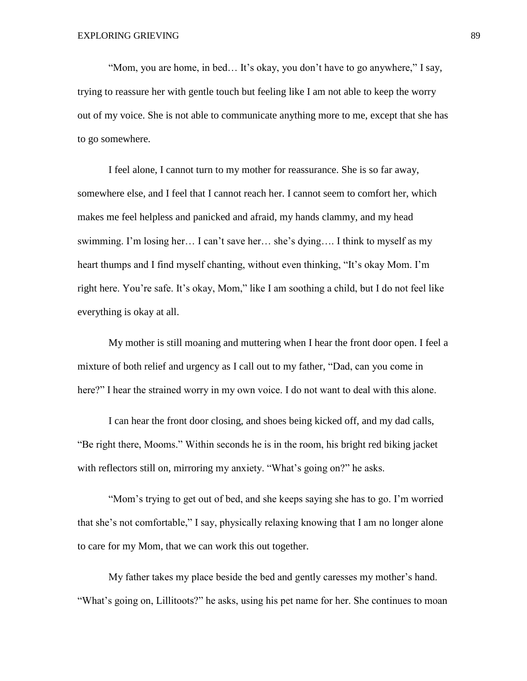"Mom, you are home, in bed… It's okay, you don't have to go anywhere," I say, trying to reassure her with gentle touch but feeling like I am not able to keep the worry out of my voice. She is not able to communicate anything more to me, except that she has to go somewhere.

I feel alone, I cannot turn to my mother for reassurance. She is so far away, somewhere else, and I feel that I cannot reach her. I cannot seem to comfort her, which makes me feel helpless and panicked and afraid, my hands clammy, and my head swimming. I'm losing her… I can't save her… she's dying…. I think to myself as my heart thumps and I find myself chanting, without even thinking, "It's okay Mom. I'm right here. You're safe. It's okay, Mom," like I am soothing a child, but I do not feel like everything is okay at all.

My mother is still moaning and muttering when I hear the front door open. I feel a mixture of both relief and urgency as I call out to my father, "Dad, can you come in here?" I hear the strained worry in my own voice. I do not want to deal with this alone.

I can hear the front door closing, and shoes being kicked off, and my dad calls, "Be right there, Mooms." Within seconds he is in the room, his bright red biking jacket with reflectors still on, mirroring my anxiety. "What's going on?" he asks.

"Mom's trying to get out of bed, and she keeps saying she has to go. I'm worried that she's not comfortable," I say, physically relaxing knowing that I am no longer alone to care for my Mom, that we can work this out together.

My father takes my place beside the bed and gently caresses my mother's hand. "What's going on, Lillitoots?" he asks, using his pet name for her. She continues to moan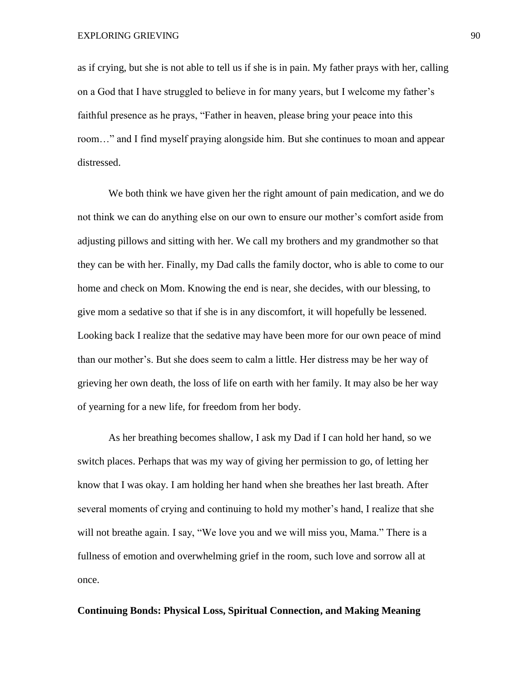as if crying, but she is not able to tell us if she is in pain. My father prays with her, calling on a God that I have struggled to believe in for many years, but I welcome my father's faithful presence as he prays, "Father in heaven, please bring your peace into this room…" and I find myself praying alongside him. But she continues to moan and appear distressed.

We both think we have given her the right amount of pain medication, and we do not think we can do anything else on our own to ensure our mother's comfort aside from adjusting pillows and sitting with her. We call my brothers and my grandmother so that they can be with her. Finally, my Dad calls the family doctor, who is able to come to our home and check on Mom. Knowing the end is near, she decides, with our blessing, to give mom a sedative so that if she is in any discomfort, it will hopefully be lessened. Looking back I realize that the sedative may have been more for our own peace of mind than our mother's. But she does seem to calm a little. Her distress may be her way of grieving her own death, the loss of life on earth with her family. It may also be her way of yearning for a new life, for freedom from her body.

As her breathing becomes shallow, I ask my Dad if I can hold her hand, so we switch places. Perhaps that was my way of giving her permission to go, of letting her know that I was okay. I am holding her hand when she breathes her last breath. After several moments of crying and continuing to hold my mother's hand, I realize that she will not breathe again. I say, "We love you and we will miss you, Mama." There is a fullness of emotion and overwhelming grief in the room, such love and sorrow all at once.

## **Continuing Bonds: Physical Loss, Spiritual Connection, and Making Meaning**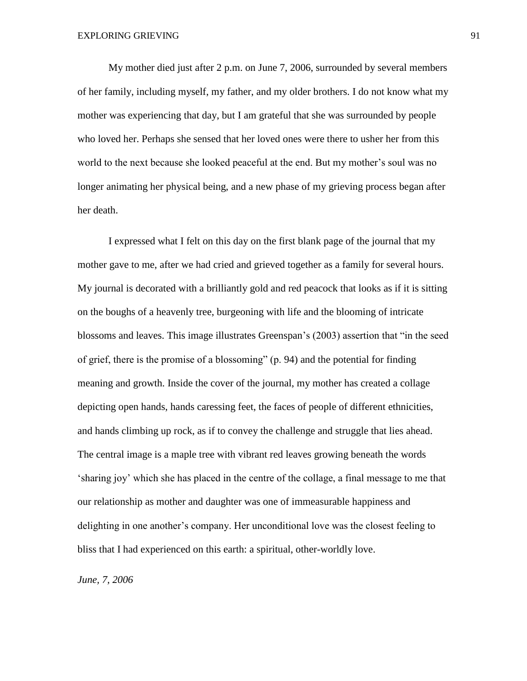My mother died just after 2 p.m. on June 7, 2006, surrounded by several members of her family, including myself, my father, and my older brothers. I do not know what my mother was experiencing that day, but I am grateful that she was surrounded by people who loved her. Perhaps she sensed that her loved ones were there to usher her from this world to the next because she looked peaceful at the end. But my mother's soul was no longer animating her physical being, and a new phase of my grieving process began after her death.

I expressed what I felt on this day on the first blank page of the journal that my mother gave to me, after we had cried and grieved together as a family for several hours. My journal is decorated with a brilliantly gold and red peacock that looks as if it is sitting on the boughs of a heavenly tree, burgeoning with life and the blooming of intricate blossoms and leaves. This image illustrates Greenspan's (2003) assertion that "in the seed of grief, there is the promise of a blossoming" (p. 94) and the potential for finding meaning and growth. Inside the cover of the journal, my mother has created a collage depicting open hands, hands caressing feet, the faces of people of different ethnicities, and hands climbing up rock, as if to convey the challenge and struggle that lies ahead. The central image is a maple tree with vibrant red leaves growing beneath the words 'sharing joy' which she has placed in the centre of the collage, a final message to me that our relationship as mother and daughter was one of immeasurable happiness and delighting in one another's company. Her unconditional love was the closest feeling to bliss that I had experienced on this earth: a spiritual, other-worldly love.

*June, 7, 2006*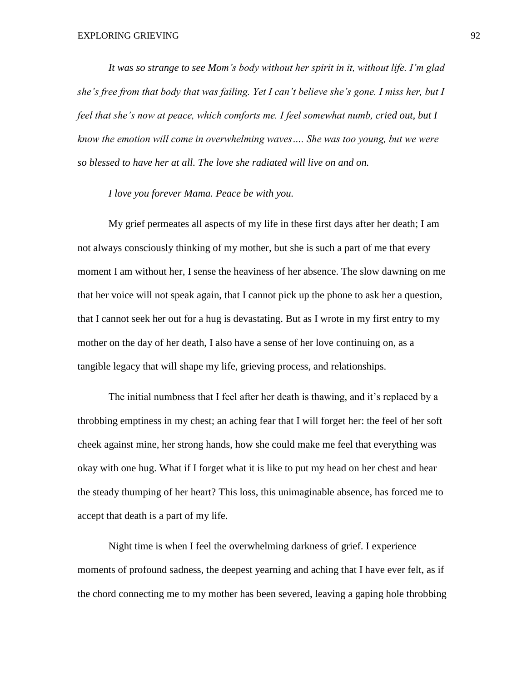*It was so strange to see Mom's body without her spirit in it, without life. I'm glad she's free from that body that was failing. Yet I can't believe she's gone. I miss her, but I feel that she's now at peace, which comforts me. I feel somewhat numb, cried out, but I know the emotion will come in overwhelming waves…. She was too young, but we were so blessed to have her at all. The love she radiated will live on and on.* 

*I love you forever Mama. Peace be with you.* 

My grief permeates all aspects of my life in these first days after her death; I am not always consciously thinking of my mother, but she is such a part of me that every moment I am without her, I sense the heaviness of her absence. The slow dawning on me that her voice will not speak again, that I cannot pick up the phone to ask her a question, that I cannot seek her out for a hug is devastating. But as I wrote in my first entry to my mother on the day of her death, I also have a sense of her love continuing on, as a tangible legacy that will shape my life, grieving process, and relationships.

The initial numbness that I feel after her death is thawing, and it's replaced by a throbbing emptiness in my chest; an aching fear that I will forget her: the feel of her soft cheek against mine, her strong hands, how she could make me feel that everything was okay with one hug. What if I forget what it is like to put my head on her chest and hear the steady thumping of her heart? This loss, this unimaginable absence, has forced me to accept that death is a part of my life.

Night time is when I feel the overwhelming darkness of grief. I experience moments of profound sadness, the deepest yearning and aching that I have ever felt, as if the chord connecting me to my mother has been severed, leaving a gaping hole throbbing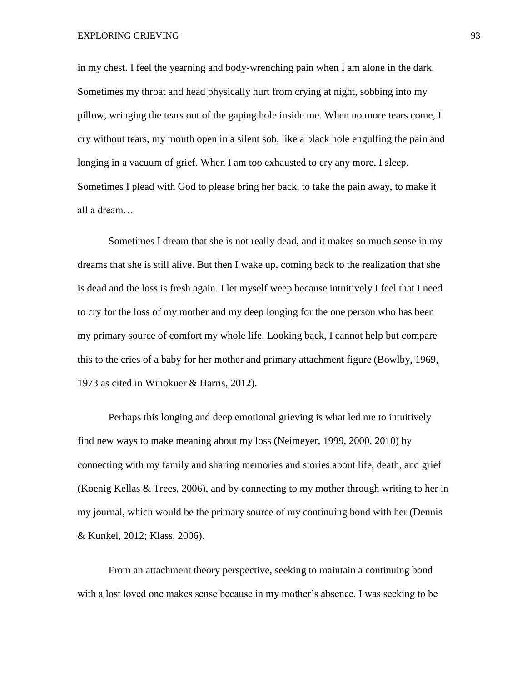EXPLORING GRIEVING 93

in my chest. I feel the yearning and body-wrenching pain when I am alone in the dark. Sometimes my throat and head physically hurt from crying at night, sobbing into my pillow, wringing the tears out of the gaping hole inside me. When no more tears come, I cry without tears, my mouth open in a silent sob, like a black hole engulfing the pain and longing in a vacuum of grief. When I am too exhausted to cry any more, I sleep. Sometimes I plead with God to please bring her back, to take the pain away, to make it all a dream…

Sometimes I dream that she is not really dead, and it makes so much sense in my dreams that she is still alive. But then I wake up, coming back to the realization that she is dead and the loss is fresh again. I let myself weep because intuitively I feel that I need to cry for the loss of my mother and my deep longing for the one person who has been my primary source of comfort my whole life. Looking back, I cannot help but compare this to the cries of a baby for her mother and primary attachment figure (Bowlby, 1969, 1973 as cited in Winokuer & Harris, 2012).

Perhaps this longing and deep emotional grieving is what led me to intuitively find new ways to make meaning about my loss (Neimeyer, 1999, 2000, 2010) by connecting with my family and sharing memories and stories about life, death, and grief (Koenig Kellas & Trees, 2006), and by connecting to my mother through writing to her in my journal, which would be the primary source of my continuing bond with her (Dennis & Kunkel, 2012; Klass, 2006).

From an attachment theory perspective, seeking to maintain a continuing bond with a lost loved one makes sense because in my mother's absence, I was seeking to be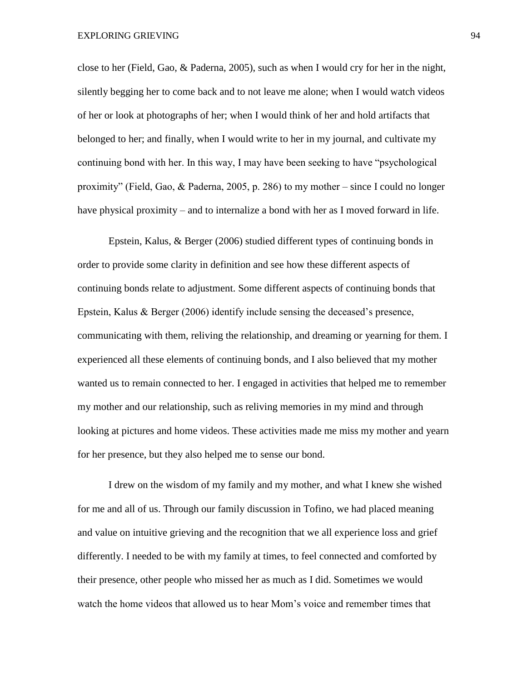close to her (Field, Gao, & Paderna, 2005), such as when I would cry for her in the night, silently begging her to come back and to not leave me alone; when I would watch videos of her or look at photographs of her; when I would think of her and hold artifacts that belonged to her; and finally, when I would write to her in my journal, and cultivate my continuing bond with her. In this way, I may have been seeking to have "psychological proximity" (Field, Gao, & Paderna, 2005, p. 286) to my mother – since I could no longer have physical proximity – and to internalize a bond with her as I moved forward in life.

Epstein, Kalus, & Berger (2006) studied different types of continuing bonds in order to provide some clarity in definition and see how these different aspects of continuing bonds relate to adjustment. Some different aspects of continuing bonds that Epstein, Kalus & Berger (2006) identify include sensing the deceased's presence, communicating with them, reliving the relationship, and dreaming or yearning for them. I experienced all these elements of continuing bonds, and I also believed that my mother wanted us to remain connected to her. I engaged in activities that helped me to remember my mother and our relationship, such as reliving memories in my mind and through looking at pictures and home videos. These activities made me miss my mother and yearn for her presence, but they also helped me to sense our bond.

I drew on the wisdom of my family and my mother, and what I knew she wished for me and all of us. Through our family discussion in Tofino, we had placed meaning and value on intuitive grieving and the recognition that we all experience loss and grief differently. I needed to be with my family at times, to feel connected and comforted by their presence, other people who missed her as much as I did. Sometimes we would watch the home videos that allowed us to hear Mom's voice and remember times that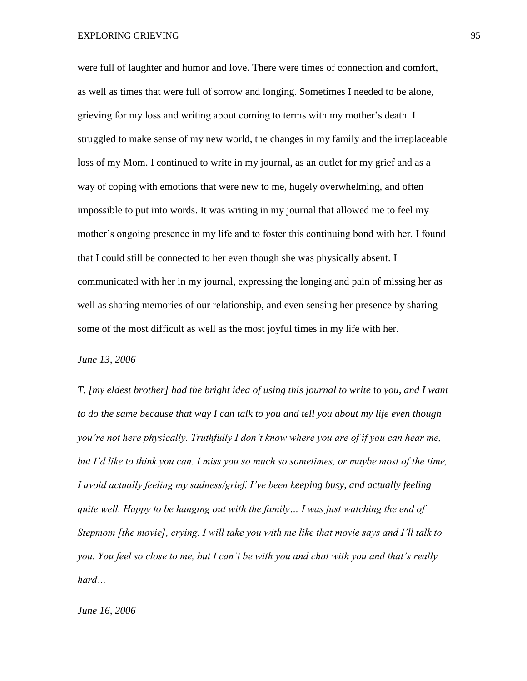were full of laughter and humor and love. There were times of connection and comfort, as well as times that were full of sorrow and longing. Sometimes I needed to be alone, grieving for my loss and writing about coming to terms with my mother's death. I struggled to make sense of my new world, the changes in my family and the irreplaceable loss of my Mom. I continued to write in my journal, as an outlet for my grief and as a way of coping with emotions that were new to me, hugely overwhelming, and often impossible to put into words. It was writing in my journal that allowed me to feel my mother's ongoing presence in my life and to foster this continuing bond with her. I found that I could still be connected to her even though she was physically absent. I communicated with her in my journal, expressing the longing and pain of missing her as well as sharing memories of our relationship, and even sensing her presence by sharing some of the most difficult as well as the most joyful times in my life with her.

*June 13, 2006*

*T. [my eldest brother] had the bright idea of using this journal to write* to *you, and I want to do the same because that way I can talk to you and tell you about my life even though you're not here physically. Truthfully I don't know where you are of if you can hear me, but I'd like to think you can. I miss you so much so sometimes, or maybe most of the time, I avoid actually feeling my sadness/grief. I've been keeping busy, and actually feeling quite well. Happy to be hanging out with the family… I was just watching the end of Stepmom [the movie], crying. I will take you with me like that movie says and I'll talk to you. You feel so close to me, but I can't be with you and chat with you and that's really hard…*

#### *June 16, 2006*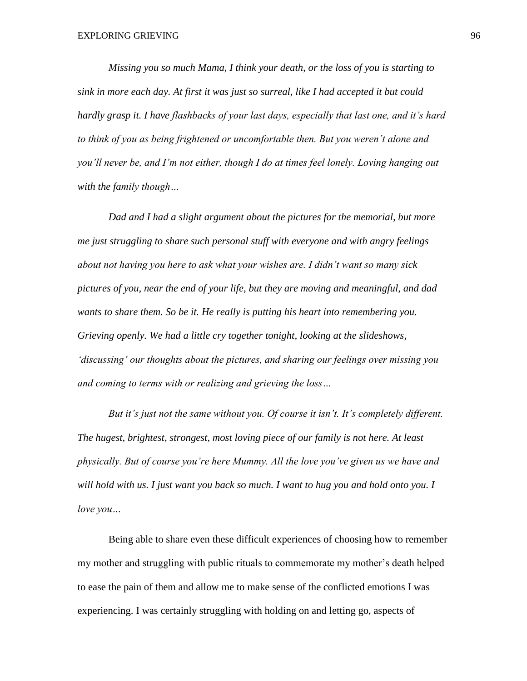*Missing you so much Mama, I think your death, or the loss of you is starting to sink in more each day. At first it was just so surreal, like I had accepted it but could hardly grasp it. I have flashbacks of your last days, especially that last one, and it's hard to think of you as being frightened or uncomfortable then. But you weren't alone and you'll never be, and I'm not either, though I do at times feel lonely. Loving hanging out with the family though…* 

*Dad and I had a slight argument about the pictures for the memorial, but more me just struggling to share such personal stuff with everyone and with angry feelings about not having you here to ask what your wishes are. I didn't want so many sick pictures of you, near the end of your life, but they are moving and meaningful, and dad wants to share them. So be it. He really is putting his heart into remembering you. Grieving openly. We had a little cry together tonight, looking at the slideshows, 'discussing' our thoughts about the pictures, and sharing our feelings over missing you and coming to terms with or realizing and grieving the loss…* 

*But it's just not the same without you. Of course it isn't. It's completely different. The hugest, brightest, strongest, most loving piece of our family is not here. At least physically. But of course you're here Mummy. All the love you've given us we have and will hold with us. I just want you back so much. I want to hug you and hold onto you. I love you…*

Being able to share even these difficult experiences of choosing how to remember my mother and struggling with public rituals to commemorate my mother's death helped to ease the pain of them and allow me to make sense of the conflicted emotions I was experiencing. I was certainly struggling with holding on and letting go, aspects of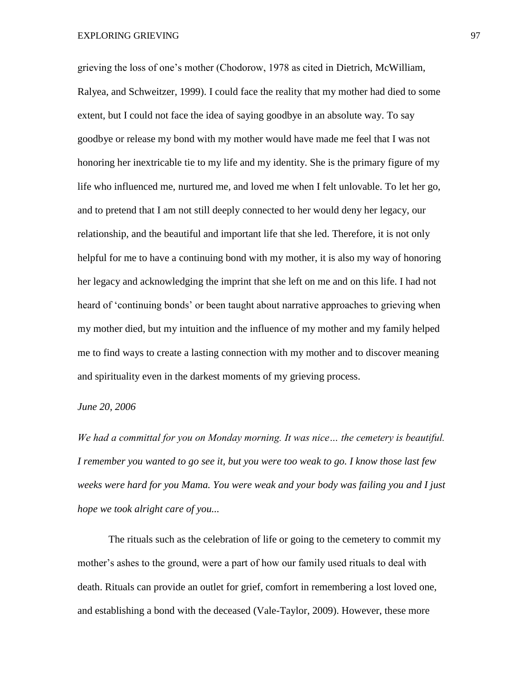grieving the loss of one's mother (Chodorow, 1978 as cited in Dietrich, McWilliam, Ralyea, and Schweitzer, 1999). I could face the reality that my mother had died to some extent, but I could not face the idea of saying goodbye in an absolute way. To say goodbye or release my bond with my mother would have made me feel that I was not honoring her inextricable tie to my life and my identity. She is the primary figure of my life who influenced me, nurtured me, and loved me when I felt unlovable. To let her go, and to pretend that I am not still deeply connected to her would deny her legacy, our relationship, and the beautiful and important life that she led. Therefore, it is not only helpful for me to have a continuing bond with my mother, it is also my way of honoring her legacy and acknowledging the imprint that she left on me and on this life. I had not heard of 'continuing bonds' or been taught about narrative approaches to grieving when my mother died, but my intuition and the influence of my mother and my family helped me to find ways to create a lasting connection with my mother and to discover meaning and spirituality even in the darkest moments of my grieving process.

## *June 20, 2006*

*We had a committal for you on Monday morning. It was nice… the cemetery is beautiful. I remember you wanted to go see it, but you were too weak to go. I know those last few weeks were hard for you Mama. You were weak and your body was failing you and I just hope we took alright care of you...* 

The rituals such as the celebration of life or going to the cemetery to commit my mother's ashes to the ground, were a part of how our family used rituals to deal with death. Rituals can provide an outlet for grief, comfort in remembering a lost loved one, and establishing a bond with the deceased (Vale-Taylor, 2009). However, these more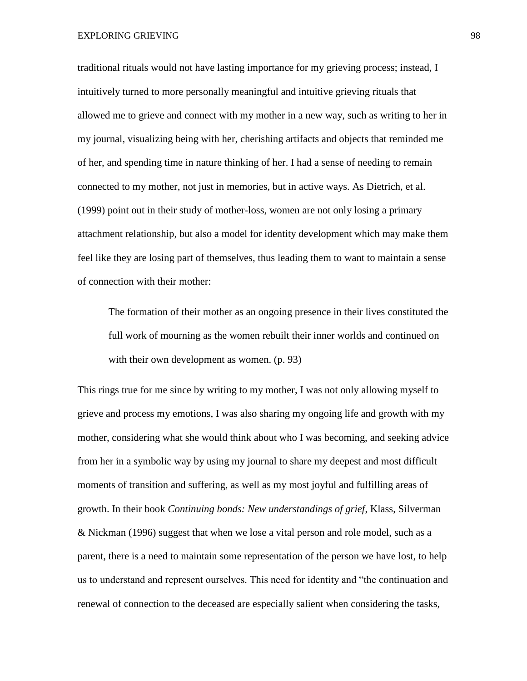traditional rituals would not have lasting importance for my grieving process; instead, I intuitively turned to more personally meaningful and intuitive grieving rituals that allowed me to grieve and connect with my mother in a new way, such as writing to her in my journal, visualizing being with her, cherishing artifacts and objects that reminded me of her, and spending time in nature thinking of her. I had a sense of needing to remain connected to my mother, not just in memories, but in active ways. As Dietrich, et al. (1999) point out in their study of mother-loss, women are not only losing a primary attachment relationship, but also a model for identity development which may make them feel like they are losing part of themselves, thus leading them to want to maintain a sense of connection with their mother:

The formation of their mother as an ongoing presence in their lives constituted the full work of mourning as the women rebuilt their inner worlds and continued on with their own development as women.  $(p. 93)$ 

This rings true for me since by writing to my mother, I was not only allowing myself to grieve and process my emotions, I was also sharing my ongoing life and growth with my mother, considering what she would think about who I was becoming, and seeking advice from her in a symbolic way by using my journal to share my deepest and most difficult moments of transition and suffering, as well as my most joyful and fulfilling areas of growth. In their book *Continuing bonds: New understandings of grief*, Klass, Silverman & Nickman (1996) suggest that when we lose a vital person and role model, such as a parent, there is a need to maintain some representation of the person we have lost, to help us to understand and represent ourselves. This need for identity and "the continuation and renewal of connection to the deceased are especially salient when considering the tasks,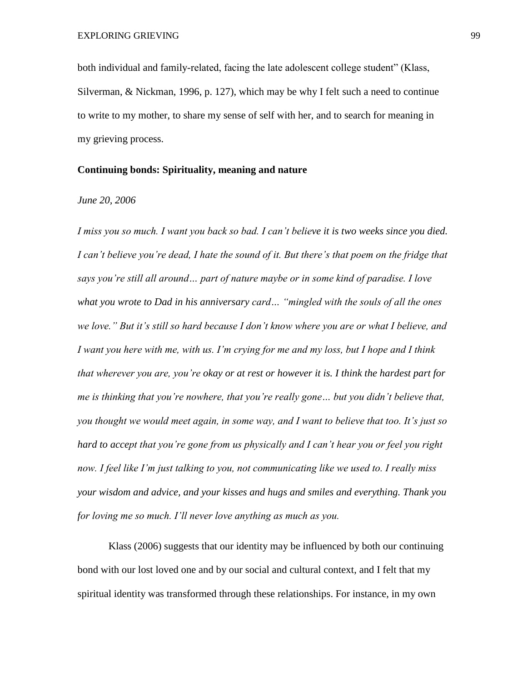both individual and family-related, facing the late adolescent college student" (Klass, Silverman, & Nickman, 1996, p. 127), which may be why I felt such a need to continue to write to my mother, to share my sense of self with her, and to search for meaning in my grieving process.

## **Continuing bonds: Spirituality, meaning and nature**

## *June 20, 2006*

*I miss you so much. I want you back so bad. I can't believe it is two weeks since you died. I can't believe you're dead, I hate the sound of it. But there's that poem on the fridge that says you're still all around… part of nature maybe or in some kind of paradise. I love what you wrote to Dad in his anniversary card… "mingled with the souls of all the ones we love." But it's still so hard because I don't know where you are or what I believe, and I want you here with me, with us. I'm crying for me and my loss, but I hope and I think that wherever you are, you're okay or at rest or however it is. I think the hardest part for me is thinking that you're nowhere, that you're really gone… but you didn't believe that, you thought we would meet again, in some way, and I want to believe that too. It's just so hard to accept that you're gone from us physically and I can't hear you or feel you right now. I feel like I'm just talking to you, not communicating like we used to. I really miss your wisdom and advice, and your kisses and hugs and smiles and everything. Thank you for loving me so much. I'll never love anything as much as you.* 

Klass (2006) suggests that our identity may be influenced by both our continuing bond with our lost loved one and by our social and cultural context, and I felt that my spiritual identity was transformed through these relationships. For instance, in my own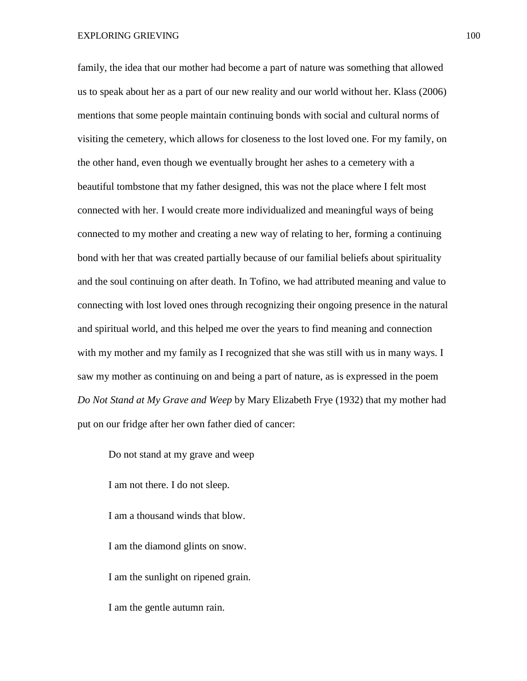family, the idea that our mother had become a part of nature was something that allowed us to speak about her as a part of our new reality and our world without her. Klass (2006) mentions that some people maintain continuing bonds with social and cultural norms of visiting the cemetery, which allows for closeness to the lost loved one. For my family, on the other hand, even though we eventually brought her ashes to a cemetery with a beautiful tombstone that my father designed, this was not the place where I felt most connected with her. I would create more individualized and meaningful ways of being connected to my mother and creating a new way of relating to her, forming a continuing bond with her that was created partially because of our familial beliefs about spirituality and the soul continuing on after death. In Tofino, we had attributed meaning and value to connecting with lost loved ones through recognizing their ongoing presence in the natural and spiritual world, and this helped me over the years to find meaning and connection with my mother and my family as I recognized that she was still with us in many ways. I saw my mother as continuing on and being a part of nature, as is expressed in the poem *Do Not Stand at My Grave and Weep* by Mary Elizabeth Frye (1932) that my mother had put on our fridge after her own father died of cancer:

Do not stand at my grave and weep I am not there. I do not sleep. I am a thousand winds that blow. I am the diamond glints on snow. I am the sunlight on ripened grain. I am the gentle autumn rain.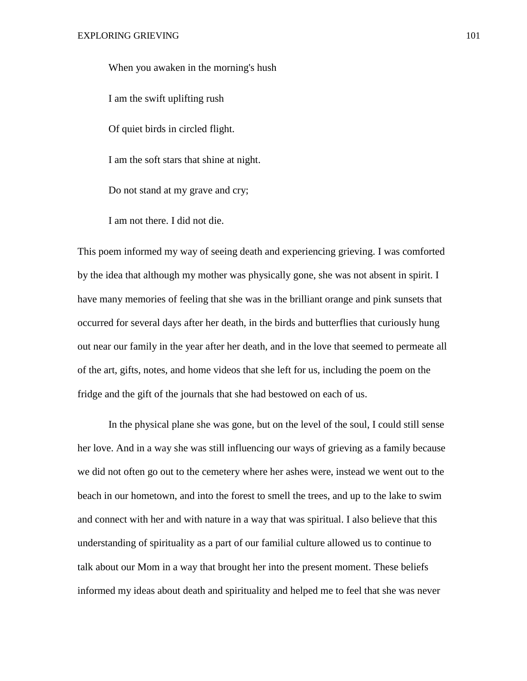When you awaken in the morning's hush I am the swift uplifting rush Of quiet birds in circled flight. I am the soft stars that shine at night. Do not stand at my grave and cry;

I am not there. I did not die.

This poem informed my way of seeing death and experiencing grieving. I was comforted by the idea that although my mother was physically gone, she was not absent in spirit. I have many memories of feeling that she was in the brilliant orange and pink sunsets that occurred for several days after her death, in the birds and butterflies that curiously hung out near our family in the year after her death, and in the love that seemed to permeate all of the art, gifts, notes, and home videos that she left for us, including the poem on the fridge and the gift of the journals that she had bestowed on each of us.

In the physical plane she was gone, but on the level of the soul, I could still sense her love. And in a way she was still influencing our ways of grieving as a family because we did not often go out to the cemetery where her ashes were, instead we went out to the beach in our hometown, and into the forest to smell the trees, and up to the lake to swim and connect with her and with nature in a way that was spiritual. I also believe that this understanding of spirituality as a part of our familial culture allowed us to continue to talk about our Mom in a way that brought her into the present moment. These beliefs informed my ideas about death and spirituality and helped me to feel that she was never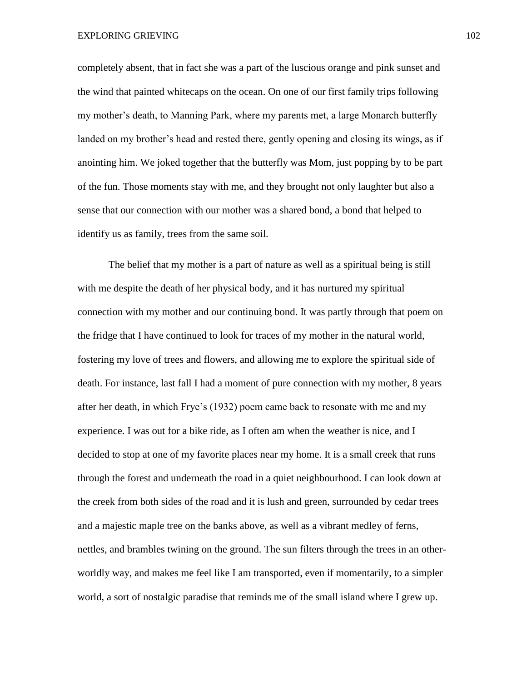EXPLORING GRIEVING 102

completely absent, that in fact she was a part of the luscious orange and pink sunset and the wind that painted whitecaps on the ocean. On one of our first family trips following my mother's death, to Manning Park, where my parents met, a large Monarch butterfly landed on my brother's head and rested there, gently opening and closing its wings, as if anointing him. We joked together that the butterfly was Mom, just popping by to be part of the fun. Those moments stay with me, and they brought not only laughter but also a sense that our connection with our mother was a shared bond, a bond that helped to identify us as family, trees from the same soil.

The belief that my mother is a part of nature as well as a spiritual being is still with me despite the death of her physical body, and it has nurtured my spiritual connection with my mother and our continuing bond. It was partly through that poem on the fridge that I have continued to look for traces of my mother in the natural world, fostering my love of trees and flowers, and allowing me to explore the spiritual side of death. For instance, last fall I had a moment of pure connection with my mother, 8 years after her death, in which Frye's (1932) poem came back to resonate with me and my experience. I was out for a bike ride, as I often am when the weather is nice, and I decided to stop at one of my favorite places near my home. It is a small creek that runs through the forest and underneath the road in a quiet neighbourhood. I can look down at the creek from both sides of the road and it is lush and green, surrounded by cedar trees and a majestic maple tree on the banks above, as well as a vibrant medley of ferns, nettles, and brambles twining on the ground. The sun filters through the trees in an otherworldly way, and makes me feel like I am transported, even if momentarily, to a simpler world, a sort of nostalgic paradise that reminds me of the small island where I grew up.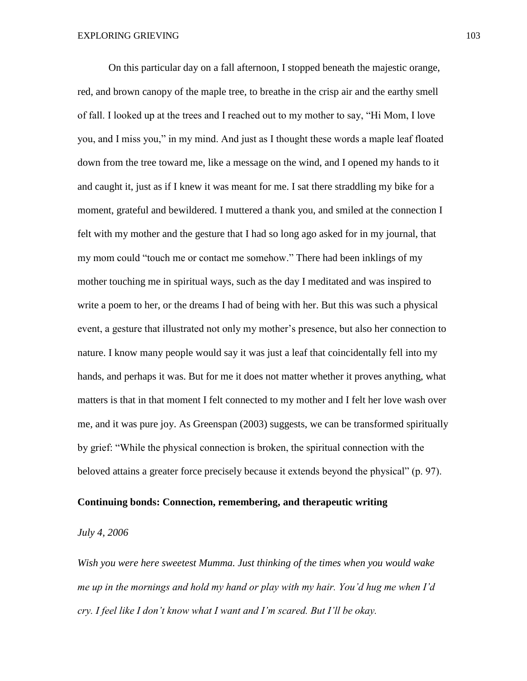On this particular day on a fall afternoon, I stopped beneath the majestic orange, red, and brown canopy of the maple tree, to breathe in the crisp air and the earthy smell of fall. I looked up at the trees and I reached out to my mother to say, "Hi Mom, I love you, and I miss you," in my mind. And just as I thought these words a maple leaf floated down from the tree toward me, like a message on the wind, and I opened my hands to it and caught it, just as if I knew it was meant for me. I sat there straddling my bike for a moment, grateful and bewildered. I muttered a thank you, and smiled at the connection I felt with my mother and the gesture that I had so long ago asked for in my journal, that my mom could "touch me or contact me somehow." There had been inklings of my mother touching me in spiritual ways, such as the day I meditated and was inspired to write a poem to her, or the dreams I had of being with her. But this was such a physical event, a gesture that illustrated not only my mother's presence, but also her connection to nature. I know many people would say it was just a leaf that coincidentally fell into my hands, and perhaps it was. But for me it does not matter whether it proves anything, what matters is that in that moment I felt connected to my mother and I felt her love wash over me, and it was pure joy. As Greenspan (2003) suggests, we can be transformed spiritually by grief: "While the physical connection is broken, the spiritual connection with the beloved attains a greater force precisely because it extends beyond the physical" (p. 97).

# **Continuing bonds: Connection, remembering, and therapeutic writing**

#### *July 4, 2006*

*Wish you were here sweetest Mumma. Just thinking of the times when you would wake me up in the mornings and hold my hand or play with my hair. You'd hug me when I'd cry. I feel like I don't know what I want and I'm scared. But I'll be okay.*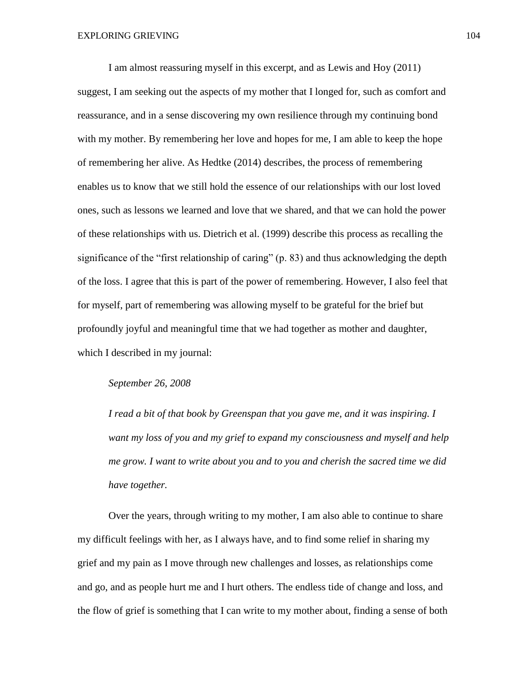I am almost reassuring myself in this excerpt, and as Lewis and Hoy (2011) suggest, I am seeking out the aspects of my mother that I longed for, such as comfort and reassurance, and in a sense discovering my own resilience through my continuing bond with my mother. By remembering her love and hopes for me, I am able to keep the hope of remembering her alive. As Hedtke (2014) describes, the process of remembering enables us to know that we still hold the essence of our relationships with our lost loved ones, such as lessons we learned and love that we shared, and that we can hold the power of these relationships with us. Dietrich et al. (1999) describe this process as recalling the significance of the "first relationship of caring" (p. 83) and thus acknowledging the depth of the loss. I agree that this is part of the power of remembering. However, I also feel that for myself, part of remembering was allowing myself to be grateful for the brief but profoundly joyful and meaningful time that we had together as mother and daughter, which I described in my journal:

## *September 26, 2008*

*I read a bit of that book by Greenspan that you gave me, and it was inspiring. I want my loss of you and my grief to expand my consciousness and myself and help me grow. I want to write about you and to you and cherish the sacred time we did have together.*

Over the years, through writing to my mother, I am also able to continue to share my difficult feelings with her, as I always have, and to find some relief in sharing my grief and my pain as I move through new challenges and losses, as relationships come and go, and as people hurt me and I hurt others. The endless tide of change and loss, and the flow of grief is something that I can write to my mother about, finding a sense of both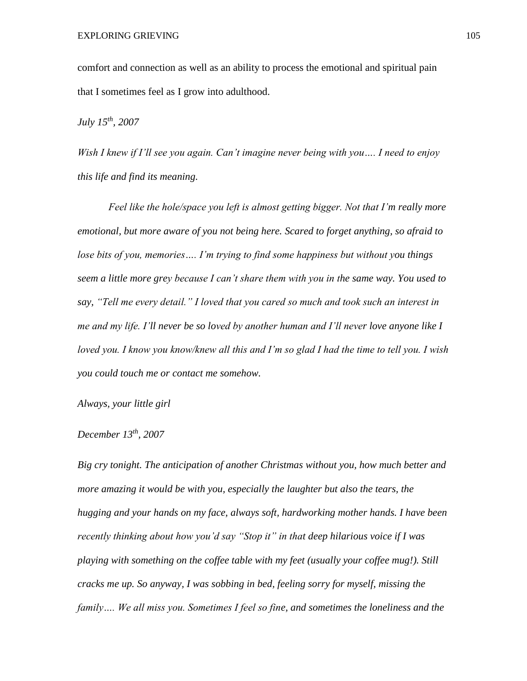comfort and connection as well as an ability to process the emotional and spiritual pain that I sometimes feel as I grow into adulthood.

*July 15th, 2007*

*Wish I knew if I'll see you again. Can't imagine never being with you…. I need to enjoy this life and find its meaning.* 

*Feel like the hole/space you left is almost getting bigger. Not that I'm really more emotional, but more aware of you not being here. Scared to forget anything, so afraid to lose bits of you, memories…. I'm trying to find some happiness but without you things seem a little more grey because I can't share them with you in the same way. You used to say, "Tell me every detail." I loved that you cared so much and took such an interest in me and my life. I'll never be so loved by another human and I'll never love anyone like I loved you. I know you know/knew all this and I'm so glad I had the time to tell you. I wish you could touch me or contact me somehow.* 

*Always, your little girl*

# *December 13th, 2007*

*Big cry tonight. The anticipation of another Christmas without you, how much better and more amazing it would be with you, especially the laughter but also the tears, the hugging and your hands on my face, always soft, hardworking mother hands. I have been recently thinking about how you'd say "Stop it" in that deep hilarious voice if I was playing with something on the coffee table with my feet (usually your coffee mug!). Still cracks me up. So anyway, I was sobbing in bed, feeling sorry for myself, missing the family…. We all miss you. Sometimes I feel so fine, and sometimes the loneliness and the*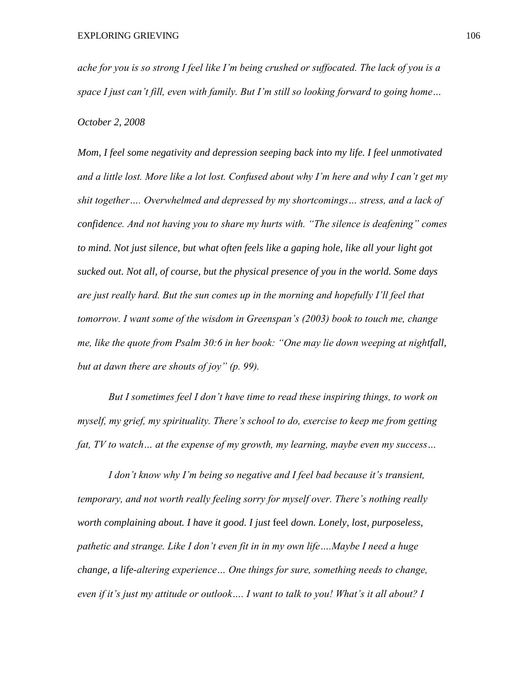*ache for you is so strong I feel like I'm being crushed or suffocated. The lack of you is a space I just can't fill, even with family. But I'm still so looking forward to going home…*

*October 2, 2008*

*Mom, I feel some negativity and depression seeping back into my life. I feel unmotivated and a little lost. More like a lot lost. Confused about why I'm here and why I can't get my shit together…. Overwhelmed and depressed by my shortcomings… stress, and a lack of confidence. And not having you to share my hurts with. "The silence is deafening" comes to mind. Not just silence, but what often feels like a gaping hole, like all your light got sucked out. Not all, of course, but the physical presence of you in the world. Some days are just really hard. But the sun comes up in the morning and hopefully I'll feel that tomorrow. I want some of the wisdom in Greenspan's (2003) book to touch me, change me, like the quote from Psalm 30:6 in her book: "One may lie down weeping at nightfall, but at dawn there are shouts of joy" (p. 99).*

*But I sometimes feel I don't have time to read these inspiring things, to work on myself, my grief, my spirituality. There's school to do, exercise to keep me from getting fat, TV to watch… at the expense of my growth, my learning, maybe even my success…* 

*I don't know why I'm being so negative and I feel bad because it's transient, temporary, and not worth really feeling sorry for myself over. There's nothing really worth complaining about. I have it good. I just* feel *down. Lonely, lost, purposeless, pathetic and strange. Like I don't even fit in in my own life….Maybe I need a huge change, a life-altering experience… One things for sure, something needs to change, even if it's just my attitude or outlook…. I want to talk to you! What's it all about? I*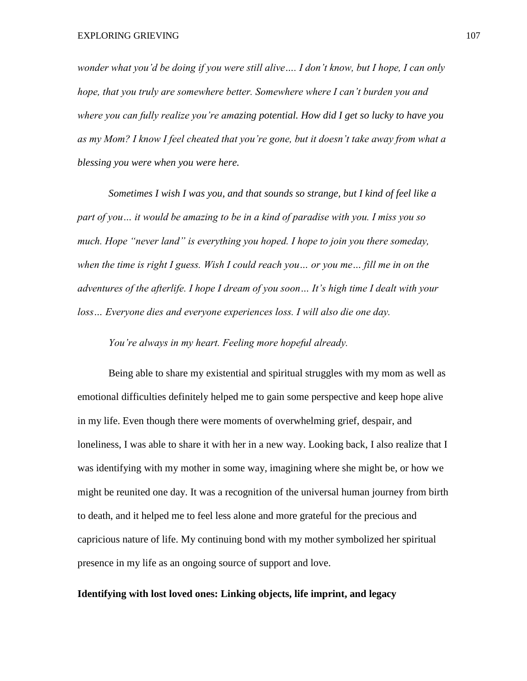*wonder what you'd be doing if you were still alive…. I don't know, but I hope, I can only hope, that you truly are somewhere better. Somewhere where I can't burden you and where you can fully realize you're amazing potential. How did I get so lucky to have you as my Mom? I know I feel cheated that you're gone, but it doesn't take away from what a blessing you were when you were here.* 

*Sometimes I wish I was you, and that sounds so strange, but I kind of feel like a part of you… it would be amazing to be in a kind of paradise with you. I miss you so much. Hope "never land" is everything you hoped. I hope to join you there someday, when the time is right I guess. Wish I could reach you… or you me… fill me in on the adventures of the afterlife. I hope I dream of you soon… It's high time I dealt with your loss… Everyone dies and everyone experiences loss. I will also die one day.*

*You're always in my heart. Feeling more hopeful already.* 

Being able to share my existential and spiritual struggles with my mom as well as emotional difficulties definitely helped me to gain some perspective and keep hope alive in my life. Even though there were moments of overwhelming grief, despair, and loneliness, I was able to share it with her in a new way. Looking back, I also realize that I was identifying with my mother in some way, imagining where she might be, or how we might be reunited one day. It was a recognition of the universal human journey from birth to death, and it helped me to feel less alone and more grateful for the precious and capricious nature of life. My continuing bond with my mother symbolized her spiritual presence in my life as an ongoing source of support and love.

### **Identifying with lost loved ones: Linking objects, life imprint, and legacy**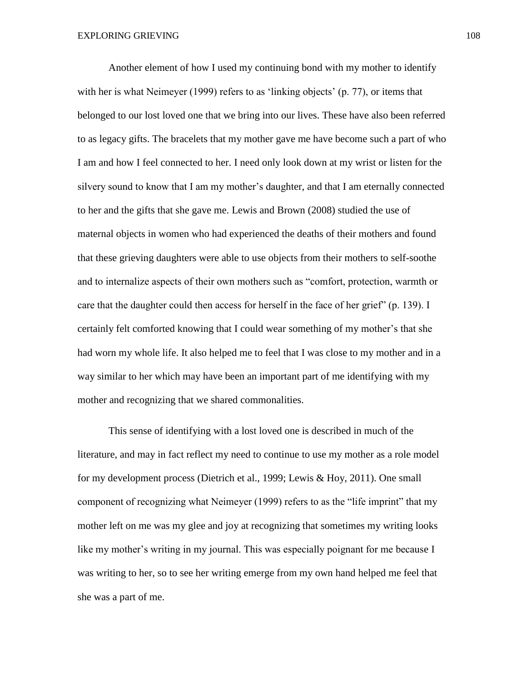Another element of how I used my continuing bond with my mother to identify with her is what Neimeyer (1999) refers to as 'linking objects' (p. 77), or items that belonged to our lost loved one that we bring into our lives. These have also been referred to as legacy gifts. The bracelets that my mother gave me have become such a part of who I am and how I feel connected to her. I need only look down at my wrist or listen for the silvery sound to know that I am my mother's daughter, and that I am eternally connected to her and the gifts that she gave me. Lewis and Brown (2008) studied the use of maternal objects in women who had experienced the deaths of their mothers and found that these grieving daughters were able to use objects from their mothers to self-soothe and to internalize aspects of their own mothers such as "comfort, protection, warmth or care that the daughter could then access for herself in the face of her grief" (p. 139). I certainly felt comforted knowing that I could wear something of my mother's that she had worn my whole life. It also helped me to feel that I was close to my mother and in a way similar to her which may have been an important part of me identifying with my mother and recognizing that we shared commonalities.

This sense of identifying with a lost loved one is described in much of the literature, and may in fact reflect my need to continue to use my mother as a role model for my development process (Dietrich et al., 1999; Lewis & Hoy, 2011). One small component of recognizing what Neimeyer (1999) refers to as the "life imprint" that my mother left on me was my glee and joy at recognizing that sometimes my writing looks like my mother's writing in my journal. This was especially poignant for me because I was writing to her, so to see her writing emerge from my own hand helped me feel that she was a part of me.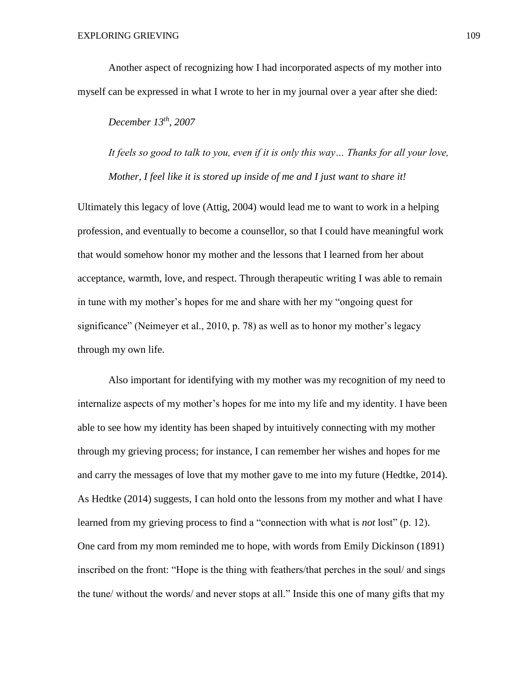Another aspect of recognizing how I had incorporated aspects of my mother into myself can be expressed in what I wrote to her in my journal over a year after she died:

# *December 13th, 2007*

*It feels so good to talk to you, even if it is only this way… Thanks for all your love, Mother, I feel like it is stored up inside of me and I just want to share it!*

Ultimately this legacy of love (Attig, 2004) would lead me to want to work in a helping profession, and eventually to become a counsellor, so that I could have meaningful work that would somehow honor my mother and the lessons that I learned from her about acceptance, warmth, love, and respect. Through therapeutic writing I was able to remain in tune with my mother's hopes for me and share with her my "ongoing quest for significance" (Neimeyer et al., 2010, p. 78) as well as to honor my mother's legacy through my own life.

Also important for identifying with my mother was my recognition of my need to internalize aspects of my mother's hopes for me into my life and my identity. I have been able to see how my identity has been shaped by intuitively connecting with my mother through my grieving process; for instance, I can remember her wishes and hopes for me and carry the messages of love that my mother gave to me into my future (Hedtke, 2014). As Hedtke (2014) suggests, I can hold onto the lessons from my mother and what I have learned from my grieving process to find a "connection with what is *not* lost" (p. 12). One card from my mom reminded me to hope, with words from Emily Dickinson (1891) inscribed on the front: "Hope is the thing with feathers/that perches in the soul/ and sings the tune/ without the words/ and never stops at all." Inside this one of many gifts that my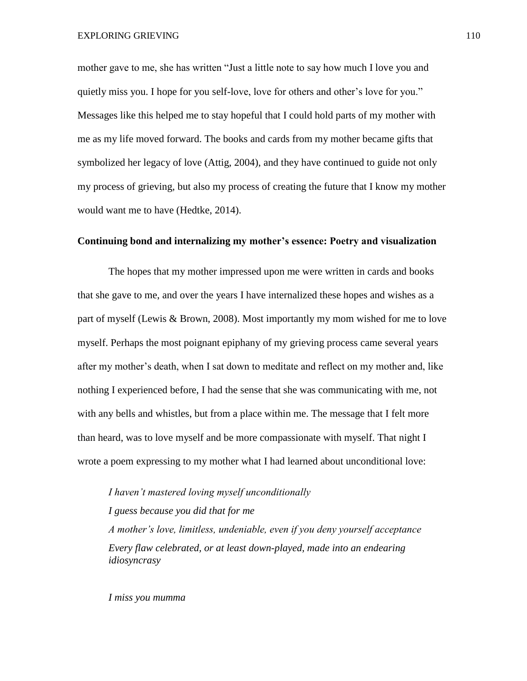mother gave to me, she has written "Just a little note to say how much I love you and quietly miss you. I hope for you self-love, love for others and other's love for you." Messages like this helped me to stay hopeful that I could hold parts of my mother with me as my life moved forward. The books and cards from my mother became gifts that symbolized her legacy of love (Attig, 2004), and they have continued to guide not only my process of grieving, but also my process of creating the future that I know my mother would want me to have (Hedtke, 2014).

## **Continuing bond and internalizing my mother's essence: Poetry and visualization**

The hopes that my mother impressed upon me were written in cards and books that she gave to me, and over the years I have internalized these hopes and wishes as a part of myself (Lewis & Brown, 2008). Most importantly my mom wished for me to love myself. Perhaps the most poignant epiphany of my grieving process came several years after my mother's death, when I sat down to meditate and reflect on my mother and, like nothing I experienced before, I had the sense that she was communicating with me, not with any bells and whistles, but from a place within me. The message that I felt more than heard, was to love myself and be more compassionate with myself. That night I wrote a poem expressing to my mother what I had learned about unconditional love:

*I haven't mastered loving myself unconditionally I guess because you did that for me A mother's love, limitless, undeniable, even if you deny yourself acceptance Every flaw celebrated, or at least down-played, made into an endearing idiosyncrasy*

*I miss you mumma*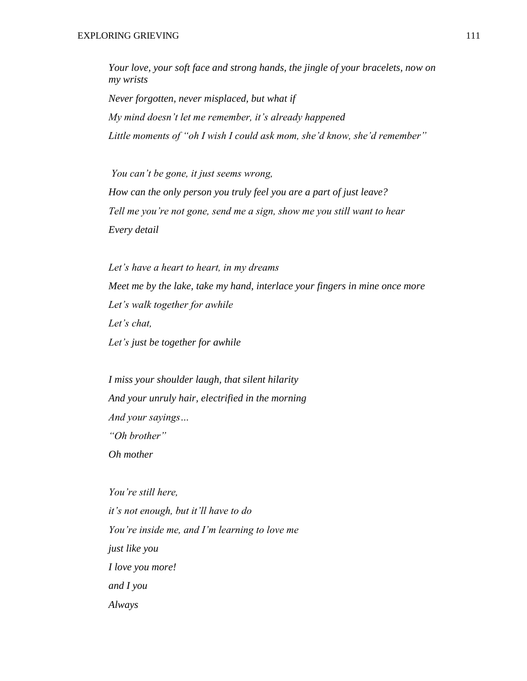*Your love, your soft face and strong hands, the jingle of your bracelets, now on my wrists Never forgotten, never misplaced, but what if My mind doesn't let me remember, it's already happened Little moments of "oh I wish I could ask mom, she'd know, she'd remember"*

*You can't be gone, it just seems wrong, How can the only person you truly feel you are a part of just leave? Tell me you're not gone, send me a sign, show me you still want to hear Every detail*

*Let's have a heart to heart, in my dreams Meet me by the lake, take my hand, interlace your fingers in mine once more Let's walk together for awhile Let's chat, Let's just be together for awhile*

*I miss your shoulder laugh, that silent hilarity And your unruly hair, electrified in the morning And your sayings… "Oh brother" Oh mother*

*You're still here, it's not enough, but it'll have to do You're inside me, and I'm learning to love me just like you I love you more! and I you Always*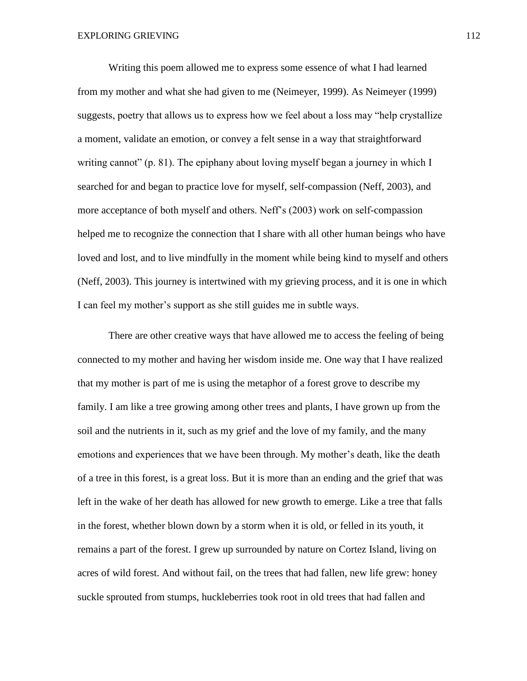Writing this poem allowed me to express some essence of what I had learned from my mother and what she had given to me (Neimeyer, 1999). As Neimeyer (1999) suggests, poetry that allows us to express how we feel about a loss may "help crystallize a moment, validate an emotion, or convey a felt sense in a way that straightforward writing cannot" (p. 81). The epiphany about loving myself began a journey in which I searched for and began to practice love for myself, self-compassion (Neff, 2003), and more acceptance of both myself and others. Neff's (2003) work on self-compassion helped me to recognize the connection that I share with all other human beings who have loved and lost, and to live mindfully in the moment while being kind to myself and others (Neff, 2003). This journey is intertwined with my grieving process, and it is one in which I can feel my mother's support as she still guides me in subtle ways.

There are other creative ways that have allowed me to access the feeling of being connected to my mother and having her wisdom inside me. One way that I have realized that my mother is part of me is using the metaphor of a forest grove to describe my family. I am like a tree growing among other trees and plants, I have grown up from the soil and the nutrients in it, such as my grief and the love of my family, and the many emotions and experiences that we have been through. My mother's death, like the death of a tree in this forest, is a great loss. But it is more than an ending and the grief that was left in the wake of her death has allowed for new growth to emerge. Like a tree that falls in the forest, whether blown down by a storm when it is old, or felled in its youth, it remains a part of the forest. I grew up surrounded by nature on Cortez Island, living on acres of wild forest. And without fail, on the trees that had fallen, new life grew: honey suckle sprouted from stumps, huckleberries took root in old trees that had fallen and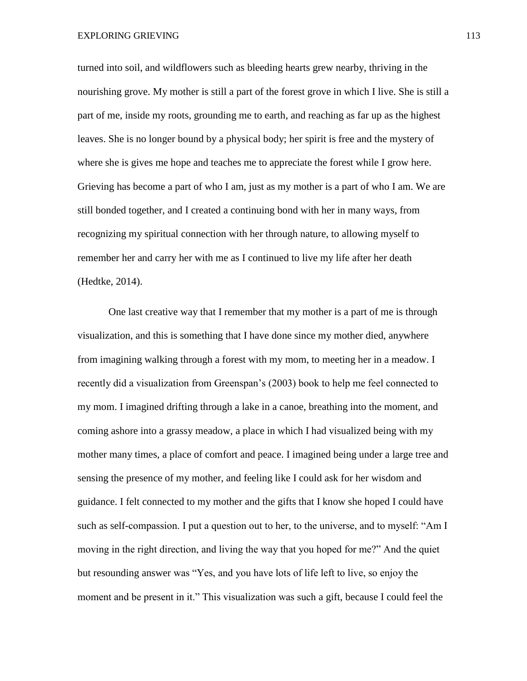turned into soil, and wildflowers such as bleeding hearts grew nearby, thriving in the nourishing grove. My mother is still a part of the forest grove in which I live. She is still a part of me, inside my roots, grounding me to earth, and reaching as far up as the highest leaves. She is no longer bound by a physical body; her spirit is free and the mystery of where she is gives me hope and teaches me to appreciate the forest while I grow here. Grieving has become a part of who I am, just as my mother is a part of who I am. We are still bonded together, and I created a continuing bond with her in many ways, from recognizing my spiritual connection with her through nature, to allowing myself to remember her and carry her with me as I continued to live my life after her death (Hedtke, 2014).

One last creative way that I remember that my mother is a part of me is through visualization, and this is something that I have done since my mother died, anywhere from imagining walking through a forest with my mom, to meeting her in a meadow. I recently did a visualization from Greenspan's (2003) book to help me feel connected to my mom. I imagined drifting through a lake in a canoe, breathing into the moment, and coming ashore into a grassy meadow, a place in which I had visualized being with my mother many times, a place of comfort and peace. I imagined being under a large tree and sensing the presence of my mother, and feeling like I could ask for her wisdom and guidance. I felt connected to my mother and the gifts that I know she hoped I could have such as self-compassion. I put a question out to her, to the universe, and to myself: "Am I moving in the right direction, and living the way that you hoped for me?" And the quiet but resounding answer was "Yes, and you have lots of life left to live, so enjoy the moment and be present in it." This visualization was such a gift, because I could feel the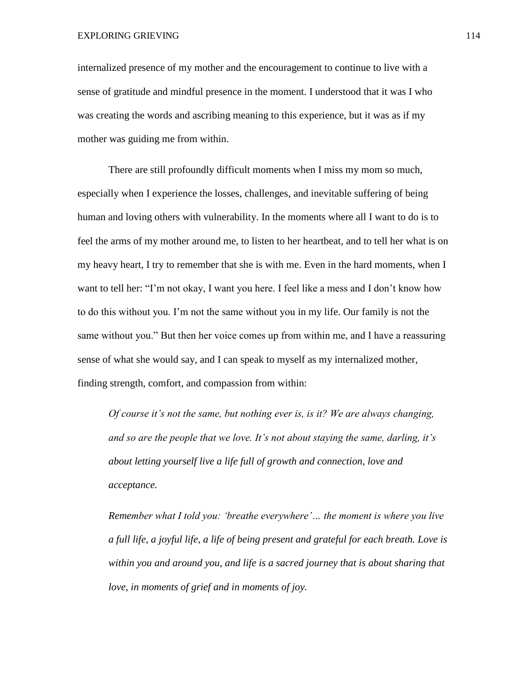internalized presence of my mother and the encouragement to continue to live with a sense of gratitude and mindful presence in the moment. I understood that it was I who was creating the words and ascribing meaning to this experience, but it was as if my mother was guiding me from within.

There are still profoundly difficult moments when I miss my mom so much, especially when I experience the losses, challenges, and inevitable suffering of being human and loving others with vulnerability. In the moments where all I want to do is to feel the arms of my mother around me, to listen to her heartbeat, and to tell her what is on my heavy heart, I try to remember that she is with me. Even in the hard moments, when I want to tell her: "I'm not okay, I want you here. I feel like a mess and I don't know how to do this without you. I'm not the same without you in my life. Our family is not the same without you." But then her voice comes up from within me, and I have a reassuring sense of what she would say, and I can speak to myself as my internalized mother, finding strength, comfort, and compassion from within:

*Of course it's not the same, but nothing ever is, is it? We are always changing, and so are the people that we love. It's not about staying the same, darling, it's about letting yourself live a life full of growth and connection, love and acceptance.* 

*Remember what I told you: 'breathe everywhere'… the moment is where you live a full life, a joyful life, a life of being present and grateful for each breath. Love is within you and around you, and life is a sacred journey that is about sharing that love, in moments of grief and in moments of joy.*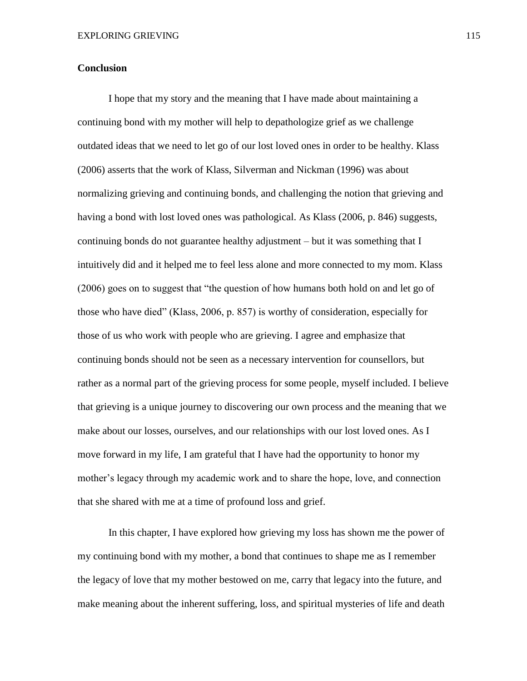## **Conclusion**

I hope that my story and the meaning that I have made about maintaining a continuing bond with my mother will help to depathologize grief as we challenge outdated ideas that we need to let go of our lost loved ones in order to be healthy. Klass (2006) asserts that the work of Klass, Silverman and Nickman (1996) was about normalizing grieving and continuing bonds, and challenging the notion that grieving and having a bond with lost loved ones was pathological. As Klass (2006, p. 846) suggests, continuing bonds do not guarantee healthy adjustment – but it was something that I intuitively did and it helped me to feel less alone and more connected to my mom. Klass (2006) goes on to suggest that "the question of how humans both hold on and let go of those who have died" (Klass, 2006, p. 857) is worthy of consideration, especially for those of us who work with people who are grieving. I agree and emphasize that continuing bonds should not be seen as a necessary intervention for counsellors, but rather as a normal part of the grieving process for some people, myself included. I believe that grieving is a unique journey to discovering our own process and the meaning that we make about our losses, ourselves, and our relationships with our lost loved ones. As I move forward in my life, I am grateful that I have had the opportunity to honor my mother's legacy through my academic work and to share the hope, love, and connection that she shared with me at a time of profound loss and grief.

In this chapter, I have explored how grieving my loss has shown me the power of my continuing bond with my mother, a bond that continues to shape me as I remember the legacy of love that my mother bestowed on me, carry that legacy into the future, and make meaning about the inherent suffering, loss, and spiritual mysteries of life and death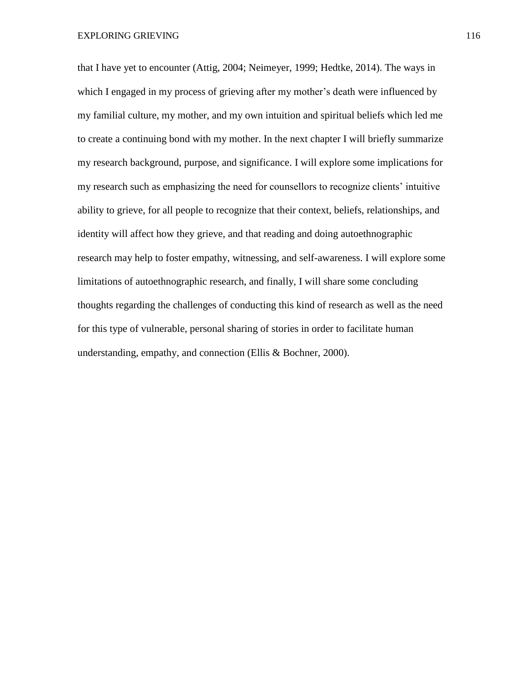EXPLORING GRIEVING 116

that I have yet to encounter (Attig, 2004; Neimeyer, 1999; Hedtke, 2014). The ways in which I engaged in my process of grieving after my mother's death were influenced by my familial culture, my mother, and my own intuition and spiritual beliefs which led me to create a continuing bond with my mother. In the next chapter I will briefly summarize my research background, purpose, and significance. I will explore some implications for my research such as emphasizing the need for counsellors to recognize clients' intuitive ability to grieve, for all people to recognize that their context, beliefs, relationships, and identity will affect how they grieve, and that reading and doing autoethnographic research may help to foster empathy, witnessing, and self-awareness. I will explore some limitations of autoethnographic research, and finally, I will share some concluding thoughts regarding the challenges of conducting this kind of research as well as the need for this type of vulnerable, personal sharing of stories in order to facilitate human understanding, empathy, and connection (Ellis & Bochner, 2000).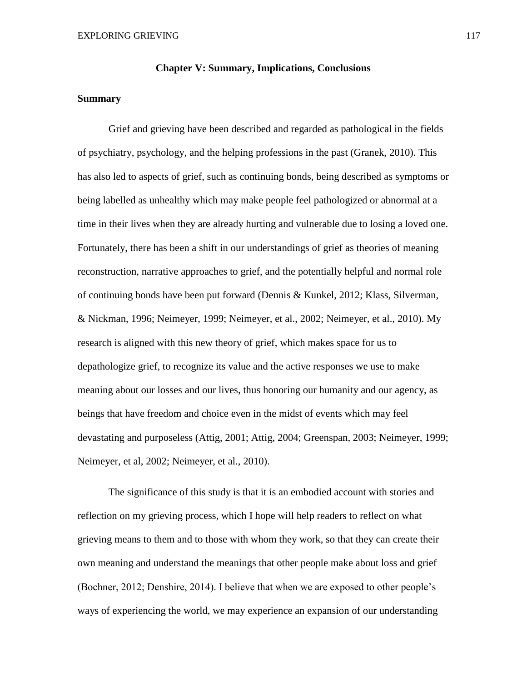#### **Chapter V: Summary, Implications, Conclusions**

#### **Summary**

Grief and grieving have been described and regarded as pathological in the fields of psychiatry, psychology, and the helping professions in the past (Granek, 2010). This has also led to aspects of grief, such as continuing bonds, being described as symptoms or being labelled as unhealthy which may make people feel pathologized or abnormal at a time in their lives when they are already hurting and vulnerable due to losing a loved one. Fortunately, there has been a shift in our understandings of grief as theories of meaning reconstruction, narrative approaches to grief, and the potentially helpful and normal role of continuing bonds have been put forward (Dennis & Kunkel, 2012; Klass, Silverman, & Nickman, 1996; Neimeyer, 1999; Neimeyer, et al., 2002; Neimeyer, et al., 2010). My research is aligned with this new theory of grief, which makes space for us to depathologize grief, to recognize its value and the active responses we use to make meaning about our losses and our lives, thus honoring our humanity and our agency, as beings that have freedom and choice even in the midst of events which may feel devastating and purposeless (Attig, 2001; Attig, 2004; Greenspan, 2003; Neimeyer, 1999; Neimeyer, et al, 2002; Neimeyer, et al., 2010).

The significance of this study is that it is an embodied account with stories and reflection on my grieving process, which I hope will help readers to reflect on what grieving means to them and to those with whom they work, so that they can create their own meaning and understand the meanings that other people make about loss and grief (Bochner, 2012; Denshire, 2014). I believe that when we are exposed to other people's ways of experiencing the world, we may experience an expansion of our understanding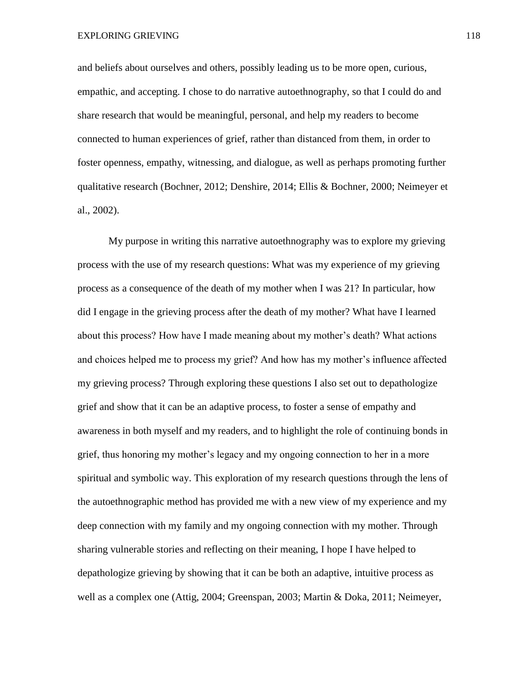and beliefs about ourselves and others, possibly leading us to be more open, curious, empathic, and accepting. I chose to do narrative autoethnography, so that I could do and share research that would be meaningful, personal, and help my readers to become connected to human experiences of grief, rather than distanced from them, in order to foster openness, empathy, witnessing, and dialogue, as well as perhaps promoting further qualitative research (Bochner, 2012; Denshire, 2014; Ellis & Bochner, 2000; Neimeyer et al., 2002).

My purpose in writing this narrative autoethnography was to explore my grieving process with the use of my research questions: What was my experience of my grieving process as a consequence of the death of my mother when I was 21? In particular, how did I engage in the grieving process after the death of my mother? What have I learned about this process? How have I made meaning about my mother's death? What actions and choices helped me to process my grief? And how has my mother's influence affected my grieving process? Through exploring these questions I also set out to depathologize grief and show that it can be an adaptive process, to foster a sense of empathy and awareness in both myself and my readers, and to highlight the role of continuing bonds in grief, thus honoring my mother's legacy and my ongoing connection to her in a more spiritual and symbolic way. This exploration of my research questions through the lens of the autoethnographic method has provided me with a new view of my experience and my deep connection with my family and my ongoing connection with my mother. Through sharing vulnerable stories and reflecting on their meaning, I hope I have helped to depathologize grieving by showing that it can be both an adaptive, intuitive process as well as a complex one (Attig, 2004; Greenspan, 2003; Martin & Doka, 2011; Neimeyer,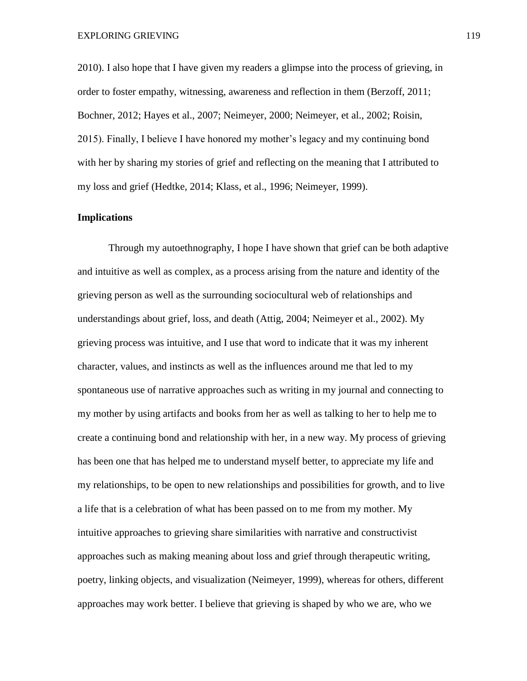2010). I also hope that I have given my readers a glimpse into the process of grieving, in order to foster empathy, witnessing, awareness and reflection in them (Berzoff, 2011; Bochner, 2012; Hayes et al., 2007; Neimeyer, 2000; Neimeyer, et al., 2002; Roisin, 2015). Finally, I believe I have honored my mother's legacy and my continuing bond with her by sharing my stories of grief and reflecting on the meaning that I attributed to my loss and grief (Hedtke, 2014; Klass, et al., 1996; Neimeyer, 1999).

# **Implications**

Through my autoethnography, I hope I have shown that grief can be both adaptive and intuitive as well as complex, as a process arising from the nature and identity of the grieving person as well as the surrounding sociocultural web of relationships and understandings about grief, loss, and death (Attig, 2004; Neimeyer et al., 2002). My grieving process was intuitive, and I use that word to indicate that it was my inherent character, values, and instincts as well as the influences around me that led to my spontaneous use of narrative approaches such as writing in my journal and connecting to my mother by using artifacts and books from her as well as talking to her to help me to create a continuing bond and relationship with her, in a new way. My process of grieving has been one that has helped me to understand myself better, to appreciate my life and my relationships, to be open to new relationships and possibilities for growth, and to live a life that is a celebration of what has been passed on to me from my mother. My intuitive approaches to grieving share similarities with narrative and constructivist approaches such as making meaning about loss and grief through therapeutic writing, poetry, linking objects, and visualization (Neimeyer, 1999), whereas for others, different approaches may work better. I believe that grieving is shaped by who we are, who we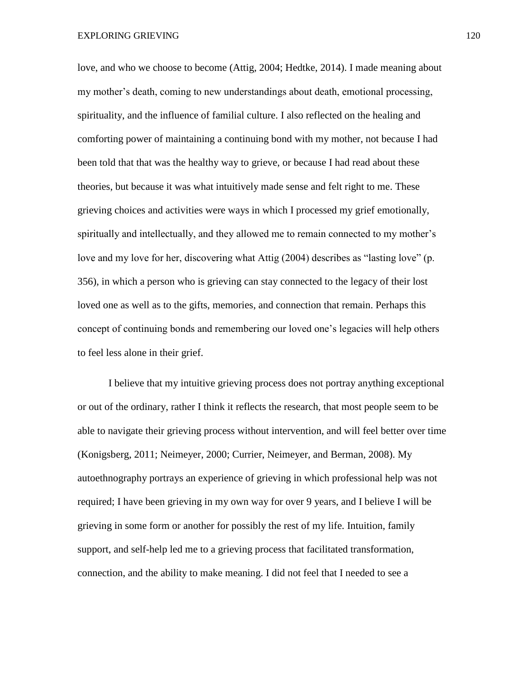love, and who we choose to become (Attig, 2004; Hedtke, 2014). I made meaning about my mother's death, coming to new understandings about death, emotional processing, spirituality, and the influence of familial culture. I also reflected on the healing and comforting power of maintaining a continuing bond with my mother, not because I had been told that that was the healthy way to grieve, or because I had read about these theories, but because it was what intuitively made sense and felt right to me. These grieving choices and activities were ways in which I processed my grief emotionally, spiritually and intellectually, and they allowed me to remain connected to my mother's love and my love for her, discovering what Attig (2004) describes as "lasting love" (p. 356), in which a person who is grieving can stay connected to the legacy of their lost loved one as well as to the gifts, memories, and connection that remain. Perhaps this concept of continuing bonds and remembering our loved one's legacies will help others to feel less alone in their grief.

I believe that my intuitive grieving process does not portray anything exceptional or out of the ordinary, rather I think it reflects the research, that most people seem to be able to navigate their grieving process without intervention, and will feel better over time (Konigsberg, 2011; Neimeyer, 2000; Currier, Neimeyer, and Berman, 2008). My autoethnography portrays an experience of grieving in which professional help was not required; I have been grieving in my own way for over 9 years, and I believe I will be grieving in some form or another for possibly the rest of my life. Intuition, family support, and self-help led me to a grieving process that facilitated transformation, connection, and the ability to make meaning. I did not feel that I needed to see a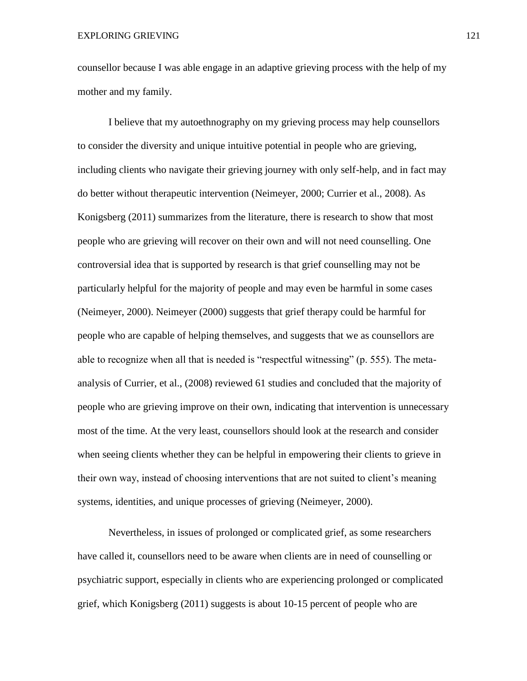counsellor because I was able engage in an adaptive grieving process with the help of my mother and my family.

I believe that my autoethnography on my grieving process may help counsellors to consider the diversity and unique intuitive potential in people who are grieving, including clients who navigate their grieving journey with only self-help, and in fact may do better without therapeutic intervention (Neimeyer, 2000; Currier et al., 2008). As Konigsberg (2011) summarizes from the literature, there is research to show that most people who are grieving will recover on their own and will not need counselling. One controversial idea that is supported by research is that grief counselling may not be particularly helpful for the majority of people and may even be harmful in some cases (Neimeyer, 2000). Neimeyer (2000) suggests that grief therapy could be harmful for people who are capable of helping themselves, and suggests that we as counsellors are able to recognize when all that is needed is "respectful witnessing" (p. 555). The metaanalysis of Currier, et al., (2008) reviewed 61 studies and concluded that the majority of people who are grieving improve on their own, indicating that intervention is unnecessary most of the time. At the very least, counsellors should look at the research and consider when seeing clients whether they can be helpful in empowering their clients to grieve in their own way, instead of choosing interventions that are not suited to client's meaning systems, identities, and unique processes of grieving (Neimeyer, 2000).

Nevertheless, in issues of prolonged or complicated grief, as some researchers have called it, counsellors need to be aware when clients are in need of counselling or psychiatric support, especially in clients who are experiencing prolonged or complicated grief, which Konigsberg (2011) suggests is about 10-15 percent of people who are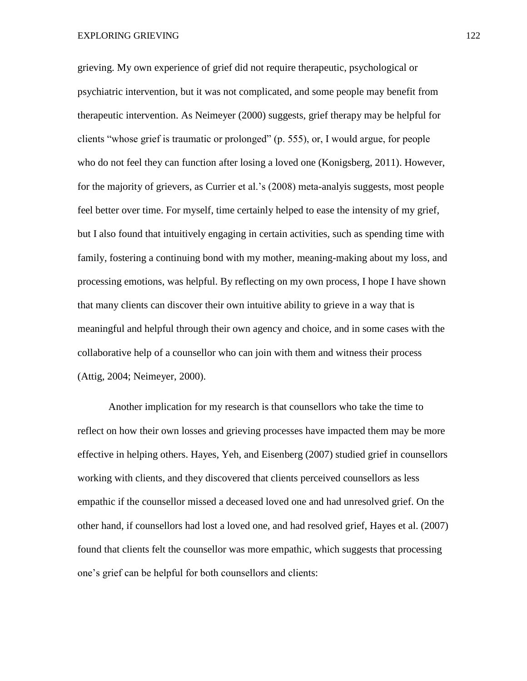grieving. My own experience of grief did not require therapeutic, psychological or psychiatric intervention, but it was not complicated, and some people may benefit from therapeutic intervention. As Neimeyer (2000) suggests, grief therapy may be helpful for clients "whose grief is traumatic or prolonged" (p. 555), or, I would argue, for people who do not feel they can function after losing a loved one (Konigsberg, 2011). However, for the majority of grievers, as Currier et al.'s (2008) meta-analyis suggests, most people feel better over time. For myself, time certainly helped to ease the intensity of my grief, but I also found that intuitively engaging in certain activities, such as spending time with family, fostering a continuing bond with my mother, meaning-making about my loss, and processing emotions, was helpful. By reflecting on my own process, I hope I have shown that many clients can discover their own intuitive ability to grieve in a way that is meaningful and helpful through their own agency and choice, and in some cases with the collaborative help of a counsellor who can join with them and witness their process (Attig, 2004; Neimeyer, 2000).

Another implication for my research is that counsellors who take the time to reflect on how their own losses and grieving processes have impacted them may be more effective in helping others. Hayes, Yeh, and Eisenberg (2007) studied grief in counsellors working with clients, and they discovered that clients perceived counsellors as less empathic if the counsellor missed a deceased loved one and had unresolved grief. On the other hand, if counsellors had lost a loved one, and had resolved grief, Hayes et al. (2007) found that clients felt the counsellor was more empathic, which suggests that processing one's grief can be helpful for both counsellors and clients: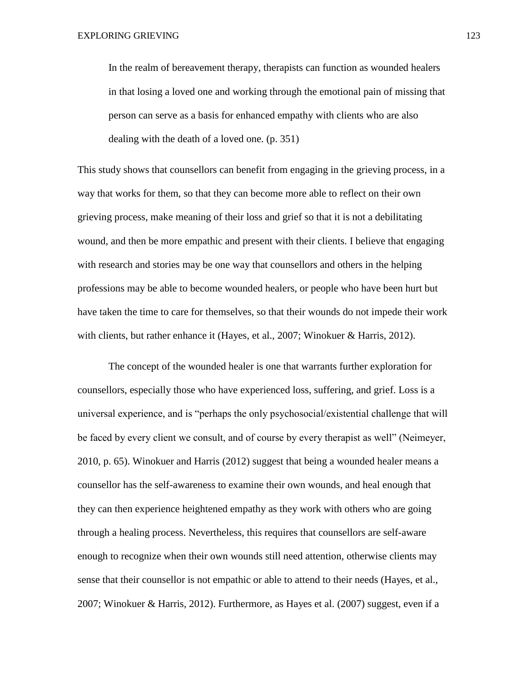In the realm of bereavement therapy, therapists can function as wounded healers in that losing a loved one and working through the emotional pain of missing that person can serve as a basis for enhanced empathy with clients who are also dealing with the death of a loved one. (p. 351)

This study shows that counsellors can benefit from engaging in the grieving process, in a way that works for them, so that they can become more able to reflect on their own grieving process, make meaning of their loss and grief so that it is not a debilitating wound, and then be more empathic and present with their clients. I believe that engaging with research and stories may be one way that counsellors and others in the helping professions may be able to become wounded healers, or people who have been hurt but have taken the time to care for themselves, so that their wounds do not impede their work with clients, but rather enhance it (Hayes, et al., 2007; Winokuer & Harris, 2012).

The concept of the wounded healer is one that warrants further exploration for counsellors, especially those who have experienced loss, suffering, and grief. Loss is a universal experience, and is "perhaps the only psychosocial/existential challenge that will be faced by every client we consult, and of course by every therapist as well" (Neimeyer, 2010, p. 65). Winokuer and Harris (2012) suggest that being a wounded healer means a counsellor has the self-awareness to examine their own wounds, and heal enough that they can then experience heightened empathy as they work with others who are going through a healing process. Nevertheless, this requires that counsellors are self-aware enough to recognize when their own wounds still need attention, otherwise clients may sense that their counsellor is not empathic or able to attend to their needs (Hayes, et al., 2007; Winokuer & Harris, 2012). Furthermore, as Hayes et al. (2007) suggest, even if a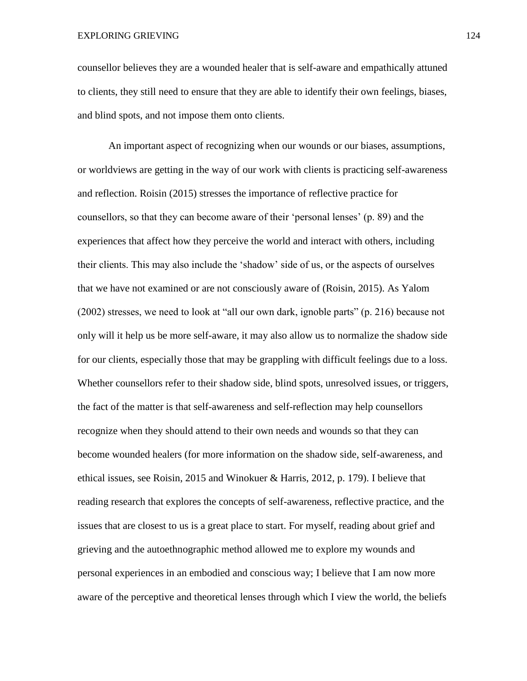counsellor believes they are a wounded healer that is self-aware and empathically attuned to clients, they still need to ensure that they are able to identify their own feelings, biases, and blind spots, and not impose them onto clients.

An important aspect of recognizing when our wounds or our biases, assumptions, or worldviews are getting in the way of our work with clients is practicing self-awareness and reflection. Roisin (2015) stresses the importance of reflective practice for counsellors, so that they can become aware of their 'personal lenses' (p. 89) and the experiences that affect how they perceive the world and interact with others, including their clients. This may also include the 'shadow' side of us, or the aspects of ourselves that we have not examined or are not consciously aware of (Roisin, 2015). As Yalom (2002) stresses, we need to look at "all our own dark, ignoble parts" (p. 216) because not only will it help us be more self-aware, it may also allow us to normalize the shadow side for our clients, especially those that may be grappling with difficult feelings due to a loss. Whether counsellors refer to their shadow side, blind spots, unresolved issues, or triggers, the fact of the matter is that self-awareness and self-reflection may help counsellors recognize when they should attend to their own needs and wounds so that they can become wounded healers (for more information on the shadow side, self-awareness, and ethical issues, see Roisin, 2015 and Winokuer & Harris, 2012, p. 179). I believe that reading research that explores the concepts of self-awareness, reflective practice, and the issues that are closest to us is a great place to start. For myself, reading about grief and grieving and the autoethnographic method allowed me to explore my wounds and personal experiences in an embodied and conscious way; I believe that I am now more aware of the perceptive and theoretical lenses through which I view the world, the beliefs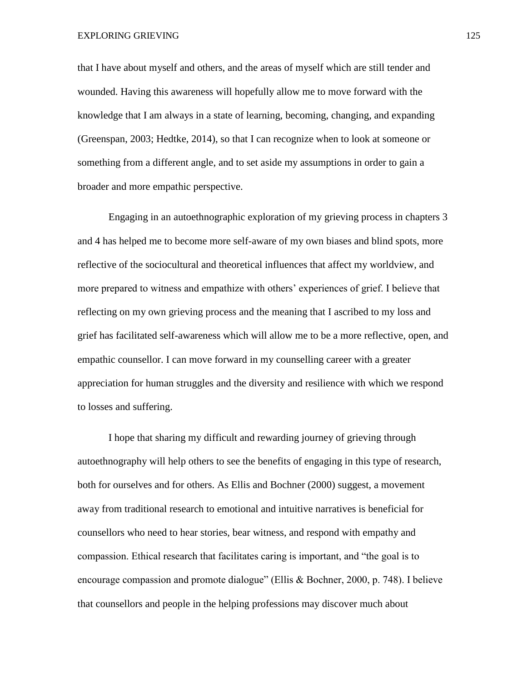that I have about myself and others, and the areas of myself which are still tender and wounded. Having this awareness will hopefully allow me to move forward with the knowledge that I am always in a state of learning, becoming, changing, and expanding (Greenspan, 2003; Hedtke, 2014), so that I can recognize when to look at someone or something from a different angle, and to set aside my assumptions in order to gain a broader and more empathic perspective.

Engaging in an autoethnographic exploration of my grieving process in chapters 3 and 4 has helped me to become more self-aware of my own biases and blind spots, more reflective of the sociocultural and theoretical influences that affect my worldview, and more prepared to witness and empathize with others' experiences of grief. I believe that reflecting on my own grieving process and the meaning that I ascribed to my loss and grief has facilitated self-awareness which will allow me to be a more reflective, open, and empathic counsellor. I can move forward in my counselling career with a greater appreciation for human struggles and the diversity and resilience with which we respond to losses and suffering.

I hope that sharing my difficult and rewarding journey of grieving through autoethnography will help others to see the benefits of engaging in this type of research, both for ourselves and for others. As Ellis and Bochner (2000) suggest, a movement away from traditional research to emotional and intuitive narratives is beneficial for counsellors who need to hear stories, bear witness, and respond with empathy and compassion. Ethical research that facilitates caring is important, and "the goal is to encourage compassion and promote dialogue" (Ellis & Bochner, 2000, p. 748). I believe that counsellors and people in the helping professions may discover much about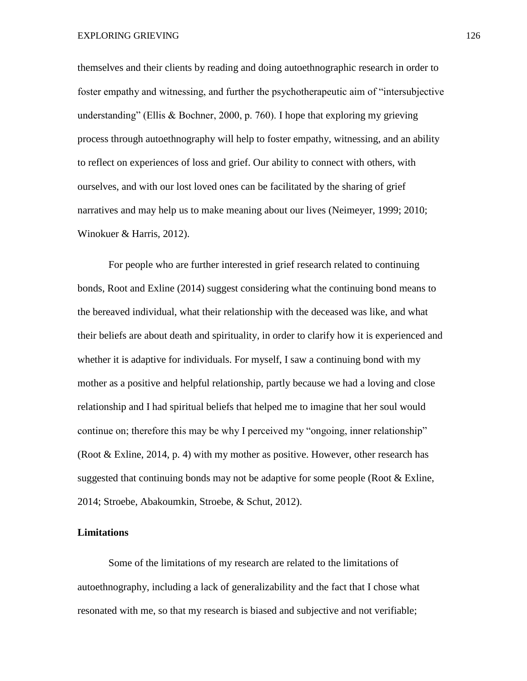EXPLORING GRIEVING 126

themselves and their clients by reading and doing autoethnographic research in order to foster empathy and witnessing, and further the psychotherapeutic aim of "intersubjective understanding" (Ellis & Bochner, 2000, p. 760). I hope that exploring my grieving process through autoethnography will help to foster empathy, witnessing, and an ability to reflect on experiences of loss and grief. Our ability to connect with others, with ourselves, and with our lost loved ones can be facilitated by the sharing of grief narratives and may help us to make meaning about our lives (Neimeyer, 1999; 2010; Winokuer & Harris, 2012).

For people who are further interested in grief research related to continuing bonds, Root and Exline (2014) suggest considering what the continuing bond means to the bereaved individual, what their relationship with the deceased was like, and what their beliefs are about death and spirituality, in order to clarify how it is experienced and whether it is adaptive for individuals. For myself, I saw a continuing bond with my mother as a positive and helpful relationship, partly because we had a loving and close relationship and I had spiritual beliefs that helped me to imagine that her soul would continue on; therefore this may be why I perceived my "ongoing, inner relationship" (Root & Exline, 2014, p. 4) with my mother as positive. However, other research has suggested that continuing bonds may not be adaptive for some people (Root  $&$  Exline, 2014; Stroebe, Abakoumkin, Stroebe, & Schut, 2012).

#### **Limitations**

Some of the limitations of my research are related to the limitations of autoethnography, including a lack of generalizability and the fact that I chose what resonated with me, so that my research is biased and subjective and not verifiable;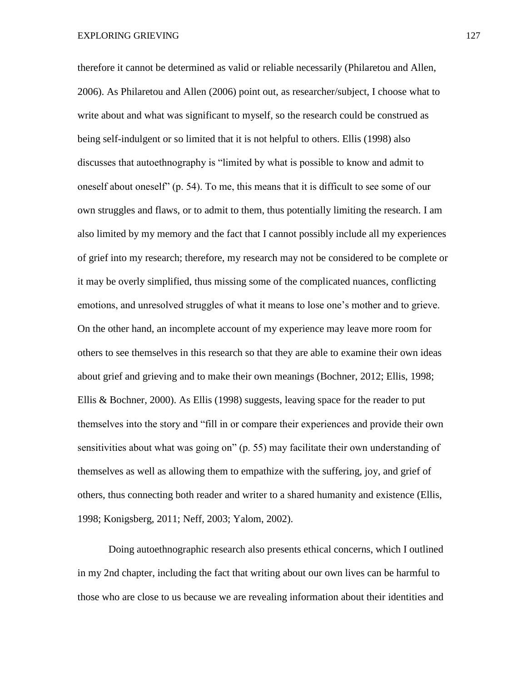therefore it cannot be determined as valid or reliable necessarily (Philaretou and Allen, 2006). As Philaretou and Allen (2006) point out, as researcher/subject, I choose what to write about and what was significant to myself, so the research could be construed as being self-indulgent or so limited that it is not helpful to others. Ellis (1998) also discusses that autoethnography is "limited by what is possible to know and admit to oneself about oneself" (p. 54). To me, this means that it is difficult to see some of our own struggles and flaws, or to admit to them, thus potentially limiting the research. I am also limited by my memory and the fact that I cannot possibly include all my experiences of grief into my research; therefore, my research may not be considered to be complete or it may be overly simplified, thus missing some of the complicated nuances, conflicting emotions, and unresolved struggles of what it means to lose one's mother and to grieve. On the other hand, an incomplete account of my experience may leave more room for others to see themselves in this research so that they are able to examine their own ideas about grief and grieving and to make their own meanings (Bochner, 2012; Ellis, 1998; Ellis & Bochner, 2000). As Ellis (1998) suggests, leaving space for the reader to put themselves into the story and "fill in or compare their experiences and provide their own sensitivities about what was going on" (p. 55) may facilitate their own understanding of themselves as well as allowing them to empathize with the suffering, joy, and grief of others, thus connecting both reader and writer to a shared humanity and existence (Ellis, 1998; Konigsberg, 2011; Neff, 2003; Yalom, 2002).

Doing autoethnographic research also presents ethical concerns, which I outlined in my 2nd chapter, including the fact that writing about our own lives can be harmful to those who are close to us because we are revealing information about their identities and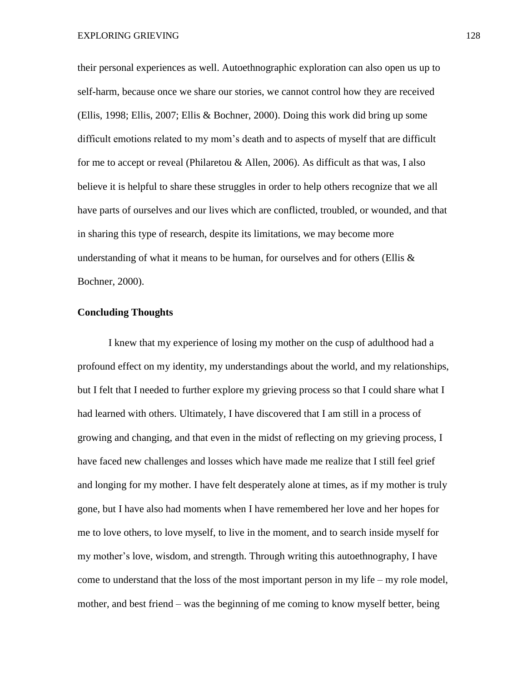their personal experiences as well. Autoethnographic exploration can also open us up to self-harm, because once we share our stories, we cannot control how they are received (Ellis, 1998; Ellis, 2007; Ellis & Bochner, 2000). Doing this work did bring up some difficult emotions related to my mom's death and to aspects of myself that are difficult for me to accept or reveal (Philaretou & Allen, 2006). As difficult as that was, I also believe it is helpful to share these struggles in order to help others recognize that we all have parts of ourselves and our lives which are conflicted, troubled, or wounded, and that in sharing this type of research, despite its limitations, we may become more understanding of what it means to be human, for ourselves and for others (Ellis  $\&$ Bochner, 2000).

# **Concluding Thoughts**

I knew that my experience of losing my mother on the cusp of adulthood had a profound effect on my identity, my understandings about the world, and my relationships, but I felt that I needed to further explore my grieving process so that I could share what I had learned with others. Ultimately, I have discovered that I am still in a process of growing and changing, and that even in the midst of reflecting on my grieving process, I have faced new challenges and losses which have made me realize that I still feel grief and longing for my mother. I have felt desperately alone at times, as if my mother is truly gone, but I have also had moments when I have remembered her love and her hopes for me to love others, to love myself, to live in the moment, and to search inside myself for my mother's love, wisdom, and strength. Through writing this autoethnography, I have come to understand that the loss of the most important person in my life – my role model, mother, and best friend – was the beginning of me coming to know myself better, being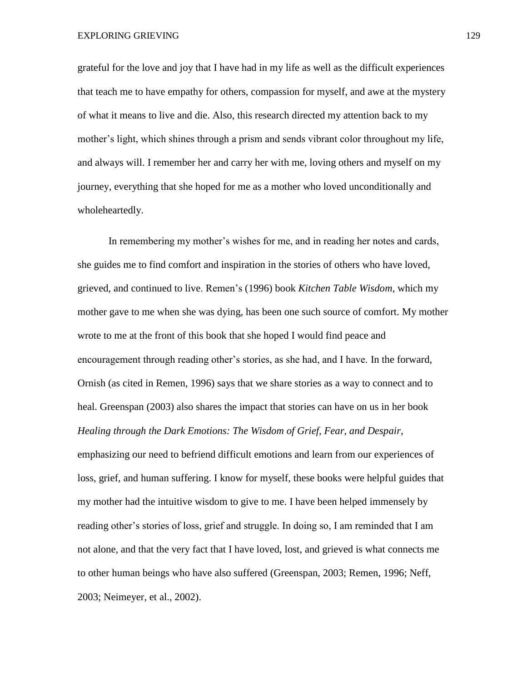grateful for the love and joy that I have had in my life as well as the difficult experiences that teach me to have empathy for others, compassion for myself, and awe at the mystery of what it means to live and die. Also, this research directed my attention back to my mother's light, which shines through a prism and sends vibrant color throughout my life, and always will. I remember her and carry her with me, loving others and myself on my journey, everything that she hoped for me as a mother who loved unconditionally and wholeheartedly.

In remembering my mother's wishes for me, and in reading her notes and cards, she guides me to find comfort and inspiration in the stories of others who have loved, grieved, and continued to live. Remen's (1996) book *Kitchen Table Wisdom*, which my mother gave to me when she was dying, has been one such source of comfort. My mother wrote to me at the front of this book that she hoped I would find peace and encouragement through reading other's stories, as she had, and I have. In the forward, Ornish (as cited in Remen, 1996) says that we share stories as a way to connect and to heal. Greenspan (2003) also shares the impact that stories can have on us in her book *Healing through the Dark Emotions: The Wisdom of Grief, Fear, and Despair*, emphasizing our need to befriend difficult emotions and learn from our experiences of loss, grief, and human suffering. I know for myself, these books were helpful guides that my mother had the intuitive wisdom to give to me. I have been helped immensely by reading other's stories of loss, grief and struggle. In doing so, I am reminded that I am not alone, and that the very fact that I have loved, lost, and grieved is what connects me to other human beings who have also suffered (Greenspan, 2003; Remen, 1996; Neff, 2003; Neimeyer, et al., 2002).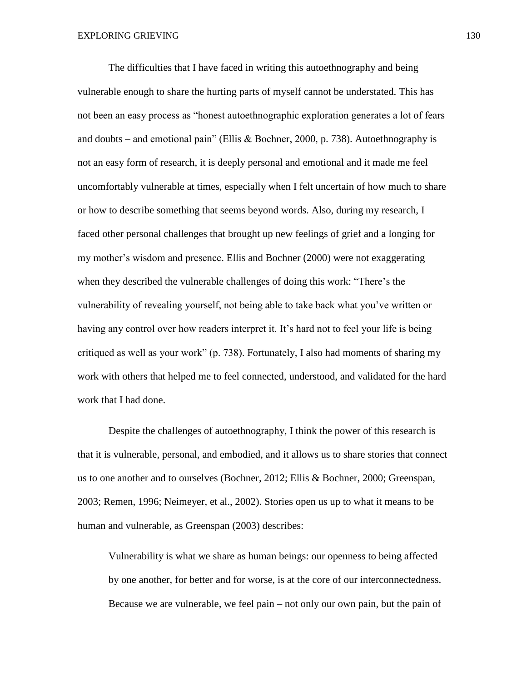The difficulties that I have faced in writing this autoethnography and being vulnerable enough to share the hurting parts of myself cannot be understated. This has not been an easy process as "honest autoethnographic exploration generates a lot of fears and doubts – and emotional pain" (Ellis & Bochner, 2000, p. 738). Autoethnography is not an easy form of research, it is deeply personal and emotional and it made me feel uncomfortably vulnerable at times, especially when I felt uncertain of how much to share or how to describe something that seems beyond words. Also, during my research, I faced other personal challenges that brought up new feelings of grief and a longing for my mother's wisdom and presence. Ellis and Bochner (2000) were not exaggerating when they described the vulnerable challenges of doing this work: "There's the vulnerability of revealing yourself, not being able to take back what you've written or having any control over how readers interpret it. It's hard not to feel your life is being critiqued as well as your work" (p. 738). Fortunately, I also had moments of sharing my work with others that helped me to feel connected, understood, and validated for the hard work that I had done.

Despite the challenges of autoethnography, I think the power of this research is that it is vulnerable, personal, and embodied, and it allows us to share stories that connect us to one another and to ourselves (Bochner, 2012; Ellis & Bochner, 2000; Greenspan, 2003; Remen, 1996; Neimeyer, et al., 2002). Stories open us up to what it means to be human and vulnerable, as Greenspan (2003) describes:

Vulnerability is what we share as human beings: our openness to being affected by one another, for better and for worse, is at the core of our interconnectedness. Because we are vulnerable, we feel pain – not only our own pain, but the pain of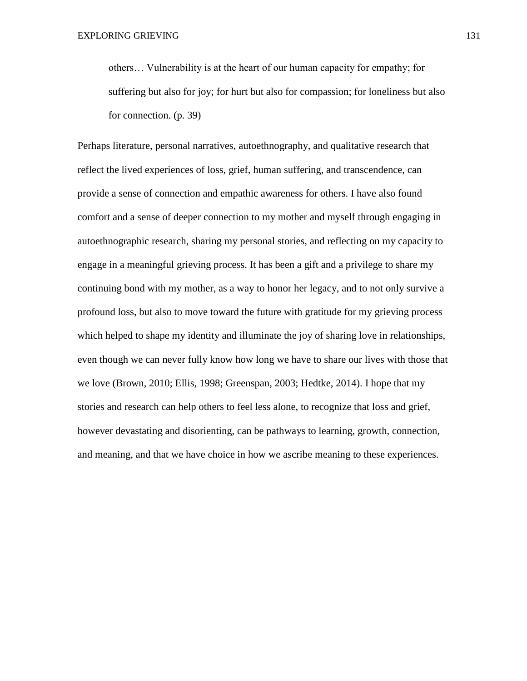others… Vulnerability is at the heart of our human capacity for empathy; for suffering but also for joy; for hurt but also for compassion; for loneliness but also for connection. (p. 39)

Perhaps literature, personal narratives, autoethnography, and qualitative research that reflect the lived experiences of loss, grief, human suffering, and transcendence, can provide a sense of connection and empathic awareness for others. I have also found comfort and a sense of deeper connection to my mother and myself through engaging in autoethnographic research, sharing my personal stories, and reflecting on my capacity to engage in a meaningful grieving process. It has been a gift and a privilege to share my continuing bond with my mother, as a way to honor her legacy, and to not only survive a profound loss, but also to move toward the future with gratitude for my grieving process which helped to shape my identity and illuminate the joy of sharing love in relationships, even though we can never fully know how long we have to share our lives with those that we love (Brown, 2010; Ellis, 1998; Greenspan, 2003; Hedtke, 2014). I hope that my stories and research can help others to feel less alone, to recognize that loss and grief, however devastating and disorienting, can be pathways to learning, growth, connection, and meaning, and that we have choice in how we ascribe meaning to these experiences.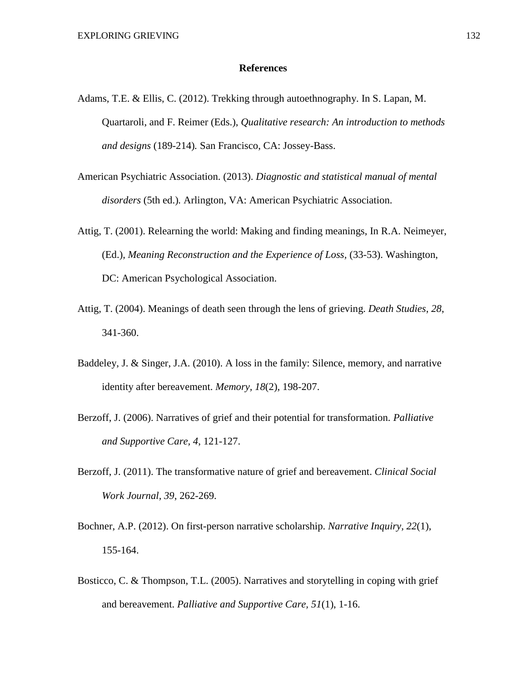#### **References**

- Adams, T.E. & Ellis, C. (2012). Trekking through autoethnography. In S. Lapan, M. Quartaroli, and F. Reimer (Eds.), *Qualitative research: An introduction to methods and designs* (189-214)*.* San Francisco, CA: Jossey-Bass.
- American Psychiatric Association. (2013). *Diagnostic and statistical manual of mental disorders* (5th ed.)*.* Arlington, VA: American Psychiatric Association.
- Attig, T. (2001). Relearning the world: Making and finding meanings, In R.A. Neimeyer, (Ed.), *Meaning Reconstruction and the Experience of Loss,* (33-53). Washington, DC: American Psychological Association.
- Attig, T. (2004). Meanings of death seen through the lens of grieving. *Death Studies*, *28*, 341-360.
- Baddeley, J. & Singer, J.A. (2010). A loss in the family: Silence, memory, and narrative identity after bereavement. *Memory, 18*(2), 198-207.
- Berzoff, J. (2006). Narratives of grief and their potential for transformation. *Palliative and Supportive Care, 4*, 121-127.
- Berzoff, J. (2011). The transformative nature of grief and bereavement. *Clinical Social Work Journal, 39*, 262-269.
- Bochner, A.P. (2012). On first-person narrative scholarship. *Narrative Inquiry, 22*(1), 155-164.
- Bosticco, C. & Thompson, T.L. (2005). Narratives and storytelling in coping with grief and bereavement. *Palliative and Supportive Care, 51*(1), 1-16.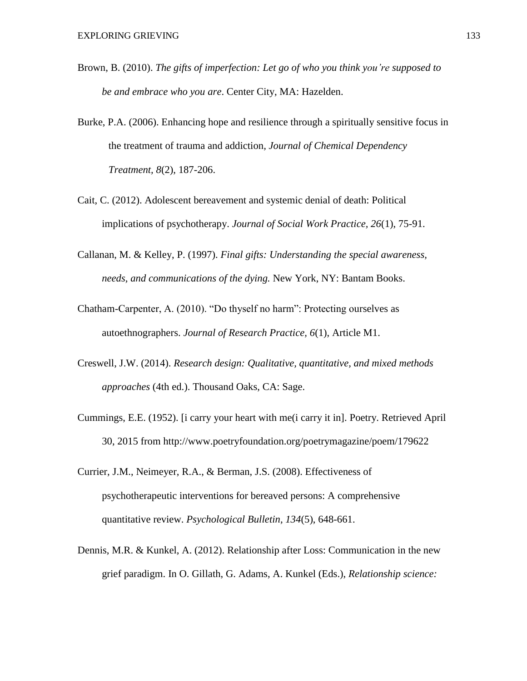- Brown, B. (2010). *The gifts of imperfection: Let go of who you think you're supposed to be and embrace who you are*. Center City, MA: Hazelden.
- Burke, P.A. (2006). Enhancing hope and resilience through a spiritually sensitive focus in the treatment of trauma and addiction*, Journal of Chemical Dependency Treatment, 8*(2), 187-206.
- Cait, C. (2012). Adolescent bereavement and systemic denial of death: Political implications of psychotherapy. *Journal of Social Work Practice, 26*(1), 75-91.
- Callanan, M. & Kelley, P. (1997). *Final gifts: Understanding the special awareness, needs, and communications of the dying.* New York, NY: Bantam Books.
- Chatham-Carpenter, A. (2010). "Do thyself no harm": Protecting ourselves as autoethnographers. *Journal of Research Practice, 6*(1), Article M1.
- Creswell, J.W. (2014). *Research design: Qualitative, quantitative, and mixed methods approaches* (4th ed.). Thousand Oaks, CA: Sage.
- Cummings, E.E. (1952). [i carry your heart with me(i carry it in]. Poetry. Retrieved April 30, 2015 from http://www.poetryfoundation.org/poetrymagazine/poem/179622
- Currier, J.M., Neimeyer, R.A., & Berman, J.S. (2008). Effectiveness of psychotherapeutic interventions for bereaved persons: A comprehensive quantitative review. *Psychological Bulletin, 134*(5), 648-661.
- Dennis, M.R. & Kunkel, A. (2012). Relationship after Loss: Communication in the new grief paradigm. In O. Gillath, G. Adams, A. Kunkel (Eds.), *Relationship science:*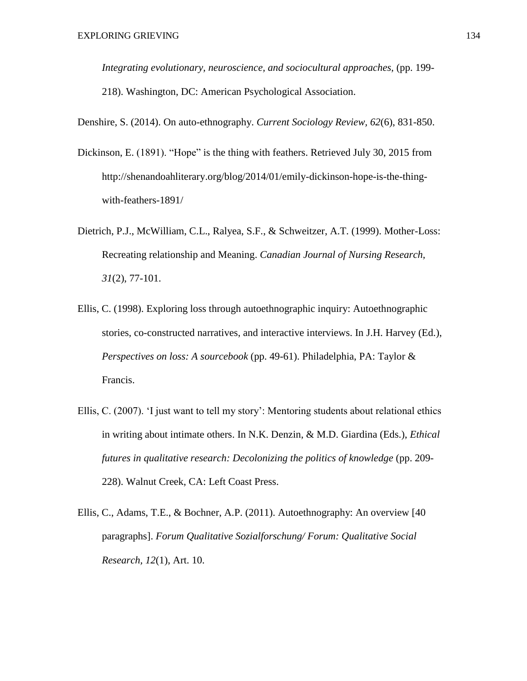*Integrating evolutionary, neuroscience, and sociocultural approaches,* (pp. 199- 218). Washington, DC: American Psychological Association.

Denshire, S. (2014). On auto-ethnography. *Current Sociology Review, 62*(6), 831-850.

- Dickinson, E. (1891). "Hope" is the thing with feathers. Retrieved July 30, 2015 from http://shenandoahliterary.org/blog/2014/01/emily-dickinson-hope-is-the-thingwith-feathers-1891/
- Dietrich, P.J., McWilliam, C.L., Ralyea, S.F., & Schweitzer, A.T. (1999). Mother-Loss: Recreating relationship and Meaning. *Canadian Journal of Nursing Research, 31*(2), 77-101.
- Ellis, C. (1998). Exploring loss through autoethnographic inquiry: Autoethnographic stories, co-constructed narratives, and interactive interviews. In J.H. Harvey (Ed.), *Perspectives on loss: A sourcebook* (pp. 49-61). Philadelphia, PA: Taylor & Francis.
- Ellis, C. (2007). 'I just want to tell my story': Mentoring students about relational ethics in writing about intimate others. In N.K. Denzin, & M.D. Giardina (Eds.), *Ethical futures in qualitative research: Decolonizing the politics of knowledge* (pp. 209- 228). Walnut Creek, CA: Left Coast Press.
- Ellis, C., Adams, T.E., & Bochner, A.P. (2011). Autoethnography: An overview [40 paragraphs]. *Forum Qualitative Sozialforschung/ Forum: Qualitative Social Research, 12*(1), Art. 10.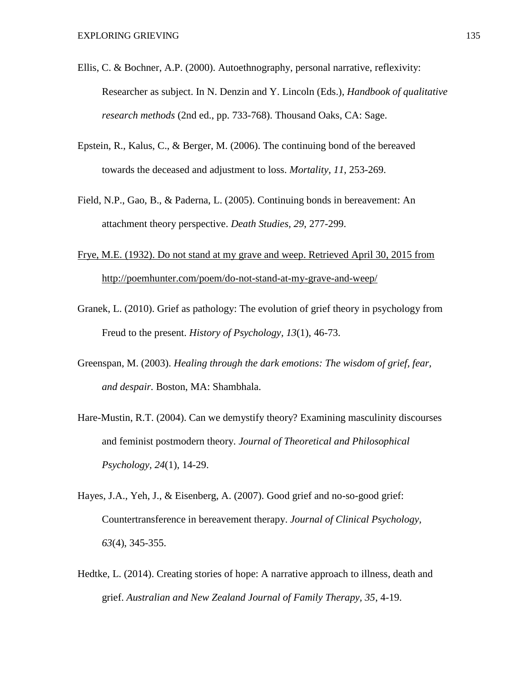- Ellis, C. & Bochner, A.P. (2000). Autoethnography, personal narrative, reflexivity: Researcher as subject. In N. Denzin and Y. Lincoln (Eds.), *Handbook of qualitative research methods* (2nd ed., pp. 733-768). Thousand Oaks, CA: Sage.
- Epstein, R., Kalus, C., & Berger, M. (2006). The continuing bond of the bereaved towards the deceased and adjustment to loss. *Mortality, 11*, 253-269.
- Field, N.P., Gao, B., & Paderna, L. (2005). Continuing bonds in bereavement: An attachment theory perspective. *Death Studies, 29*, 277-299.
- Frye, M.E. (1932). Do not stand at my grave and weep. Retrieved April 30, 2015 from http://poemhunter.com/poem/do-not-stand-at-my-grave-and-weep/
- Granek, L. (2010). Grief as pathology: The evolution of grief theory in psychology from Freud to the present. *History of Psychology, 13*(1), 46-73.
- Greenspan, M. (2003). *Healing through the dark emotions: The wisdom of grief, fear, and despair.* Boston, MA: Shambhala.
- Hare-Mustin, R.T. (2004). Can we demystify theory? Examining masculinity discourses and feminist postmodern theory. *Journal of Theoretical and Philosophical Psychology, 24*(1), 14-29.
- Hayes, J.A., Yeh, J., & Eisenberg, A. (2007). Good grief and no-so-good grief: Countertransference in bereavement therapy. *Journal of Clinical Psychology, 63*(4), 345-355.
- Hedtke, L. (2014). Creating stories of hope: A narrative approach to illness, death and grief. *Australian and New Zealand Journal of Family Therapy, 35*, 4-19.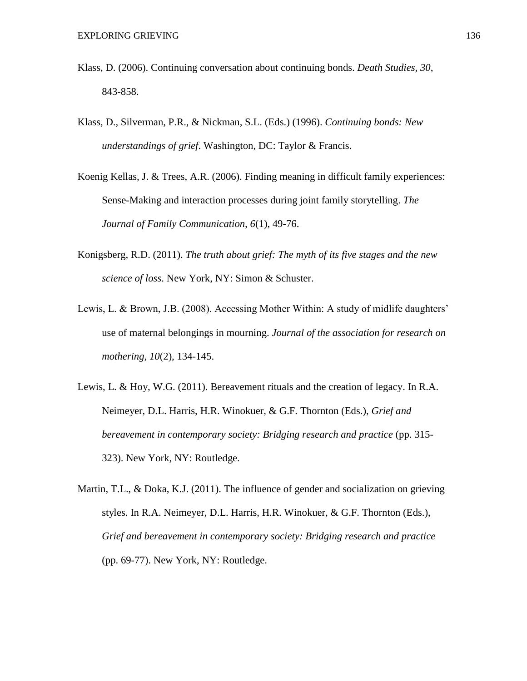- Klass, D. (2006). Continuing conversation about continuing bonds. *Death Studies, 30*, 843-858.
- Klass, D., Silverman, P.R., & Nickman, S.L. (Eds.) (1996). *Continuing bonds: New understandings of grief*. Washington, DC: Taylor & Francis.
- Koenig Kellas, J. & Trees, A.R. (2006). Finding meaning in difficult family experiences: Sense-Making and interaction processes during joint family storytelling. *The Journal of Family Communication, 6*(1), 49-76.
- Konigsberg, R.D. (2011). *The truth about grief: The myth of its five stages and the new science of loss*. New York, NY: Simon & Schuster.
- Lewis, L. & Brown, J.B. (2008). Accessing Mother Within: A study of midlife daughters' use of maternal belongings in mourning. *Journal of the association for research on mothering, 10*(2), 134-145.
- Lewis, L. & Hoy, W.G. (2011). Bereavement rituals and the creation of legacy. In R.A. Neimeyer, D.L. Harris, H.R. Winokuer, & G.F. Thornton (Eds.), *Grief and bereavement in contemporary society: Bridging research and practice* (pp. 315- 323). New York, NY: Routledge.
- Martin, T.L., & Doka, K.J. (2011). The influence of gender and socialization on grieving styles. In R.A. Neimeyer, D.L. Harris, H.R. Winokuer, & G.F. Thornton (Eds.), *Grief and bereavement in contemporary society: Bridging research and practice* (pp. 69-77). New York, NY: Routledge.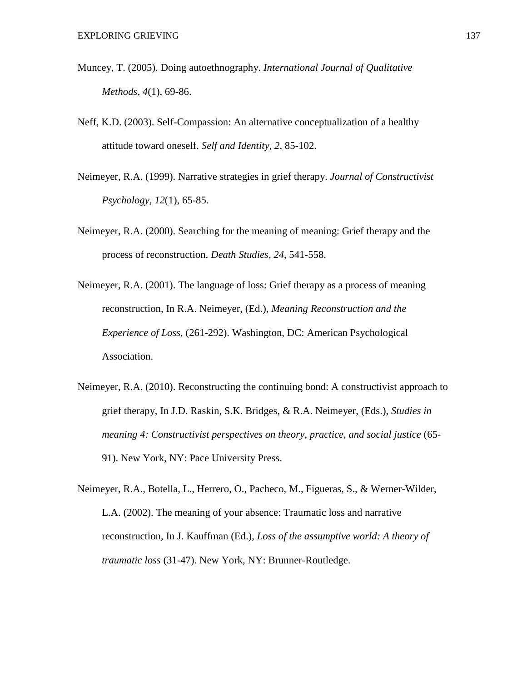- Muncey, T. (2005). Doing autoethnography. *International Journal of Qualitative Methods, 4*(1), 69-86.
- Neff, K.D. (2003). Self-Compassion: An alternative conceptualization of a healthy attitude toward oneself. *Self and Identity, 2*, 85-102.
- Neimeyer, R.A. (1999). Narrative strategies in grief therapy. *Journal of Constructivist Psychology, 12*(1), 65-85.
- Neimeyer, R.A. (2000). Searching for the meaning of meaning: Grief therapy and the process of reconstruction. *Death Studies, 24*, 541-558.
- Neimeyer, R.A. (2001). The language of loss: Grief therapy as a process of meaning reconstruction, In R.A. Neimeyer, (Ed.), *Meaning Reconstruction and the Experience of Loss,* (261-292). Washington, DC: American Psychological Association.
- Neimeyer, R.A. (2010). Reconstructing the continuing bond: A constructivist approach to grief therapy, In J.D. Raskin, S.K. Bridges, & R.A. Neimeyer, (Eds.), *Studies in meaning 4: Constructivist perspectives on theory, practice, and social justice* (65- 91). New York, NY: Pace University Press.
- Neimeyer, R.A., Botella, L., Herrero, O., Pacheco, M., Figueras, S., & Werner-Wilder, L.A. (2002). The meaning of your absence: Traumatic loss and narrative reconstruction, In J. Kauffman (Ed.), *Loss of the assumptive world: A theory of traumatic loss* (31-47). New York, NY: Brunner-Routledge.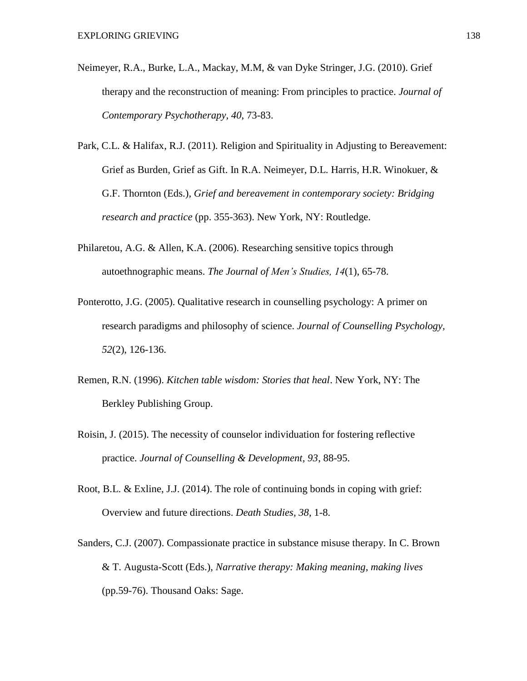- Neimeyer, R.A., Burke, L.A., Mackay, M.M, & van Dyke Stringer, J.G. (2010). Grief therapy and the reconstruction of meaning: From principles to practice. *Journal of Contemporary Psychotherapy, 40*, 73-83.
- Park, C.L. & Halifax, R.J. (2011). Religion and Spirituality in Adjusting to Bereavement: Grief as Burden, Grief as Gift. In R.A. Neimeyer, D.L. Harris, H.R. Winokuer, & G.F. Thornton (Eds.), *Grief and bereavement in contemporary society: Bridging research and practice* (pp. 355-363). New York, NY: Routledge.
- Philaretou, A.G. & Allen, K.A. (2006). Researching sensitive topics through autoethnographic means. *The Journal of Men's Studies, 14*(1), 65-78.
- Ponterotto, J.G. (2005). Qualitative research in counselling psychology: A primer on research paradigms and philosophy of science. *Journal of Counselling Psychology, 52*(2), 126-136.
- Remen, R.N. (1996). *Kitchen table wisdom: Stories that heal*. New York, NY: The Berkley Publishing Group.
- Roisin, J. (2015). The necessity of counselor individuation for fostering reflective practice. *Journal of Counselling & Development, 93*, 88-95.
- Root, B.L. & Exline, J.J. (2014). The role of continuing bonds in coping with grief: Overview and future directions. *Death Studies, 38*, 1-8.
- Sanders, C.J. (2007). Compassionate practice in substance misuse therapy. In C. Brown & T. Augusta-Scott (Eds.), *Narrative therapy: Making meaning, making lives* (pp.59-76). Thousand Oaks: Sage.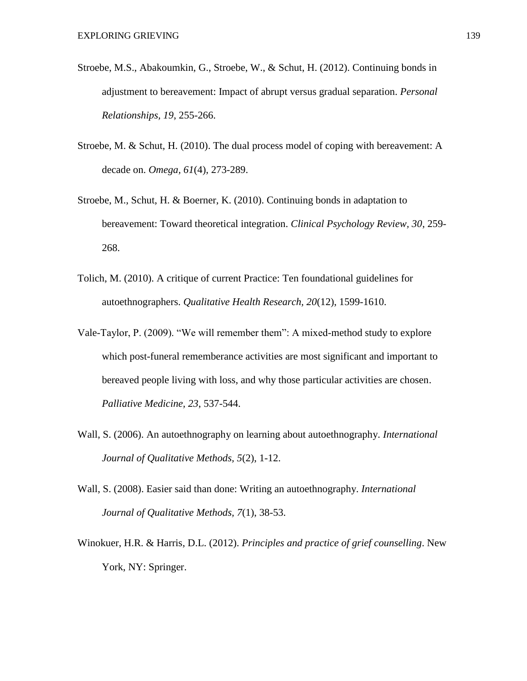- Stroebe, M.S., Abakoumkin, G., Stroebe, W., & Schut, H. (2012). Continuing bonds in adjustment to bereavement: Impact of abrupt versus gradual separation. *Personal Relationships, 19*, 255-266.
- Stroebe, M. & Schut, H. (2010). The dual process model of coping with bereavement: A decade on. *Omega, 61*(4), 273-289.
- Stroebe, M., Schut, H. & Boerner, K. (2010). Continuing bonds in adaptation to bereavement: Toward theoretical integration. *Clinical Psychology Review, 30*, 259- 268.
- Tolich, M. (2010). A critique of current Practice: Ten foundational guidelines for autoethnographers. *Qualitative Health Research, 20*(12), 1599-1610.
- Vale-Taylor, P. (2009). "We will remember them": A mixed-method study to explore which post-funeral rememberance activities are most significant and important to bereaved people living with loss, and why those particular activities are chosen. *Palliative Medicine, 23*, 537-544.
- Wall, S. (2006). An autoethnography on learning about autoethnography. *International Journal of Qualitative Methods, 5*(2), 1-12.
- Wall, S. (2008). Easier said than done: Writing an autoethnography. *International Journal of Qualitative Methods, 7*(1), 38-53.
- Winokuer, H.R. & Harris, D.L. (2012). *Principles and practice of grief counselling*. New York, NY: Springer.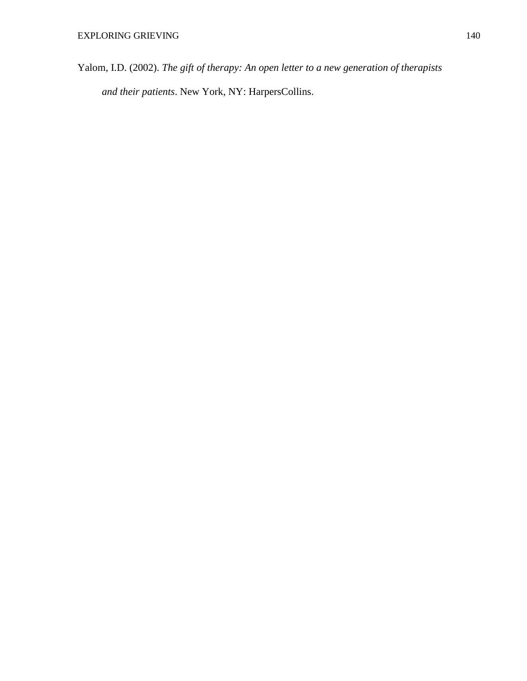Yalom, I.D. (2002). *The gift of therapy: An open letter to a new generation of therapists and their patients*. New York, NY: HarpersCollins.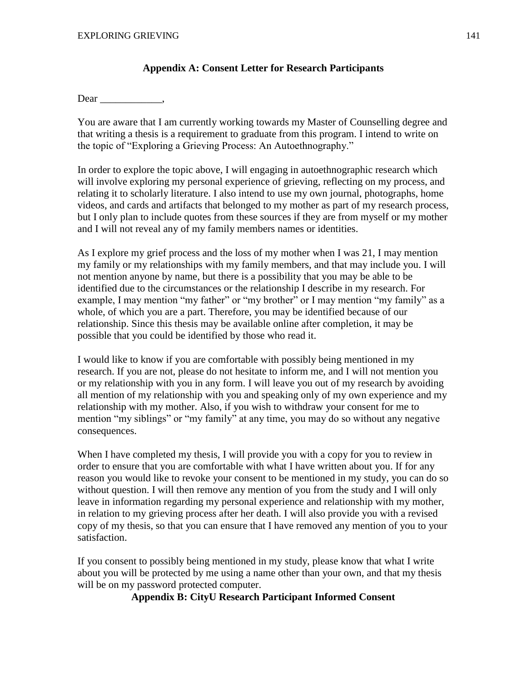### **Appendix A: Consent Letter for Research Participants**

Dear \_\_\_\_\_\_\_\_\_\_\_\_\_\_\_,

You are aware that I am currently working towards my Master of Counselling degree and that writing a thesis is a requirement to graduate from this program. I intend to write on the topic of "Exploring a Grieving Process: An Autoethnography."

In order to explore the topic above, I will engaging in autoethnographic research which will involve exploring my personal experience of grieving, reflecting on my process, and relating it to scholarly literature. I also intend to use my own journal, photographs, home videos, and cards and artifacts that belonged to my mother as part of my research process, but I only plan to include quotes from these sources if they are from myself or my mother and I will not reveal any of my family members names or identities.

As I explore my grief process and the loss of my mother when I was 21, I may mention my family or my relationships with my family members, and that may include you. I will not mention anyone by name, but there is a possibility that you may be able to be identified due to the circumstances or the relationship I describe in my research. For example, I may mention "my father" or "my brother" or I may mention "my family" as a whole, of which you are a part. Therefore, you may be identified because of our relationship. Since this thesis may be available online after completion, it may be possible that you could be identified by those who read it.

I would like to know if you are comfortable with possibly being mentioned in my research. If you are not, please do not hesitate to inform me, and I will not mention you or my relationship with you in any form. I will leave you out of my research by avoiding all mention of my relationship with you and speaking only of my own experience and my relationship with my mother. Also, if you wish to withdraw your consent for me to mention "my siblings" or "my family" at any time, you may do so without any negative consequences.

When I have completed my thesis, I will provide you with a copy for you to review in order to ensure that you are comfortable with what I have written about you. If for any reason you would like to revoke your consent to be mentioned in my study, you can do so without question. I will then remove any mention of you from the study and I will only leave in information regarding my personal experience and relationship with my mother, in relation to my grieving process after her death. I will also provide you with a revised copy of my thesis, so that you can ensure that I have removed any mention of you to your satisfaction.

If you consent to possibly being mentioned in my study, please know that what I write about you will be protected by me using a name other than your own, and that my thesis will be on my password protected computer.

**Appendix B: CityU Research Participant Informed Consent**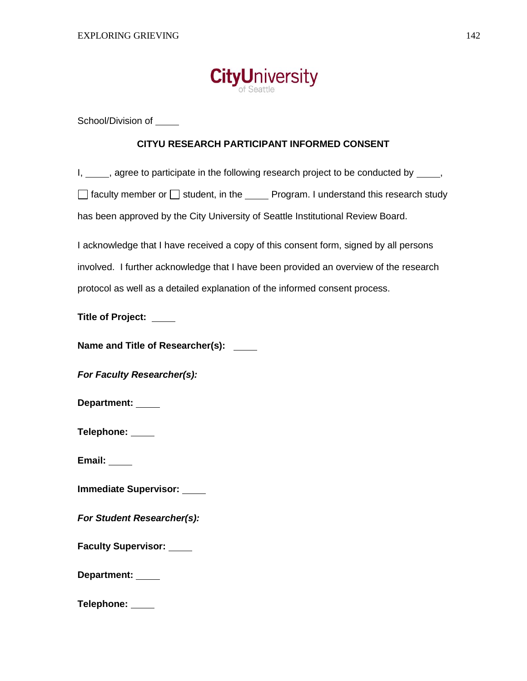

School/Division of

### **CITYU RESEARCH PARTICIPANT INFORMED CONSENT**

I, \_\_\_\_, agree to participate in the following research project to be conducted by \_\_\_\_,

 $\Box$  faculty member or  $\Box$  student, in the  $\Box$  Program. I understand this research study

has been approved by the City University of Seattle Institutional Review Board.

I acknowledge that I have received a copy of this consent form, signed by all persons involved. I further acknowledge that I have been provided an overview of the research protocol as well as a detailed explanation of the informed consent process.

**Title of Project:** 

**Name and Title of Researcher(s):** 

*For Faculty Researcher(s):*

**Department:** 

**Telephone:** 

**Email:** 

**Immediate Supervisor:** 

*For Student Researcher(s):*

**Faculty Supervisor:** 

**Department:** 

**Telephone:**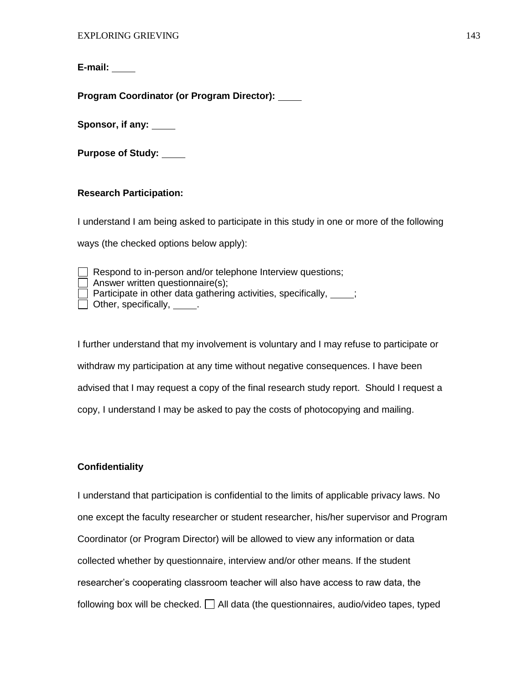**E-mail:** 

**Program Coordinator (or Program Director):**

**Sponsor, if any:**

**Purpose of Study:**

#### **Research Participation:**

I understand I am being asked to participate in this study in one or more of the following ways (the checked options below apply):

| $\Box$ Respond to in-person and/or telephone Interview questions;             |
|-------------------------------------------------------------------------------|
| Answer written questionnaire(s);                                              |
| $\Box$ Participate in other data gathering activities, specifically, $\Box$ ; |
| $\Box$ Other, specifically, $\Box$                                            |

I further understand that my involvement is voluntary and I may refuse to participate or withdraw my participation at any time without negative consequences. I have been advised that I may request a copy of the final research study report. Should I request a copy, I understand I may be asked to pay the costs of photocopying and mailing.

## **Confidentiality**

I understand that participation is confidential to the limits of applicable privacy laws. No one except the faculty researcher or student researcher, his/her supervisor and Program Coordinator (or Program Director) will be allowed to view any information or data collected whether by questionnaire, interview and/or other means. If the student researcher's cooperating classroom teacher will also have access to raw data, the following box will be checked.  $\Box$  All data (the questionnaires, audio/video tapes, typed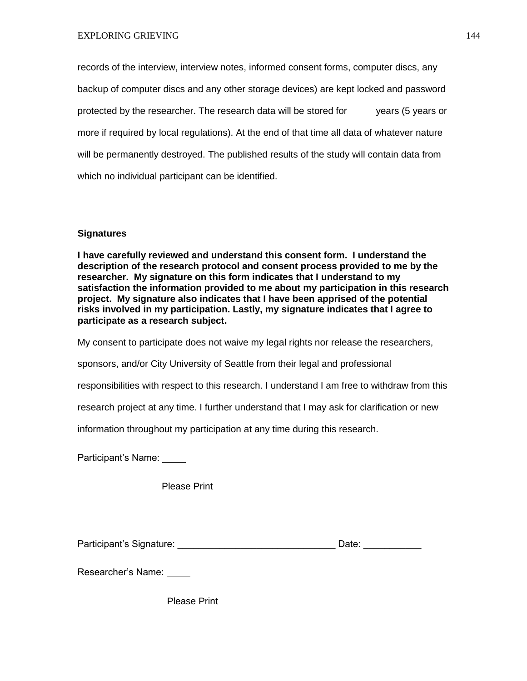records of the interview, interview notes, informed consent forms, computer discs, any backup of computer discs and any other storage devices) are kept locked and password protected by the researcher. The research data will be stored for years (5 years or more if required by local regulations). At the end of that time all data of whatever nature will be permanently destroyed. The published results of the study will contain data from which no individual participant can be identified.

# **Signatures**

**I have carefully reviewed and understand this consent form. I understand the description of the research protocol and consent process provided to me by the researcher. My signature on this form indicates that I understand to my satisfaction the information provided to me about my participation in this research project. My signature also indicates that I have been apprised of the potential risks involved in my participation. Lastly, my signature indicates that I agree to participate as a research subject.** 

My consent to participate does not waive my legal rights nor release the researchers,

sponsors, and/or City University of Seattle from their legal and professional

responsibilities with respect to this research. I understand I am free to withdraw from this

research project at any time. I further understand that I may ask for clarification or new

information throughout my participation at any time during this research.

Participant's Name:

Please Print

Participant's Signature: etc. All and the Date: the Date: the Legislation of the Legislation of the Legislation

Researcher's Name:

Please Print